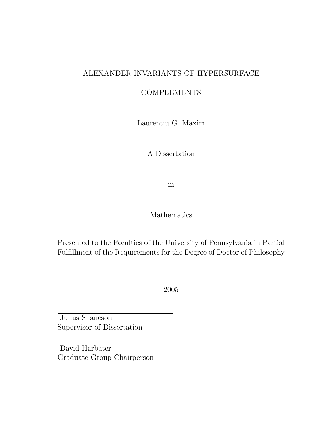## ALEXANDER INVARIANTS OF HYPERSURFACE

## **COMPLEMENTS**

Laurentiu G. Maxim

A Dissertation

in

Mathematics

Presented to the Faculties of the University of Pennsylvania in Partial Fulfillment of the Requirements for the Degree of Doctor of Philosophy

2005

Julius Shaneson Supervisor of Dissertation

David Harbater Graduate Group Chairperson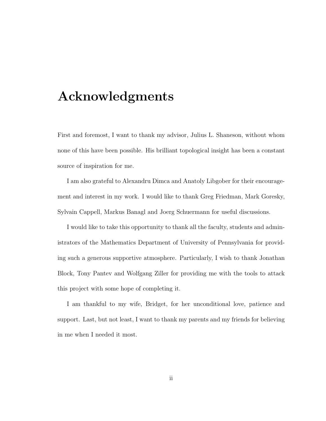# Acknowledgments

First and foremost, I want to thank my advisor, Julius L. Shaneson, without whom none of this have been possible. His brilliant topological insight has been a constant source of inspiration for me.

I am also grateful to Alexandru Dimca and Anatoly Libgober for their encouragement and interest in my work. I would like to thank Greg Friedman, Mark Goresky, Sylvain Cappell, Markus Banagl and Joerg Schuermann for useful discussions.

I would like to take this opportunity to thank all the faculty, students and administrators of the Mathematics Department of University of Pennsylvania for providing such a generous supportive atmosphere. Particularly, I wish to thank Jonathan Block, Tony Pantev and Wolfgang Ziller for providing me with the tools to attack this project with some hope of completing it.

I am thankful to my wife, Bridget, for her unconditional love, patience and support. Last, but not least, I want to thank my parents and my friends for believing in me when I needed it most.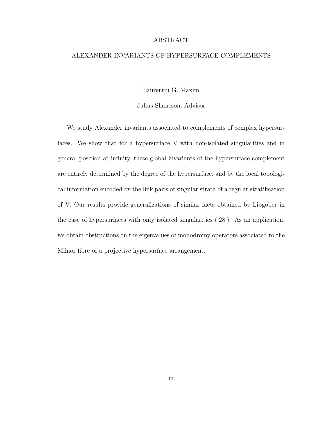#### ABSTRACT

#### ALEXANDER INVARIANTS OF HYPERSURFACE COMPLEMENTS

Laurentiu G. Maxim

Julius Shaneson, Advisor

We study Alexander invariants associated to complements of complex hypersurfaces. We show that for a hypersurface V with non-isolated singularities and in general position at infinity, these global invariants of the hypersurface complement are entirely determined by the degree of the hypersurface, and by the local topological information encoded by the link pairs of singular strata of a regular stratification of V. Our results provide generalizations of similar facts obtained by Libgober in the case of hypersurfaces with only isolated singularities ([28]). As an application, we obtain obstructions on the eigenvalues of monodromy operators associated to the Milnor fibre of a projective hypersurface arrangement.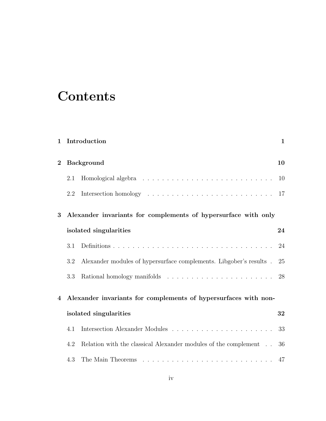# **Contents**

| $\mathbf 1$ |                                                                 | Introduction                                                       | $\mathbf{1}$ |  |  |
|-------------|-----------------------------------------------------------------|--------------------------------------------------------------------|--------------|--|--|
| $\bf{2}$    |                                                                 | <b>Background</b>                                                  |              |  |  |
|             | 2.1                                                             |                                                                    | 10           |  |  |
|             | 2.2                                                             |                                                                    |              |  |  |
| 3           |                                                                 | Alexander invariants for complements of hypersurface with only     |              |  |  |
|             |                                                                 | isolated singularities                                             | 24           |  |  |
|             | 3.1                                                             |                                                                    | 24           |  |  |
|             | 3.2                                                             | Alexander modules of hypersurface complements. Libgober's results. | 25           |  |  |
|             | 3.3                                                             |                                                                    |              |  |  |
| 4           | Alexander invariants for complements of hypersurfaces with non- |                                                                    |              |  |  |
|             | isolated singularities                                          |                                                                    |              |  |  |
|             | 4.1                                                             |                                                                    | 33           |  |  |
|             | 4.2                                                             | Relation with the classical Alexander modules of the complement    | 36           |  |  |
|             | 4.3                                                             |                                                                    | 47           |  |  |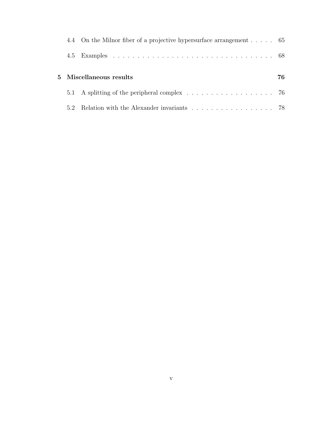|                         | 4.4 On the Milnor fiber of a projective hypersurface arrangement 65 |  |  |
|-------------------------|---------------------------------------------------------------------|--|--|
|                         |                                                                     |  |  |
| 5 Miscellaneous results |                                                                     |  |  |
|                         |                                                                     |  |  |
| 5.2                     | Relation with the Alexander invariants 78                           |  |  |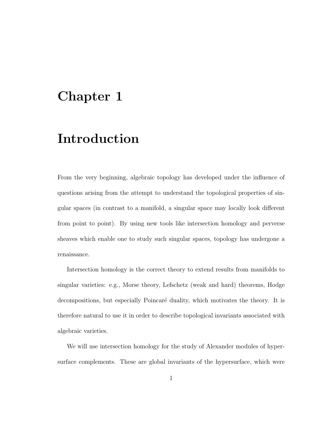# Chapter 1

# Introduction

From the very beginning, algebraic topology has developed under the influence of questions arising from the attempt to understand the topological properties of singular spaces (in contrast to a manifold, a singular space may locally look different from point to point). By using new tools like intersection homology and perverse sheaves which enable one to study such singular spaces, topology has undergone a renaissance.

Intersection homology is the correct theory to extend results from manifolds to singular varieties: e.g., Morse theory, Lefschetz (weak and hard) theorems, Hodge decompositions, but especially Poincaré duality, which motivates the theory. It is therefore natural to use it in order to describe topological invariants associated with algebraic varieties.

We will use intersection homology for the study of Alexander modules of hypersurface complements. These are global invariants of the hypersurface, which were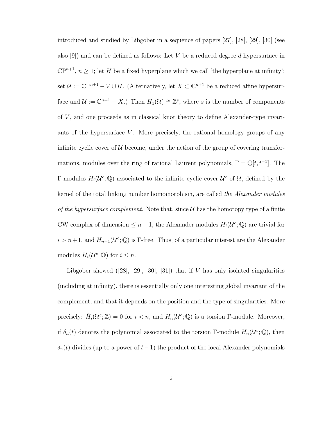introduced and studied by Libgober in a sequence of papers [27], [28], [29], [30] (see also [9]) and can be defined as follows: Let V be a reduced degree d hypersurface in  $\mathbb{CP}^{n+1}$ ,  $n \geq 1$ ; let H be a fixed hyperplane which we call 'the hyperplane at infinity'; set  $\mathcal{U} := \mathbb{C} \mathbb{P}^{n+1} - V \cup H$ . (Alternatively, let  $X \subset \mathbb{C}^{n+1}$  be a reduced affine hypersurface and  $\mathcal{U} := \mathbb{C}^{n+1} - X$ .) Then  $H_1(\mathcal{U}) \cong \mathbb{Z}^s$ , where s is the number of components of  $V$ , and one proceeds as in classical knot theory to define Alexander-type invariants of the hypersurface  $V$ . More precisely, the rational homology groups of any infinite cyclic cover of  $U$  become, under the action of the group of covering transformations, modules over the ring of rational Laurent polynomials,  $\Gamma = \mathbb{Q}[t, t^{-1}]$ . The Γ-modules  $H_i(\mathcal{U}^c;\mathbb{Q})$  associated to the infinite cyclic cover  $\mathcal{U}^c$  of  $\mathcal{U}$ , defined by the kernel of the total linking number homomorphism, are called the Alexander modules of the hypersurface complement. Note that, since  $\mathcal U$  has the homotopy type of a finite CW complex of dimension  $\leq n+1$ , the Alexander modules  $H_i(\mathcal{U}^c;\mathbb{Q})$  are trivial for  $i > n+1$ , and  $H_{n+1}(\mathcal{U}^c;\mathbb{Q})$  is  $\Gamma$ -free. Thus, of a particular interest are the Alexander modules  $H_i(\mathcal{U}^c;\mathbb{Q})$  for  $i \leq n$ .

Libgober showed  $([28], [29], [30], [31])$  that if V has only isolated singularities (including at infinity), there is essentially only one interesting global invariant of the complement, and that it depends on the position and the type of singularities. More precisely:  $\tilde{H}_i(\mathcal{U}^c;\mathbb{Z})=0$  for  $i < n$ , and  $H_n(\mathcal{U}^c;\mathbb{Q})$  is a torsion  $\Gamma$ -module. Moreover, if  $\delta_n(t)$  denotes the polynomial associated to the torsion Γ-module  $H_n(\mathcal{U}^c;\mathbb{Q})$ , then  $\delta_n(t)$  divides (up to a power of  $t-1$ ) the product of the local Alexander polynomials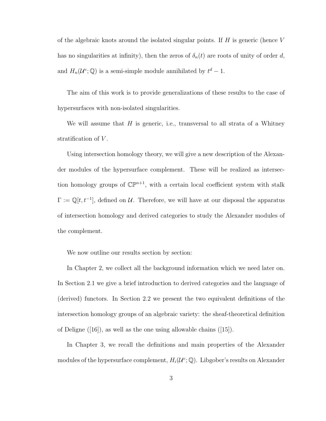of the algebraic knots around the isolated singular points. If  $H$  is generic (hence  $V$ has no singularities at infinity), then the zeros of  $\delta_n(t)$  are roots of unity of order d, and  $H_n(\mathcal{U}^c;\mathbb{Q})$  is a semi-simple module annihilated by  $t^d-1$ .

The aim of this work is to provide generalizations of these results to the case of hypersurfaces with non-isolated singularities.

We will assume that  $H$  is generic, i.e., transversal to all strata of a Whitney stratification of V.

Using intersection homology theory, we will give a new description of the Alexander modules of the hypersurface complement. These will be realized as intersection homology groups of  $\mathbb{CP}^{n+1}$ , with a certain local coefficient system with stalk  $\Gamma := \mathbb{Q}[t, t^{-1}]$ , defined on U. Therefore, we will have at our disposal the apparatus of intersection homology and derived categories to study the Alexander modules of the complement.

We now outline our results section by section:

In Chapter 2, we collect all the background information which we need later on. In Section 2.1 we give a brief introduction to derived categories and the language of (derived) functors. In Section 2.2 we present the two equivalent definitions of the intersection homology groups of an algebraic variety: the sheaf-theoretical definition of Deligne ([16]), as well as the one using allowable chains ([15]).

In Chapter 3, we recall the definitions and main properties of the Alexander modules of the hypersurface complement,  $H_i(\mathcal{U}^c; \mathbb{Q})$ . Libgober's results on Alexander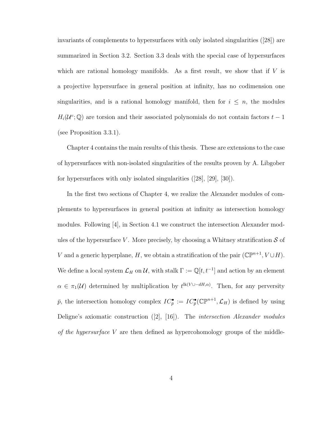invariants of complements to hypersurfaces with only isolated singularities ([28]) are summarized in Section 3.2. Section 3.3 deals with the special case of hypersurfaces which are rational homology manifolds. As a first result, we show that if  $V$  is a projective hypersurface in general position at infinity, has no codimension one singularities, and is a rational homology manifold, then for  $i \leq n$ , the modules  $H_i(\mathcal{U}^c;\mathbb{Q})$  are torsion and their associated polynomials do not contain factors  $t-1$ (see Proposition 3.3.1).

Chapter 4 contains the main results of this thesis. These are extensions to the case of hypersurfaces with non-isolated singularities of the results proven by A. Libgober for hypersurfaces with only isolated singularities ([28], [29], [30]).

In the first two sections of Chapter 4, we realize the Alexander modules of complements to hypersurfaces in general position at infinity as intersection homology modules. Following [4], in Section 4.1 we construct the intersection Alexander modules of the hypersurface V. More precisely, by choosing a Whitney stratification  $\mathcal S$  of V and a generic hyperplane, H, we obtain a stratification of the pair  $(\mathbb{CP}^{n+1}, V \cup H)$ . We define a local system  $\mathcal{L}_H$  on  $\mathcal{U}$ , with stalk  $\Gamma := \mathbb{Q}[t, t^{-1}]$  and action by an element  $\alpha \in \pi_1(\mathcal{U})$  determined by multiplication by  $t^{lk(V\cup -dH,\alpha)}$ . Then, for any perversity  $\bar{p}$ , the intersection homology complex  $IC_{\bar{p}}^{\bullet} := IC_{\bar{p}}^{\bullet}(\mathbb{C}\mathbb{P}^{n+1}, \mathcal{L}_H)$  is defined by using Deligne's axiomatic construction ([2], [16]). The intersection Alexander modules of the hypersurface V are then defined as hypercohomology groups of the middle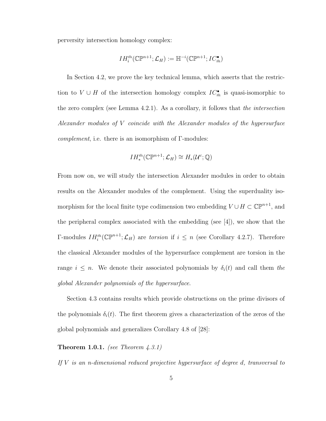perversity intersection homology complex:

$$
IH_{i}^{\bar{m}}(\mathbb{C}\mathbb{P}^{n+1};\mathcal{L}_{H}) := \mathbb{H}^{-i}(\mathbb{C}\mathbb{P}^{n+1}; IC_{\bar{m}}^{\bullet})
$$

In Section 4.2, we prove the key technical lemma, which asserts that the restriction to  $V \cup H$  of the intersection homology complex  $IC_{\bar{m}}^{\bullet}$  is quasi-isomorphic to the zero complex (see Lemma 4.2.1). As a corollary, it follows that the intersection Alexander modules of V coincide with the Alexander modules of the hypersurface *complement*, i.e. there is an isomorphism of  $\Gamma$ -modules:

$$
IH^{\bar{m}}_{*}(\mathbb{C}\mathbb{P}^{n+1};\mathcal{L}_{H})\cong H_{*}(\mathcal{U}^{c};\mathbb{Q})
$$

From now on, we will study the intersection Alexander modules in order to obtain results on the Alexander modules of the complement. Using the superduality isomorphism for the local finite type codimension two embedding  $V \cup H \subset \mathbb{CP}^{n+1}$ , and the peripheral complex associated with the embedding (see [4]), we show that the Γ-modules  $IH_i^{\bar{m}}(\mathbb{C}\mathbb{P}^{n+1};\mathcal{L}_H)$  are torsion if  $i \leq n$  (see Corollary 4.2.7). Therefore the classical Alexander modules of the hypersurface complement are torsion in the range  $i \leq n$ . We denote their associated polynomials by  $\delta_i(t)$  and call them the global Alexander polynomials of the hypersurface.

Section 4.3 contains results which provide obstructions on the prime divisors of the polynomials  $\delta_i(t)$ . The first theorem gives a characterization of the zeros of the global polynomials and generalizes Corollary 4.8 of [28]:

#### **Theorem 1.0.1.** (see Theorem  $\phi$ , 3.1)

If  $V$  is an n-dimensional reduced projective hypersurface of degree d, transversal to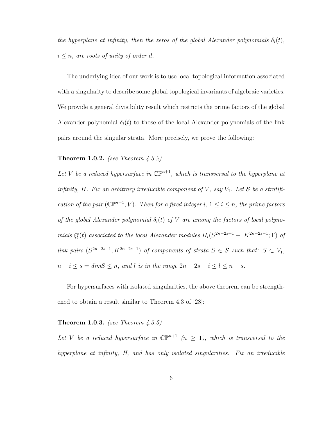the hyperplane at infinity, then the zeros of the global Alexander polynomials  $\delta_i(t)$ ,  $i \leq n$ , are roots of unity of order d.

The underlying idea of our work is to use local topological information associated with a singularity to describe some global topological invariants of algebraic varieties. We provide a general divisibility result which restricts the prime factors of the global Alexander polynomial  $\delta_i(t)$  to those of the local Alexander polynomials of the link pairs around the singular strata. More precisely, we prove the following:

#### **Theorem 1.0.2.** (see Theorem  $\angle 4.3.2$ )

Let V be a reduced hypersurface in  $\mathbb{CP}^{n+1}$ , which is transversal to the hyperplane at infinity, H. Fix an arbitrary irreducible component of V, say  $V_1$ . Let S be a stratification of the pair  $(\mathbb{CP}^{n+1}, V)$ . Then for a fixed integer i,  $1 \leq i \leq n$ , the prime factors of the global Alexander polynomial  $\delta_i(t)$  of V are among the factors of local polynomials  $\xi_l^s(t)$  associated to the local Alexander modules  $H_l(S^{2n-2s+1} - K^{2n-2s-1}; \Gamma)$  of link pairs  $(S^{2n-2s+1}, K^{2n-2s-1})$  of components of strata  $S \in \mathcal{S}$  such that:  $S \subset V_1$ ,  $n-i \leq s = \dim S \leq n$ , and l is in the range  $2n - 2s - i \leq l \leq n - s$ .

For hypersurfaces with isolated singularities, the above theorem can be strengthened to obtain a result similar to Theorem 4.3 of [28]:

#### **Theorem 1.0.3.** (see Theorem  $\angle 3.5$ )

Let V be a reduced hypersurface in  $\mathbb{CP}^{n+1}$   $(n \geq 1)$ , which is transversal to the hyperplane at infinity, H, and has only isolated singularities. Fix an irreducible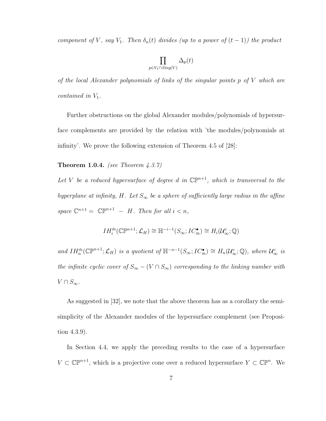component of V, say  $V_1$ . Then  $\delta_n(t)$  divides (up to a power of  $(t-1)$ ) the product

$$
\prod_{p \in V_1 \cap Sing(V)} \Delta_p(t)
$$

of the local Alexander polynomials of links of the singular points  $p$  of  $V$  which are contained in  $V_1$ .

Further obstructions on the global Alexander modules/polynomials of hypersurface complements are provided by the relation with 'the modules/polynomials at infinity'. We prove the following extension of Theorem 4.5 of [28]:

**Theorem 1.0.4.** (see Theorem  $\angle 4.3.7$ )

Let V be a reduced hypersurface of degree d in  $\mathbb{CP}^{n+1}$ , which is transversal to the hyperplane at infinity, H. Let  $S_{\infty}$  be a sphere of sufficiently large radius in the affine space  $\mathbb{C}^{n+1} = \mathbb{C} \mathbb{P}^{n+1} - H$ . Then for all  $i < n$ ,

$$
IH_{i}^{\bar{m}}(\mathbb{C}\mathbb{P}^{n+1};\mathcal{L}_{H})\cong \mathbb{H}^{-i-1}(S_{\infty}; IC_{\bar{m}}^{\bullet})\cong H_{i}(\mathcal{U}_{\infty}^{c};\mathbb{Q})
$$

and  $IH_{n}^{\bar{m}}(\mathbb{C}\mathbb{P}^{n+1};\mathcal{L}_{H})$  is a quotient of  $\mathbb{H}^{-n-1}(S_{\infty};IC_{\bar{m}}^{\bullet})\cong H_{n}(\mathcal{U}_{\infty}^{c};\mathbb{Q})$ , where  $\mathcal{U}_{\infty}^{c}$  is the infinite cyclic cover of  $S_{\infty} - (V \cap S_{\infty})$  corresponding to the linking number with  $V \cap S_{\infty}$ .

As suggested in [32], we note that the above theorem has as a corollary the semisimplicity of the Alexander modules of the hypersurface complement (see Proposition 4.3.9).

In Section 4.4, we apply the preceding results to the case of a hypersurface  $V \subset \mathbb{CP}^{n+1}$ , which is a projective cone over a reduced hypersurface  $Y \subset \mathbb{CP}^n$ . We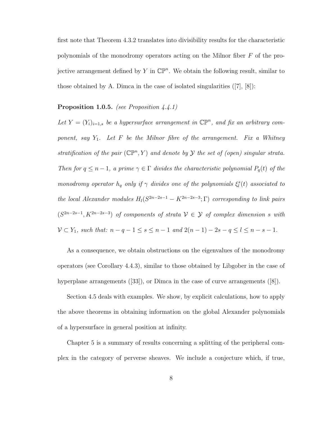first note that Theorem 4.3.2 translates into divisibility results for the characteristic polynomials of the monodromy operators acting on the Milnor fiber F of the projective arrangement defined by Y in  $\mathbb{CP}^n$ . We obtain the following result, similar to those obtained by A. Dimca in the case of isolated singularities  $(|7|, |8|)$ :

#### **Proposition 1.0.5.** (see Proposition  $4.4.1$ )

Let  $Y = (Y_i)_{i=1,s}$  be a hypersurface arrangement in  $\mathbb{CP}^n$ , and fix an arbitrary component, say  $Y_1$ . Let F be the Milnor fibre of the arrangement. Fix a Whitney stratification of the pair  $(\mathbb{CP}^n, Y)$  and denote by Y the set of (open) singular strata. Then for  $q \leq n-1$ , a prime  $\gamma \in \Gamma$  divides the characteristic polynomial  $P_q(t)$  of the monodromy operator  $h_q$  only if  $\gamma$  divides one of the polynomials  $\xi_l^s(t)$  associated to the local Alexander modules  $H_l(S^{2n-2s-1} - K^{2n-2s-3}; \Gamma)$  corresponding to link pairs  $(S^{2n-2s-1}, K^{2n-2s-3})$  of components of strata  $\mathcal{V} \in \mathcal{Y}$  of complex dimension s with  $V \subset Y_1$ , such that:  $n - q - 1 \le s \le n - 1$  and  $2(n - 1) - 2s - q \le l \le n - s - 1$ .

As a consequence, we obtain obstructions on the eigenvalues of the monodromy operators (see Corollary 4.4.3), similar to those obtained by Libgober in the case of hyperplane arrangements ([33]), or Dimca in the case of curve arrangements ([8]).

Section 4.5 deals with examples. We show, by explicit calculations, how to apply the above theorems in obtaining information on the global Alexander polynomials of a hypersurface in general position at infinity.

Chapter 5 is a summary of results concerning a splitting of the peripheral complex in the category of perverse sheaves. We include a conjecture which, if true,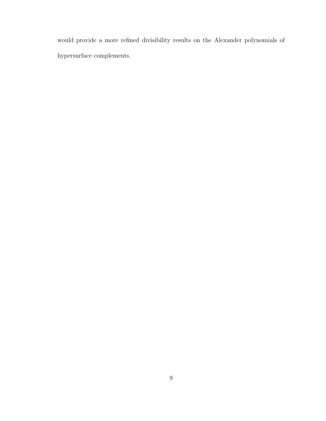would provide a more refined divisibility results on the Alexander polynomials of hypersurface complements.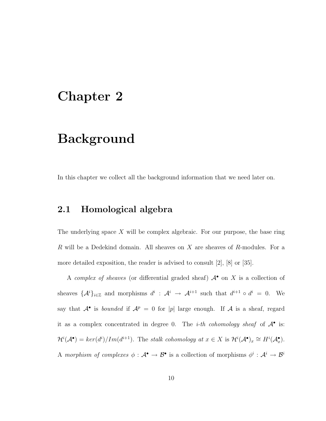## Chapter 2

## Background

In this chapter we collect all the background information that we need later on.

### 2.1 Homological algebra

The underlying space  $X$  will be complex algebraic. For our purpose, the base ring R will be a Dedekind domain. All sheaves on X are sheaves of R-modules. For a more detailed exposition, the reader is advised to consult [2], [8] or [35].

A complex of sheaves (or differential graded sheaf)  $A^{\bullet}$  on X is a collection of sheaves  $\{\mathcal{A}^i\}_{i\in\mathbb{Z}}$  and morphisms  $d^i$ :  $\mathcal{A}^i$   $\rightarrow$   $\mathcal{A}^{i+1}$  such that  $d^{i+1} \circ d^i = 0$ . We say that  $A^{\bullet}$  is *bounded* if  $A^p = 0$  for |p| large enough. If A is a sheaf, regard it as a complex concentrated in degree 0. The *i-th cohomology sheaf* of  $A^{\bullet}$  is:  $\mathcal{H}^i(\mathcal{A}^{\bullet}) = \text{ker}(d^i) / \text{Im}(d^{i+1})$ . The stalk cohomology at  $x \in X$  is  $\mathcal{H}^i(\mathcal{A}^{\bullet})_x \cong H^i(\mathcal{A}^{\bullet}_x)$ . A morphism of complexes  $\phi: \mathcal{A}^{\bullet} \to \mathcal{B}^{\bullet}$  is a collection of morphisms  $\phi^i: \mathcal{A}^i \to \mathcal{B}^i$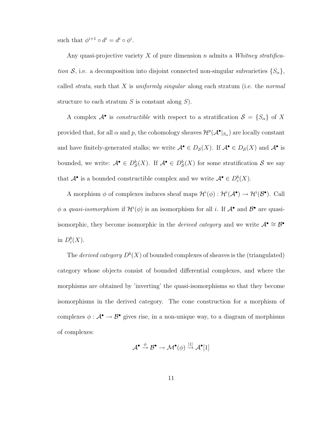such that  $\phi^{i+1} \circ d^i = d^i \circ \phi^i$ .

Any quasi-projective variety X of pure dimension n admits a Whitney stratification S, i.e. a decomposition into disjoint connected non-singular subvarieties  $\{S_{\alpha}\},$ called *strata*, such that X is *uniformly singular* along each stratum (i.e. the *normal* structure to each stratum  $S$  is constant along  $S$ ).

A complex  $\mathcal{A}^{\bullet}$  is *constructible* with respect to a stratification  $\mathcal{S} = \{S_{\alpha}\}\$  of X provided that, for all  $\alpha$  and  $p$ , the cohomology sheaves  $\mathcal{H}^p(\mathcal{A}^{\bullet}|_{S_{\alpha}})$  are locally constant and have finitely-generated stalks; we write  $\mathcal{A}^{\bullet} \in D_{\mathcal{S}}(X)$ . If  $\mathcal{A}^{\bullet} \in D_{\mathcal{S}}(X)$  and  $\mathcal{A}^{\bullet}$  is bounded, we write:  $\mathcal{A}^{\bullet} \in D^b_{\mathcal{S}}(X)$ . If  $\mathcal{A}^{\bullet} \in D^b_{\mathcal{S}}(X)$  for some stratification  $\mathcal{S}$  we say that  $\mathcal{A}^{\bullet}$  is a bounded constructible complex and we write  $\mathcal{A}^{\bullet} \in D_{c}^{b}(X)$ .

A morphism  $\phi$  of complexes induces sheaf maps  $\mathcal{H}^i(\phi) : \mathcal{H}^i(\mathcal{A}^{\bullet}) \to \mathcal{H}^i(\mathcal{B}^{\bullet})$ . Call  $\phi$  a quasi-isomorphism if  $\mathcal{H}^i(\phi)$  is an isomorphism for all i. If  $\mathcal{A}^{\bullet}$  and  $\mathcal{B}^{\bullet}$  are quasiisomorphic, they become isomorphic in the *derived category* and we write  $\mathcal{A}^{\bullet} \cong \mathcal{B}^{\bullet}$ in  $D_c^b(X)$ .

The *derived category*  $D^b(X)$  of bounded complexes of sheaves is the (triangulated) category whose objects consist of bounded differential complexes, and where the morphisms are obtained by 'inverting' the quasi-isomorphisms so that they become isomorphisms in the derived category. The cone construction for a morphism of complexes  $\phi : \mathcal{A}^{\bullet} \to \mathcal{B}^{\bullet}$  gives rise, in a non-unique way, to a diagram of morphisms of complexes:

$$
\mathcal{A}^{\bullet} \stackrel{\phi}{\rightarrow} \mathcal{B}^{\bullet} \rightarrow \mathcal{M}^{\bullet}(\phi) \stackrel{[1]}{\rightarrow} \mathcal{A}^{\bullet}[1]
$$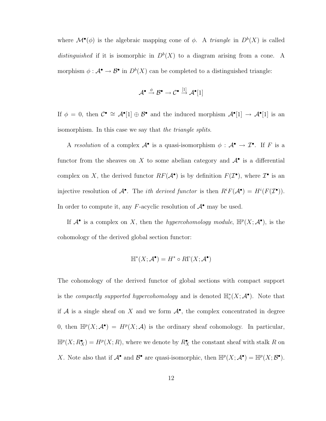where  $\mathcal{M}^{\bullet}(\phi)$  is the algebraic mapping cone of  $\phi$ . A *triangle* in  $D^{b}(X)$  is called distinguished if it is isomorphic in  $D^b(X)$  to a diagram arising from a cone. A morphism  $\phi: \mathcal{A}^{\bullet} \to \mathcal{B}^{\bullet}$  in  $D^{b}(X)$  can be completed to a distinguished triangle:

$$
\mathcal{A}^{\bullet} \xrightarrow{\phi} \mathcal{B}^{\bullet} \to \mathcal{C}^{\bullet} \xrightarrow{[1]} \mathcal{A}^{\bullet}[1]
$$

If  $\phi = 0$ , then  $\mathcal{C}^{\bullet} \cong \mathcal{A}^{\bullet}[1] \oplus \mathcal{B}^{\bullet}$  and the induced morphism  $\mathcal{A}^{\bullet}[1] \to \mathcal{A}^{\bullet}[1]$  is an isomorphism. In this case we say that the triangle splits.

A resolution of a complex  $\mathcal{A}^{\bullet}$  is a quasi-isomorphism  $\phi : \mathcal{A}^{\bullet} \to \mathcal{I}^{\bullet}$ . If F is a functor from the sheaves on X to some abelian category and  $\mathcal{A}^{\bullet}$  is a differential complex on X, the derived functor  $RF(\mathcal{A}^{\bullet})$  is by definition  $F(\mathcal{I}^{\bullet})$ , where  $\mathcal{I}^{\bullet}$  is an injective resolution of  $\mathcal{A}^{\bullet}$ . The *ith derived functor* is then  $R^i F(\mathcal{A}^{\bullet}) = H^i(F(\mathcal{I}^{\bullet}))$ . In order to compute it, any F-acyclic resolution of  $\mathcal{A}^{\bullet}$  may be used.

If  $\mathcal{A}^{\bullet}$  is a complex on X, then the *hypercohomology module*,  $\mathbb{H}^p(X; \mathcal{A}^{\bullet})$ , is the cohomology of the derived global section functor:

$$
\mathbb{H}^*(X; \mathcal{A}^\bullet) = H^* \circ R\Gamma(X; \mathcal{A}^\bullet)
$$

The cohomology of the derived functor of global sections with compact support is the *compactly supported hypercohomology* and is denoted  $\mathbb{H}_c^*(X; \mathcal{A}^{\bullet})$ . Note that if A is a single sheaf on X and we form  $A^{\bullet}$ , the complex concentrated in degree 0, then  $\mathbb{H}^p(X; \mathcal{A}^{\bullet}) = H^p(X; \mathcal{A})$  is the ordinary sheaf cohomology. In particular,  $\mathbb{H}^p(X; R_X^{\bullet}) = H^p(X; R)$ , where we denote by  $R_X^{\bullet}$  the constant sheaf with stalk R on X. Note also that if  $\mathcal{A}^{\bullet}$  and  $\mathcal{B}^{\bullet}$  are quasi-isomorphic, then  $\mathbb{H}^p(X; \mathcal{A}^{\bullet}) = \mathbb{H}^p(X; \mathcal{B}^{\bullet})$ .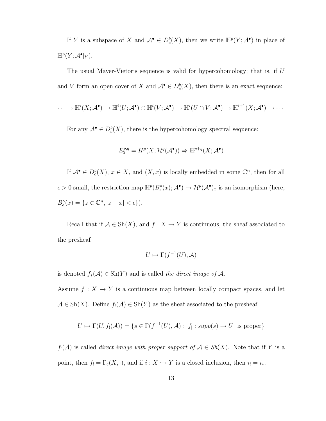If Y is a subspace of X and  $\mathcal{A}^{\bullet} \in D_c^b(X)$ , then we write  $\mathbb{H}^p(Y; \mathcal{A}^{\bullet})$  in place of  $\mathbb{H}^p(Y; \mathcal{A}^{\bullet}|_Y).$ 

The usual Mayer-Vietoris sequence is valid for hypercohomology; that is, if U and V form an open cover of X and  $\mathcal{A}^{\bullet} \in D_{c}^{b}(X)$ , then there is an exact sequence:

$$
\cdots \to \mathbb{H}^i(X; \mathcal{A}^{\bullet}) \to \mathbb{H}^i(U; \mathcal{A}^{\bullet}) \oplus \mathbb{H}^i(V; \mathcal{A}^{\bullet}) \to \mathbb{H}^i(U \cap V; \mathcal{A}^{\bullet}) \to \mathbb{H}^{i+1}(X; \mathcal{A}^{\bullet}) \to \cdots
$$

For any  $\mathcal{A}^{\bullet} \in D^b_c(X)$ , there is the hypercohomology spectral sequence:

$$
E_2^{p,q} = H^p(X; \mathcal{H}^q(\mathcal{A}^\bullet)) \Rightarrow \mathbb{H}^{p+q}(X; \mathcal{A}^\bullet)
$$

If  $\mathcal{A}^{\bullet} \in D^b_c(X)$ ,  $x \in X$ , and  $(X, x)$  is locally embedded in some  $\mathbb{C}^n$ , then for all  $\epsilon > 0$  small, the restriction map  $\mathbb{H}^p(B_\epsilon^\circ(x); \mathcal{A}^\bullet) \to \mathcal{H}^p(\mathcal{A}^\bullet)_x$  is an isomorphism (here,  $B_{\epsilon}^{\circ}(x) = \{z \in \mathbb{C}^n, |z - x| < \epsilon\}.$ 

Recall that if  $\mathcal{A} \in Sh(X)$ , and  $f: X \to Y$  is continuous, the sheaf associated to the presheaf

$$
U \mapsto \Gamma(f^{-1}(U), \mathcal{A})
$$

is denoted  $f_*(A) \in Sh(Y)$  and is called the direct image of A.

Assume  $f: X \to Y$  is a continuous map between locally compact spaces, and let  $\mathcal{A} \in Sh(X)$ . Define  $f_!(\mathcal{A}) \in Sh(Y)$  as the sheaf associated to the presheaf

$$
U \mapsto \Gamma(U, f_!(\mathcal{A})) = \{ s \in \Gamma(f^{-1}(U), \mathcal{A}) ; f_! : supp(s) \to U \text{ is proper} \}
$$

 $f_!(\mathcal{A})$  is called *direct image with proper support of*  $\mathcal{A} \in Sh(X)$ . Note that if Y is a point, then  $f_! = \Gamma_c(X, \cdot)$ , and if  $i : X \hookrightarrow Y$  is a closed inclusion, then  $i_! = i_*$ .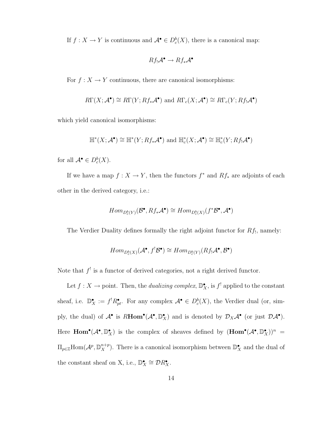If  $f: X \to Y$  is continuous and  $\mathcal{A}^{\bullet} \in D_{c}^{b}(X)$ , there is a canonical map:

$$
Rf_!\mathcal{A}^\bullet \to Rf_*\mathcal{A}^\bullet
$$

For  $f: X \to Y$  continuous, there are canonical isomorphisms:

$$
R\Gamma(X; \mathcal{A}^{\bullet}) \cong R\Gamma(Y; Rf_*\mathcal{A}^{\bullet}) \text{ and } R\Gamma_c(X; \mathcal{A}^{\bullet}) \cong R\Gamma_c(Y; Rf_!\mathcal{A}^{\bullet})
$$

which yield canonical isomorphisms:

$$
\mathbb{H}^*(X; \mathcal{A}^{\bullet}) \cong \mathbb{H}^*(Y; Rf_*\mathcal{A}^{\bullet}) \text{ and } \mathbb{H}_c^*(X; \mathcal{A}^{\bullet}) \cong \mathbb{H}_c^*(Y; Rf_!\mathcal{A}^{\bullet})
$$

for all  $\mathcal{A}^{\bullet} \in D_{c}^{b}(X)$ .

If we have a map  $f: X \to Y$ , then the functors  $f^*$  and  $Rf_*$  are adjoints of each other in the derived category, i.e.:

$$
Hom_{D_c^b(Y)}(\mathcal{B}^{\bullet}, Rf_*\mathcal{A}^{\bullet}) \cong Hom_{D_c^b(X)}(f^*\mathcal{B}^{\bullet}, \mathcal{A}^{\bullet})
$$

The Verdier Duality defines formally the right adjoint functor for  $Rf_1$ , namely:

$$
Hom_{D_c^b(X)}(\mathcal{A}^\bullet, f^!\mathcal{B}^\bullet) \cong Hom_{D_c^b(Y)}(Rf_!\mathcal{A}^\bullet, \mathcal{B}^\bullet)
$$

Note that  $f^!$  is a functor of derived categories, not a right derived functor.

Let  $f: X \to \text{point}$ . Then, the *dualizing complex*,  $\mathbb{D}_{X}^{\bullet}$ , is  $f^!$  applied to the constant sheaf, i.e.  $\mathbb{D}_{X}^{\bullet} := f^{!} R_{pt}^{\bullet}$ . For any complex  $\mathcal{A}^{\bullet} \in D_{c}^{b}(X)$ , the Verdier dual (or, simply, the dual) of  $\mathcal{A}^{\bullet}$  is  $R\text{Hom}^{\bullet}(\mathcal{A}^{\bullet}, \mathbb{D}_{X}^{\bullet})$  and is denoted by  $\mathcal{D}_{X}\mathcal{A}^{\bullet}$  (or just  $\mathcal{D}\mathcal{A}^{\bullet}$ ). Here  $\text{Hom}^{\bullet}(\mathcal{A}^{\bullet}, \mathbb{D}_{X}^{\bullet})$  is the complex of sheaves defined by  $(\text{Hom}^{\bullet}(\mathcal{A}^{\bullet}, \mathbb{D}_{X}^{\bullet}))^{n}$  =  $\Pi_{p\in\mathbb{Z}}\text{Hom}(\mathcal{A}^p,\mathbb{D}^{n+p}_{X}).$  There is a canonical isomorphism between  $\mathbb{D}^{\bullet}_{X}$  and the dual of the constant sheaf on X, i.e.,  $\mathbb{D}_{X}^{\bullet} \cong \mathcal{D}R_{X}^{\bullet}$ .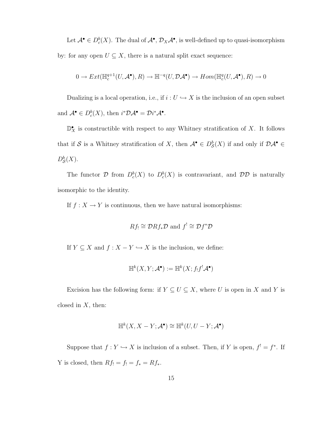Let  $\mathcal{A}^{\bullet} \in D_{c}^{b}(X)$ . The dual of  $\mathcal{A}^{\bullet}$ ,  $\mathcal{D}_{X} \mathcal{A}^{\bullet}$ , is well-defined up to quasi-isomorphism by: for any open  $U \subseteq X$ , there is a natural split exact sequence:

$$
0 \to Ext(\mathbb{H}^{q+1}_c(U,\mathcal{A}^\bullet),R) \to \mathbb{H}^{-q}(U,\mathcal{DA}^\bullet) \to Hom(\mathbb{H}^q_c(U,\mathcal{A}^\bullet),R) \to 0
$$

Dualizing is a local operation, i.e., if  $i : U \hookrightarrow X$  is the inclusion of an open subset and  $\mathcal{A}^{\bullet} \in D_{c}^{b}(X)$ , then  $i^*\mathcal{D}\mathcal{A}^{\bullet} = \mathcal{D}i^*\mathcal{A}^{\bullet}$ .

 $\mathbb{D}^{\bullet}_X$  is constructible with respect to any Whitney stratification of X. It follows that if S is a Whitney stratification of X, then  $\mathcal{A}^{\bullet} \in D_{\mathcal{S}}^{b}(X)$  if and only if  $\mathcal{DA}^{\bullet} \in$  $D^b_{\mathcal{S}}(X)$ .

The functor  $\mathcal{D}$  from  $D_c^b(X)$  to  $D_c^b(X)$  is contravariant, and  $\mathcal{D}\mathcal{D}$  is naturally isomorphic to the identity.

If  $f: X \to Y$  is continuous, then we have natural isomorphisms:

$$
Rf_! \cong \mathcal{D}Rf_*\mathcal{D}
$$
 and  $f^! \cong \mathcal{D}f^*\mathcal{D}$ 

If  $Y \subseteq X$  and  $f : X - Y \hookrightarrow X$  is the inclusion, we define:

$$
\mathbb{H}^k(X,Y;\mathcal{A}^\bullet):=\mathbb{H}^k(X;f_!f^!\mathcal{A}^\bullet)
$$

Excision has the following form: if  $Y \subseteq U \subseteq X$ , where U is open in X and Y is closed in  $X$ , then:

$$
\mathbb{H}^k(X, X - Y; \mathcal{A}^\bullet) \cong \mathbb{H}^k(U, U - Y; \mathcal{A}^\bullet)
$$

Suppose that  $f: Y \hookrightarrow X$  is inclusion of a subset. Then, if Y is open,  $f' = f^*$ . If Y is closed, then  $Rf_! = f_! = f_* = Rf_*$ .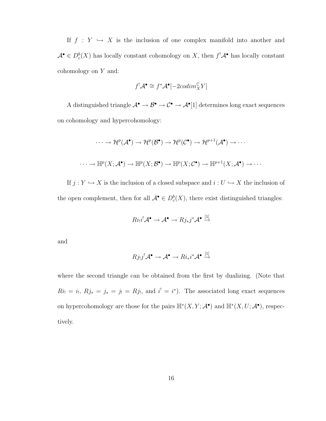If  $f : Y \hookrightarrow X$  is the inclusion of one complex manifold into another and  $\mathcal{A}^{\bullet} \in D_{c}^{b}(X)$  has locally constant cohomology on X, then  $f^{!}\mathcal{A}^{\bullet}$  has locally constant cohomology on Y and:

$$
f^! \mathcal{A}^\bullet \cong f^* \mathcal{A}^\bullet[-2codim_X^{\mathbb{C}} Y]
$$

A distinguished triangle  $\mathcal{A}^{\bullet} \to \mathcal{B}^{\bullet} \to \mathcal{C}^{\bullet} \to \mathcal{A}^{\bullet}[1]$  determines long exact sequences on cohomology and hypercohomology:

$$
\cdots \to \mathcal{H}^p(\mathcal{A}^{\bullet}) \to \mathcal{H}^p(\mathcal{B}^{\bullet}) \to \mathcal{H}^p(\mathcal{C}^{\bullet}) \to \mathcal{H}^{p+1}(\mathcal{A}^{\bullet}) \to \cdots
$$
  

$$
\cdots \to \mathbb{H}^p(X; \mathcal{A}^{\bullet}) \to \mathbb{H}^p(X; \mathcal{B}^{\bullet}) \to \mathbb{H}^p(X; \mathcal{C}^{\bullet}) \to \mathbb{H}^{p+1}(X; \mathcal{A}^{\bullet}) \to \cdots
$$

If  $j: Y \hookrightarrow X$  is the inclusion of a closed subspace and  $i: U \hookrightarrow X$  the inclusion of the open complement, then for all  $\mathcal{A}^{\bullet} \in D_{c}^{b}(X)$ , there exist distinguished triangles:

$$
Ri_!i^!{\cal A}^{\bullet} \to {\cal A}^{\bullet} \to Rj_*j^*{\cal A}^{\bullet} \stackrel{[1]}{\to}
$$

and

$$
Rj_!j^!{\cal A}^{\bullet} \to {\cal A}^{\bullet} \to Ri_*i^*{\cal A}^{\bullet} \stackrel{[1]}{\to}
$$

where the second triangle can be obtained from the first by dualizing. (Note that  $Ri_! = i_!, Rj_* = j_* = j_! = Rj_!,$  and  $i' = i^*$ ). The associated long exact sequences on hypercohomology are those for the pairs  $\mathbb{H}^*(X, Y; \mathcal{A}^{\bullet})$  and  $\mathbb{H}^*(X, U; \mathcal{A}^{\bullet})$ , respectively.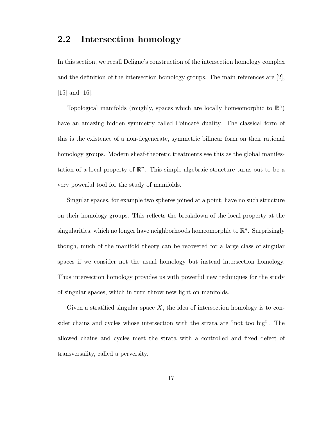## 2.2 Intersection homology

In this section, we recall Deligne's construction of the intersection homology complex and the definition of the intersection homology groups. The main references are  $[2]$ , [15] and [16].

Topological manifolds (roughly, spaces which are locally homeomorphic to  $\mathbb{R}^n$ ) have an amazing hidden symmetry called Poincaré duality. The classical form of this is the existence of a non-degenerate, symmetric bilinear form on their rational homology groups. Modern sheaf-theoretic treatments see this as the global manifestation of a local property of  $\mathbb{R}^n$ . This simple algebraic structure turns out to be a very powerful tool for the study of manifolds.

Singular spaces, for example two spheres joined at a point, have no such structure on their homology groups. This reflects the breakdown of the local property at the singularities, which no longer have neighborhoods homeomorphic to  $\mathbb{R}^n$ . Surprisingly though, much of the manifold theory can be recovered for a large class of singular spaces if we consider not the usual homology but instead intersection homology. Thus intersection homology provides us with powerful new techniques for the study of singular spaces, which in turn throw new light on manifolds.

Given a stratified singular space  $X$ , the idea of intersection homology is to consider chains and cycles whose intersection with the strata are "not too big". The allowed chains and cycles meet the strata with a controlled and fixed defect of transversality, called a perversity.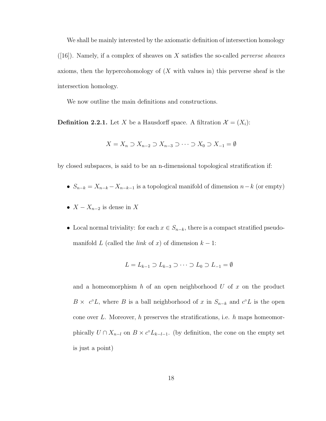We shall be mainly interested by the axiomatic definition of intersection homology  $([16])$ . Namely, if a complex of sheaves on X satisfies the so-called *perverse sheaves* axioms, then the hypercohomology of  $(X$  with values in) this perverse sheaf is the intersection homology.

We now outline the main definitions and constructions.

**Definition 2.2.1.** Let X be a Hausdorff space. A filtration  $\mathcal{X} = (X_i)$ :

$$
X = X_n \supset X_{n-2} \supset X_{n-3} \supset \cdots \supset X_0 \supset X_{-1} = \emptyset
$$

by closed subspaces, is said to be an n-dimensional topological stratification if:

- $S_{n-k} = X_{n-k} X_{n-k-1}$  is a topological manifold of dimension  $n-k$  (or empty)
- $X X_{n-2}$  is dense in X
- Local normal triviality: for each  $x \in S_{n-k}$ , there is a compact stratified pseudomanifold L (called the *link* of x) of dimension  $k - 1$ :

$$
L = L_{k-1} \supset L_{k-3} \supset \cdots \supset L_0 \supset L_{-1} = \emptyset
$$

and a homeomorphism h of an open neighborhood  $U$  of  $x$  on the product  $B \times c^{\circ}L$ , where B is a ball neighborhood of x in  $S_{n-k}$  and  $c^{\circ}L$  is the open cone over L. Moreover, h preserves the stratifications, i.e. h maps homeomorphically  $U \cap X_{n-l}$  on  $B \times c^{\circ} L_{k-l-1}$ . (by definition, the cone on the empty set is just a point)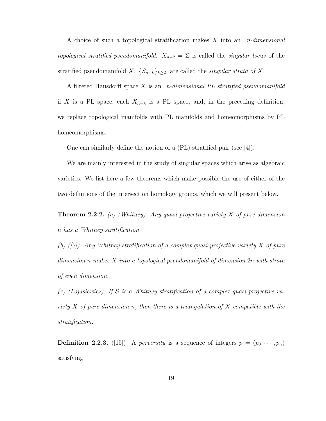A choice of such a topological stratification makes  $X$  into an  $n$ -dimensional topological stratified pseudomanifold.  $X_{n-2} = \Sigma$  is called the singular locus of the stratified pseudomanifold X.  $\{S_{n-k}\}_{k\geq 2}$ , are called the *singular strata of* X.

A filtered Hausdorff space X is an *n*-dimensional PL stratified pseudomanifold if X is a PL space, each  $X_{n-k}$  is a PL space, and, in the preceding definition, we replace topological manifolds with PL manifolds and homeomorphisms by PL homeomorphisms.

One can similarly define the notion of a (PL) stratified pair (see [4]).

We are mainly interested in the study of singular spaces which arise as algebraic varieties. We list here a few theorems which make possible the use of either of the two definitions of the intersection homology groups, which we will present below.

**Theorem 2.2.2.** (a) (Whitney) Any quasi-projective variety X of pure dimension n has a Whitney stratification.

(b)  $([2])$  Any Whitney stratification of a complex quasi-projective variety X of pure dimension n makes X into a topological pseudomanifold of dimension 2n with strata of even dimension.

(c) (Lojasiewicz) If S is a Whitney stratification of a complex quasi-projective variety X of pure dimension n, then there is a triangulation of X compatible with the stratification.

**Definition 2.2.3.** ([15]) A *perversity* is a sequence of integers  $\bar{p} = (p_0, \dots, p_n)$ satisfying: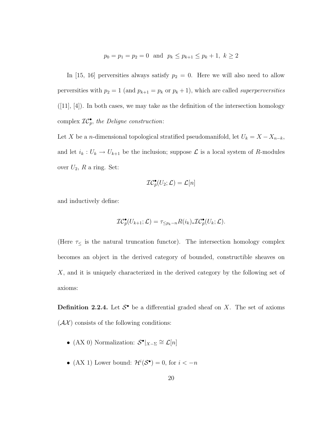$$
p_0 = p_1 = p_2 = 0
$$
 and  $p_k \le p_{k+1} \le p_k + 1, k \ge 2$ 

In [15, 16] perversities always satisfy  $p_2 = 0$ . Here we will also need to allow perversities with  $p_2 = 1$  (and  $p_{k+1} = p_k$  or  $p_k + 1$ ), which are called *superperversities*  $([11], [4])$ . In both cases, we may take as the definition of the intersection homology complex  $\mathcal{IC}_{\bar{p}}^{\bullet}$ , the Deligne construction:

Let X be a n-dimensional topological stratified pseudomanifold, let  $U_k = X - X_{n-k}$ , and let  $i_k : U_k \to U_{k+1}$  be the inclusion; suppose  $\mathcal L$  is a local system of R-modules over  $U_2$ , R a ring. Set:

$$
\mathcal{IC}_{\bar{p}}^{\bullet}(U_2;\mathcal{L})=\mathcal{L}[n]
$$

and inductively define:

$$
\mathcal{IC}_{\bar{p}}^{\bullet}(U_{k+1};\mathcal{L})=\tau_{\leq p_k-n}R(i_k)_*\mathcal{IC}_{\bar{p}}^{\bullet}(U_k;\mathcal{L}).
$$

(Here  $\tau_{\leq}$  is the natural truncation functor). The intersection homology complex becomes an object in the derived category of bounded, constructible sheaves on X, and it is uniquely characterized in the derived category by the following set of axioms:

**Definition 2.2.4.** Let  $S^{\bullet}$  be a differential graded sheaf on X. The set of axioms  $(\mathcal{A}\mathcal{X})$  consists of the following conditions:

- (AX 0) Normalization:  $S^{\bullet}|_{X-\Sigma} \cong \mathcal{L}[n]$
- (AX 1) Lower bound:  $\mathcal{H}^i(\mathcal{S}^{\bullet}) = 0$ , for  $i < -n$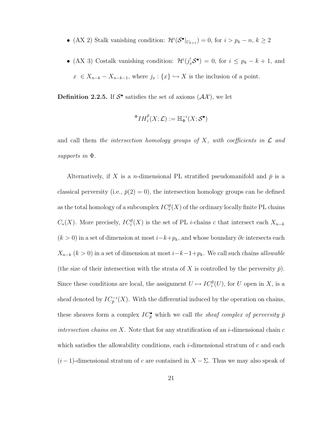- (AX 2) Stalk vanishing condition:  $\mathcal{H}^i(\mathcal{S}^{\bullet}|_{U_{k+1}}) = 0$ , for  $i > p_k n, k \ge 2$
- (AX 3) Costalk vanishing condition:  $\mathcal{H}^i(j_x^!\mathcal{S}^{\bullet}) = 0$ , for  $i \leq p_k k + 1$ , and  $x \in X_{n-k} - X_{n-k-1}$ , where  $j_x : \{x\} \hookrightarrow X$  is the inclusion of a point.

**Definition 2.2.5.** If  $S^{\bullet}$  satisfies the set of axioms  $(\mathcal{A}\mathcal{X})$ , we let

$$
{}^{\Phi}IH_{i}^{\bar{p}}(X;\mathcal{L}):={\mathbb{H}}_{\Phi}^{-i}(X;\mathcal{S}^{\bullet})
$$

and call them the intersection homology groups of  $X$ , with coefficients in  $\mathcal L$  and supports in Φ.

Alternatively, if X is a *n*-dimensional PL stratified pseudomanifold and  $\bar{p}$  is a classical perversity (i.e.,  $\bar{p}(2) = 0$ ), the intersection homology groups can be defined as the total homology of a subcomplex  $IC_*^{\bar p}(X)$  of the ordinary locally finite PL chains  $C_*(X)$ . More precisely,  $IC_i^{\bar{p}}(X)$  is the set of PL *i*-chains c that intersect each  $X_{n-k}$  $(k > 0)$  in a set of dimension at most  $i-k+p_k$ , and whose boundary  $\partial c$  intersects each  $X_{n-k}$  (k > 0) in a set of dimension at most  $i-k-1+p_k$ . We call such chains *allowable* (the size of their intersection with the strata of X is controlled by the perversity  $\bar{p}$ ). Since these conditions are local, the assignment  $U \mapsto IC_i^{\bar{p}}(U)$ , for U open in X, is a sheaf denoted by  $IC_{\bar{p}}^{-i}(X)$ . With the differential induced by the operation on chains, these sheaves form a complex  $IC_{\bar{p}}^{\bullet}$  which we call the sheaf complex of perversity  $\bar{p}$ intersection chains on X. Note that for any stratification of an  $i$ -dimensional chain  $c$ which satisfies the allowability conditions, each  $i$ -dimensional stratum of c and each  $(i-1)$ -dimensional stratum of c are contained in  $X - \Sigma$ . Thus we may also speak of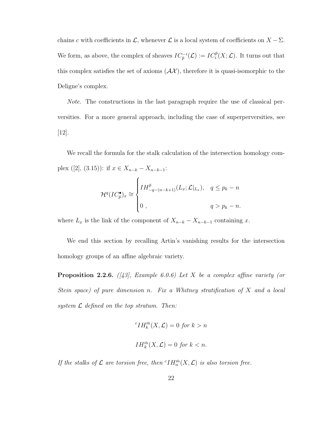chains c with coefficients in  $\mathcal{L}$ , whenever  $\mathcal{L}$  is a local system of coefficients on  $X - \Sigma$ . We form, as above, the complex of sheaves  $IC_{\bar{p}}^{-i}(\mathcal{L}) := IC_{i}^{\bar{p}}(X;\mathcal{L})$ . It turns out that this complex satisfies the set of axioms  $(\mathcal{A}\mathcal{X})$ , therefore it is quasi-isomorphic to the Deligne's complex.

Note. The constructions in the last paragraph require the use of classical perversities. For a more general approach, including the case of superperversities, see [12].

We recall the formula for the stalk calculation of the intersection homology complex ([2], (3.15)): if  $x \in X_{n-k} - X_{n-k-1}$ :

$$
\mathcal{H}^q (IC_{\bar{p}}^{\bullet})_x \cong \begin{cases} IH_{-q-(n-k+1)}^{\bar{p}}(L_x;\mathcal{L}|_{L_x}), & q \leq p_k - n \\ 0, & q > p_k - n. \end{cases}
$$

where  $L_x$  is the link of the component of  $X_{n-k} - X_{n-k-1}$  containing x.

We end this section by recalling Artin's vanishing results for the intersection homology groups of an affine algebraic variety.

**Proposition 2.2.6.** ([43], Example 6.0.6) Let X be a complex affine variety (or Stein space) of pure dimension n. Fix a Whitney stratification of X and a local system  $\mathcal L$  defined on the top stratum. Then:

$$
{}^{c}IH_{k}^{\bar{m}}(X,\mathcal{L}) = 0 \text{ for } k > n
$$
  

$$
IH_{k}^{\bar{m}}(X,\mathcal{L}) = 0 \text{ for } k < n.
$$

If the stalks of  $\mathcal L$  are torsion free, then  ${}^c IH_n^{\bar m}(X,\mathcal L)$  is also torsion free.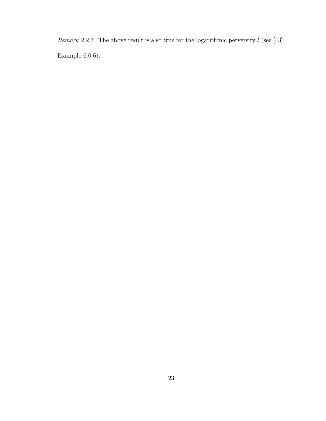Remark 2.2.7. The above result is also true for the logarithmic perversity  $\bar{l}$  (see [43], Example 6.0.6).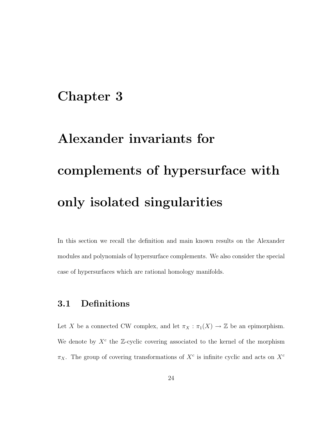# Chapter 3

# Alexander invariants for complements of hypersurface with only isolated singularities

In this section we recall the definition and main known results on the Alexander modules and polynomials of hypersurface complements. We also consider the special case of hypersurfaces which are rational homology manifolds.

## 3.1 Definitions

Let X be a connected CW complex, and let  $\pi_X : \pi_1(X) \to \mathbb{Z}$  be an epimorphism. We denote by  $X^c$  the Z-cyclic covering associated to the kernel of the morphism  $\pi_X$ . The group of covering transformations of  $X^c$  is infinite cyclic and acts on  $X^c$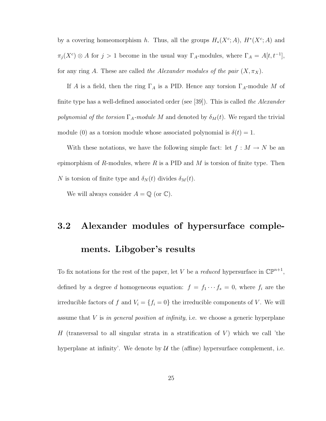by a covering homeomorphism h. Thus, all the groups  $H_*(X^c;A)$ ,  $H^*(X^c;A)$  and  $\pi_j(X^c) \otimes A$  for  $j > 1$  become in the usual way  $\Gamma_A$ -modules, where  $\Gamma_A = A[t, t^{-1}],$ for any ring A. These are called the Alexander modules of the pair  $(X, \pi_X)$ .

If A is a field, then the ring  $\Gamma_A$  is a PID. Hence any torsion  $\Gamma_A$ -module M of finite type has a well-defined associated order (see [39]). This is called the Alexander polynomial of the torsion  $\Gamma_A$ -module M and denoted by  $\delta_M(t)$ . We regard the trivial module (0) as a torsion module whose associated polynomial is  $\delta(t) = 1$ .

With these notations, we have the following simple fact: let  $f : M \to N$  be an epimorphism of R-modules, where  $R$  is a PID and  $M$  is torsion of finite type. Then N is torsion of finite type and  $\delta_N(t)$  divides  $\delta_M(t)$ .

We will always consider  $A = \mathbb{Q}$  (or  $\mathbb{C}$ ).

# 3.2 Alexander modules of hypersurface complements. Libgober's results

To fix notations for the rest of the paper, let V be a reduced hypersurface in  $\mathbb{CP}^{n+1}$ , defined by a degree d homogeneous equation:  $f = f_1 \cdots f_s = 0$ , where  $f_i$  are the irreducible factors of f and  $V_i = \{f_i = 0\}$  the irreducible components of V. We will assume that  $V$  is in general position at infinity, i.e. we choose a generic hyperplane H (transversal to all singular strata in a stratification of  $V$ ) which we call 'the hyperplane at infinity'. We denote by  $\mathcal U$  the (affine) hypersurface complement, i.e.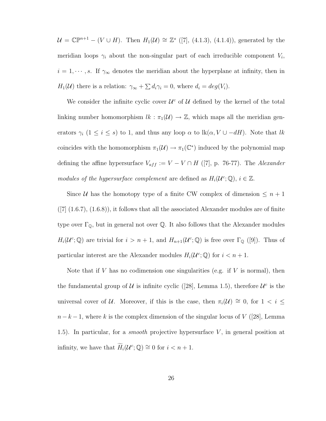$\mathcal{U} = \mathbb{C}\mathbb{P}^{n+1} - (V \cup H)$ . Then  $H_1(\mathcal{U}) \cong \mathbb{Z}^s$  ([7], (4.1.3), (4.1.4)), generated by the meridian loops  $\gamma_i$  about the non-singular part of each irreducible component  $V_i$ ,  $i = 1, \dots, s$ . If  $\gamma_{\infty}$  denotes the meridian about the hyperplane at infinity, then in  $H_1(\mathcal{U})$  there is a relation:  $\gamma_{\infty} + \sum d_i \gamma_i = 0$ , where  $d_i = deg(V_i)$ .

We consider the infinite cyclic cover  $\mathcal{U}^c$  of  $\mathcal{U}$  defined by the kernel of the total linking number homomorphism  $lk : \pi_1(\mathcal{U}) \to \mathbb{Z}$ , which maps all the meridian generators  $\gamma_i$  (1 ≤ i ≤ s) to 1, and thus any loop  $\alpha$  to lk( $\alpha$ ,  $V \cup -dH$ ). Note that lk coincides with the homomorphism  $\pi_1(\mathcal{U}) \to \pi_1(\mathbb{C}^*)$  induced by the polynomial map defining the affine hypersurface  $V_{aff} := V - V \cap H$  ([7], p. 76-77). The *Alexander* modules of the hypersurface complement are defined as  $H_i(\mathcal{U}^c; \mathbb{Q}), i \in \mathbb{Z}$ .

Since U has the homotopy type of a finite CW complex of dimension  $\leq n+1$  $(|7| (1.6.7), (1.6.8)),$  it follows that all the associated Alexander modules are of finite type over  $\Gamma_{\mathbb{Q}}$ , but in general not over  $\mathbb{Q}$ . It also follows that the Alexander modules  $H_i(\mathcal{U}^c;\mathbb{Q})$  are trivial for  $i > n+1$ , and  $H_{n+1}(\mathcal{U}^c;\mathbb{Q})$  is free over  $\Gamma_{\mathbb{Q}}$  ([9]). Thus of particular interest are the Alexander modules  $H_i(\mathcal{U}^c; \mathbb{Q})$  for  $i < n + 1$ .

Note that if V has no codimension one singularities (e.g. if V is normal), then the fundamental group of U is infinite cyclic ([28], Lemma 1.5), therefore  $\mathcal{U}^c$  is the universal cover of U. Moreover, if this is the case, then  $\pi_i(\mathcal{U}) \cong 0$ , for  $1 < i \leq$  $n-k-1$ , where k is the complex dimension of the singular locus of V ([28], Lemma 1.5). In particular, for a *smooth* projective hypersurface  $V$ , in general position at infinity, we have that  $\widetilde{H}_i(\mathcal{U}^c;\mathbb{Q}) \cong 0$  for  $i < n + 1$ .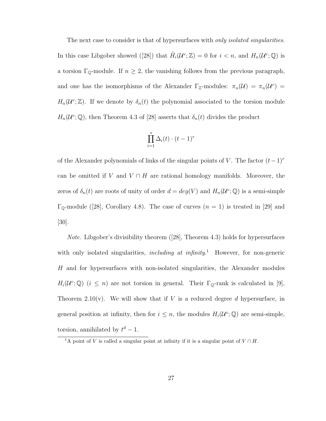The next case to consider is that of hypersurfaces with *only isolated singularities*. In this case Libgober showed ([28]) that  $\tilde{H}_i(\mathcal{U}^c;\mathbb{Z})=0$  for  $i < n$ , and  $H_n(\mathcal{U}^c;\mathbb{Q})$  is a torsion  $\Gamma_{\mathbb{Q}}$ -module. If  $n \geq 2$ , the vanishing follows from the previous paragraph, and one has the isomorphisms of the Alexander  $\Gamma_{\mathbb{Z}}$ -modules:  $\pi_n(\mathcal{U}) = \pi_n(\mathcal{U}^c)$  $H_n(\mathcal{U}^c;\mathbb{Z})$ . If we denote by  $\delta_n(t)$  the polynomial associated to the torsion module  $H_n(\mathcal{U}^c;\mathbb{Q})$ , then Theorem 4.3 of [28] asserts that  $\delta_n(t)$  divides the product

$$
\prod_{i=1}^{s} \Delta_i(t) \cdot (t-1)^r
$$

of the Alexander polynomials of links of the singular points of V. The factor  $(t-1)^r$ can be omitted if V and  $V \cap H$  are rational homology manifolds. Moreover, the zeros of  $\delta_n(t)$  are roots of unity of order  $d = deg(V)$  and  $H_n(\mathcal{U}^c; \mathbb{Q})$  is a semi-simple  $\Gamma_{\mathbb{Q}}$ -module ([28], Corollary 4.8). The case of curves  $(n = 1)$  is treated in [29] and [30].

*Note.* Libgober's divisibility theorem  $(28)$ , Theorem 4.3) holds for hypersurfaces with only isolated singularities, *including at infinity*.<sup>1</sup> However, for non-generic H and for hypersurfaces with non-isolated singularities, the Alexander modules  $H_i(\mathcal{U}^c;\mathbb{Q})$   $(i \leq n)$  are not torsion in general. Their  $\Gamma_{\mathbb{Q}}$ -rank is calculated in [9], Theorem 2.10(v). We will show that if V is a reduced degree d hypersurface, in general position at infinity, then for  $i \leq n$ , the modules  $H_i(\mathcal{U}^c;\mathbb{Q})$  are semi-simple, torsion, annihilated by  $t^d-1$ .

<sup>&</sup>lt;sup>1</sup>A point of V is called a singular point at infinity if it is a singular point of  $V \cap H$ .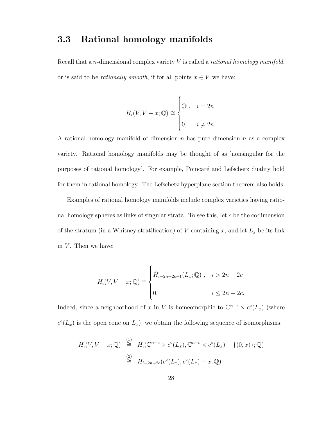## 3.3 Rational homology manifolds

Recall that a *n*-dimensional complex variety  $V$  is called a *rational homology manifold*, or is said to be *rationally smooth*, if for all points  $x \in V$  we have:

$$
H_i(V, V - x; \mathbb{Q}) \cong \begin{cases} \mathbb{Q} , & i = 2n \\ 0, & i \neq 2n. \end{cases}
$$

A rational homology manifold of dimension  $n$  has pure dimension  $n$  as a complex variety. Rational homology manifolds may be thought of as 'nonsingular for the purposes of rational homology'. For example, Poincaré and Lefschetz duality hold for them in rational homology. The Lefschetz hyperplane section theorem also holds.

Examples of rational homology manifolds include complex varieties having rational homology spheres as links of singular strata. To see this, let  $c$  be the codimension of the stratum (in a Whitney stratification) of V containing x, and let  $L_x$  be its link in  $V$ . Then we have:

$$
H_i(V, V - x; \mathbb{Q}) \cong \begin{cases} \tilde{H}_{i-2n+2c-1}(L_x; \mathbb{Q}) , & i > 2n - 2c \\ 0, & i \le 2n - 2c. \end{cases}
$$

Indeed, since a neighborhood of x in V is homeomorphic to  $\mathbb{C}^{n-c} \times c^{\circ}(L_x)$  (where  $c^{\circ}(L_x)$  is the open cone on  $L_x$ ), we obtain the following sequence of isomorphisms:

$$
H_i(V, V - x; \mathbb{Q}) \stackrel{(1)}{\cong} H_i(\mathbb{C}^{n-c} \times c^{\circ}(L_x), \mathbb{C}^{n-c} \times c^{\circ}(L_x) - \{(0, x)\}; \mathbb{Q})
$$
  

$$
\stackrel{(2)}{\cong} H_{i-2n+2c}(c^{\circ}(L_x), c^{\circ}(L_x) - x; \mathbb{Q})
$$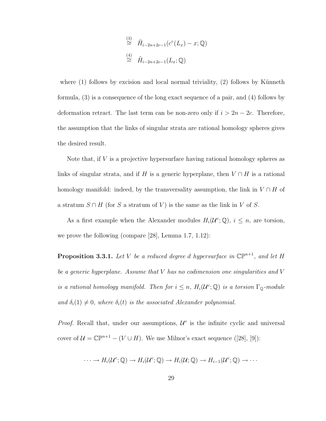$$
\stackrel{\text{(3)}}{\cong} \tilde{H}_{i-2n+2c-1}(c^{\circ}(L_x) - x; \mathbb{Q})
$$
\n
$$
\stackrel{\text{(4)}}{\cong} \tilde{H}_{i-2n+2c-1}(L_x; \mathbb{Q})
$$

where  $(1)$  follows by excision and local normal triviality,  $(2)$  follows by Künneth formula, (3) is a consequence of the long exact sequence of a pair, and (4) follows by deformation retract. The last term can be non-zero only if  $i > 2n - 2c$ . Therefore, the assumption that the links of singular strata are rational homology spheres gives the desired result.

Note that, if  $V$  is a projective hypersurface having rational homology spheres as links of singular strata, and if H is a generic hyperplane, then  $V \cap H$  is a rational homology manifold: indeed, by the transversality assumption, the link in  $V \cap H$  of a stratum  $S \cap H$  (for S a stratum of V) is the same as the link in V of S.

As a first example when the Alexander modules  $H_i(\mathcal{U}^c; \mathbb{Q}), i \leq n$ , are torsion, we prove the following (compare [28], Lemma 1.7, 1.12):

**Proposition 3.3.1.** Let V be a reduced degree d hypersurface in  $\mathbb{CP}^{n+1}$ , and let H be a generic hyperplane. Assume that V has no codimension one singularities and V is a rational homology manifold. Then for  $i \leq n$ ,  $H_i(\mathcal{U}^c; \mathbb{Q})$  is a torsion  $\Gamma_{\mathbb{Q}}$ -module and  $\delta_i(1) \neq 0$ , where  $\delta_i(t)$  is the associated Alexander polynomial.

*Proof.* Recall that, under our assumptions,  $\mathcal{U}^c$  is the infinite cyclic and universal cover of  $\mathcal{U} = \mathbb{CP}^{n+1} - (V \cup H)$ . We use Milnor's exact sequence ([28], [9]):

$$
\cdots \to H_i(\mathcal{U}^c;\mathbb{Q}) \to H_i(\mathcal{U}^c;\mathbb{Q}) \to H_i(\mathcal{U};\mathbb{Q}) \to H_{i-1}(\mathcal{U}^c;\mathbb{Q}) \to \cdots
$$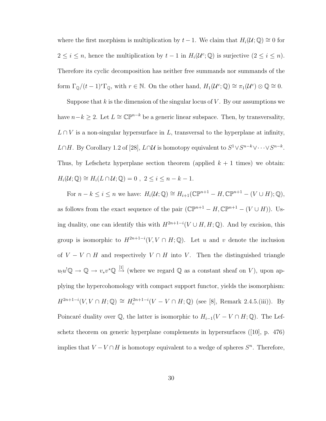where the first morphism is multiplication by  $t - 1$ . We claim that  $H_i(\mathcal{U}; \mathbb{Q}) \cong 0$  for  $2 \leq i \leq n$ , hence the multiplication by  $t-1$  in  $H_i(\mathcal{U}^c;\mathbb{Q})$  is surjective  $(2 \leq i \leq n)$ . Therefore its cyclic decomposition has neither free summands nor summands of the form  $\Gamma_{\mathbb{Q}}/(t-1)^r \Gamma_{\mathbb{Q}}$ , with  $r \in \mathbb{N}$ . On the other hand,  $H_1(\mathcal{U}^c; \mathbb{Q}) \cong \pi_1(\mathcal{U}^c) \otimes \mathbb{Q} \cong 0$ .

Suppose that k is the dimension of the singular locus of  $V$ . By our assumptions we have  $n-k \geq 2$ . Let  $L \cong \mathbb{CP}^{n-k}$  be a generic linear subspace. Then, by transversality,  $L \cap V$  is a non-singular hypersurface in L, transversal to the hyperplane at infinity, L∩H. By Corollary 1.2 of [28], L∩U is homotopy equivalent to  $S^1 \vee S^{n-k} \vee \cdots \vee S^{n-k}$ . Thus, by Lefschetz hyperplane section theorem (applied  $k + 1$  times) we obtain:  $H_i(\mathcal{U};\mathbb{Q}) \cong H_i(L \cap \mathcal{U};\mathbb{Q}) = 0$ ,  $2 \leq i \leq n - k - 1$ .

For  $n - k \leq i \leq n$  we have:  $H_i(\mathcal{U}; \mathbb{Q}) \cong H_{i+1}(\mathbb{CP}^{n+1} - H, \mathbb{CP}^{n+1} - (V \cup H); \mathbb{Q}),$ as follows from the exact sequence of the pair  $(\mathbb{CP}^{n+1} - H, \mathbb{CP}^{n+1} - (V \cup H))$ . Using duality, one can identify this with  $H^{2n+1-i}(V \cup H, H; \mathbb{Q})$ . And by excision, this group is isomorphic to  $H^{2n+1-i}(V, V \cap H; \mathbb{Q})$ . Let u and v denote the inclusion of  $V - V \cap H$  and respectively  $V \cap H$  into V. Then the distinguished triangle  $u_1u^1\mathbb{Q} \to \mathbb{Q} \to v_*v^*\mathbb{Q} \stackrel{[1]}{\to}$  (where we regard  $\mathbb{Q}$  as a constant sheaf on V), upon applying the hypercohomology with compact support functor, yields the isomorphism:  $H^{2n+1-i}(V, V \cap H; \mathbb{Q}) \cong H_c^{2n+1-i}(V - V \cap H; \mathbb{Q})$  (see [8], Remark 2.4.5.(iii)). By Poincaré duality over  $\mathbb{Q}$ , the latter is isomorphic to  $H_{i-1}(V - V \cap H; \mathbb{Q})$ . The Lefschetz theorem on generic hyperplane complements in hypersurfaces ([10], p. 476) implies that  $V - V \cap H$  is homotopy equivalent to a wedge of spheres  $S<sup>n</sup>$ . Therefore,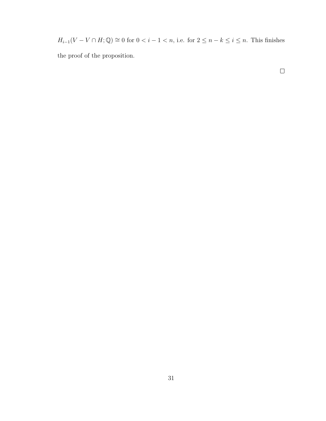$H_{i-1}(V - V \cap H; \mathbb{Q}) \cong 0$  for  $0 < i - 1 < n$ , i.e. for  $2 \le n - k \le i \le n$ . This finishes the proof of the proposition.

 $\Box$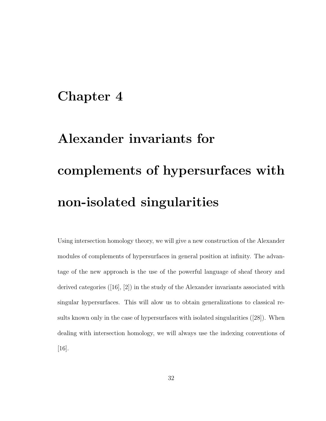### Chapter 4

# Alexander invariants for complements of hypersurfaces with non-isolated singularities

Using intersection homology theory, we will give a new construction of the Alexander modules of complements of hypersurfaces in general position at infinity. The advantage of the new approach is the use of the powerful language of sheaf theory and derived categories ([16], [2]) in the study of the Alexander invariants associated with singular hypersurfaces. This will alow us to obtain generalizations to classical results known only in the case of hypersurfaces with isolated singularities ([28]). When dealing with intersection homology, we will always use the indexing conventions of [16].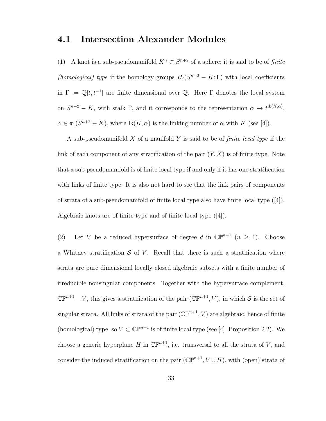#### 4.1 Intersection Alexander Modules

(1) A knot is a sub-pseudomanifold  $K^n \subset S^{n+2}$  of a sphere; it is said to be of finite (homological) type if the homology groups  $H_i(S^{n+2} - K; \Gamma)$  with local coefficients in  $\Gamma := \mathbb{Q}[t, t^{-1}]$  are finite dimensional over  $\mathbb{Q}$ . Here  $\Gamma$  denotes the local system on  $S^{n+2} - K$ , with stalk  $\Gamma$ , and it corresponds to the representation  $\alpha \mapsto t^{\text{lk}(K,\alpha)}$ ,  $\alpha \in \pi_1(S^{n+2} - K)$ , where  $\text{lk}(K, \alpha)$  is the linking number of  $\alpha$  with K (see [4]).

A sub-pseudomanifold X of a manifold Y is said to be of *finite local type* if the link of each component of any stratification of the pair  $(Y, X)$  is of finite type. Note that a sub-pseudomanifold is of finite local type if and only if it has one stratification with links of finite type. It is also not hard to see that the link pairs of components of strata of a sub-pseudomanifold of finite local type also have finite local type ([4]). Algebraic knots are of finite type and of finite local type ([4]).

(2) Let V be a reduced hypersurface of degree d in  $\mathbb{CP}^{n+1}$   $(n \geq 1)$ . Choose a Whitney stratification  $S$  of V. Recall that there is such a stratification where strata are pure dimensional locally closed algebraic subsets with a finite number of irreducible nonsingular components. Together with the hypersurface complement,  $\mathbb{CP}^{n+1} - V$ , this gives a stratification of the pair  $(\mathbb{CP}^{n+1}, V)$ , in which S is the set of singular strata. All links of strata of the pair  $(\mathbb{CP}^{n+1}, V)$  are algebraic, hence of finite (homological) type, so  $V \subset \mathbb{CP}^{n+1}$  is of finite local type (see [4], Proposition 2.2). We choose a generic hyperplane H in  $\mathbb{CP}^{n+1}$ , i.e. transversal to all the strata of V, and consider the induced stratification on the pair  $(\mathbb{CP}^{n+1}, V \cup H)$ , with (open) strata of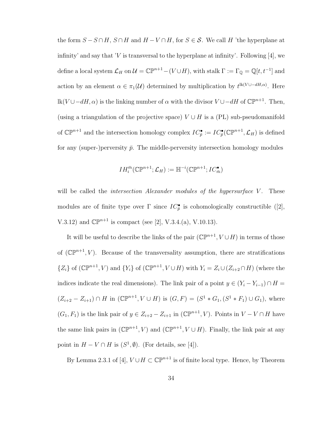the form  $S - S \cap H$ ,  $S \cap H$  and  $H - V \cap H$ , for  $S \in \mathcal{S}$ . We call H 'the hyperplane at infinity' and say that 'V is transversal to the hyperplane at infinity'. Following [4], we define a local system  $\mathcal{L}_H$  on  $\mathcal{U} = \mathbb{CP}^{n+1} - (V \cup H)$ , with stalk  $\Gamma := \Gamma_{\mathbb{Q}} = \mathbb{Q}[t, t^{-1}]$  and action by an element  $\alpha \in \pi_1(\mathcal{U})$  determined by multiplication by  $t^{\text{lk}(V \cup -dH,\alpha)}$ . Here lk(V∪−dH,  $\alpha$ ) is the linking number of  $\alpha$  with the divisor  $V \cup -dH$  of  $\mathbb{CP}^{n+1}$ . Then, (using a triangulation of the projective space)  $V \cup H$  is a (PL) sub-pseudomanifold of  $\mathbb{CP}^{n+1}$  and the intersection homology complex  $IC_{\bar{p}}^{\bullet} := IC_{\bar{p}}^{\bullet}(\mathbb{CP}^{n+1}, \mathcal{L}_H)$  is defined for any (super-)perversity  $\bar{p}$ . The middle-perversity intersection homology modules

$$
IH_{i}^{\bar{m}}(\mathbb{C}\mathbb{P}^{n+1};\mathcal{L}_{H}):=\mathbb{H}^{-i}(\mathbb{C}\mathbb{P}^{n+1}; IC_{\bar{m}}^{\bullet})
$$

will be called the *intersection Alexander modules of the hypersurface V*. These modules are of finite type over  $\Gamma$  since  $IC_{\bar{p}}^{\bullet}$  is cohomologically constructible ([2], V.3.12) and  $\mathbb{CP}^{n+1}$  is compact (see [2], V.3.4.(a), V.10.13).

It will be useful to describe the links of the pair  $(\mathbb{CP}^{n+1}, V \cup H)$  in terms of those of  $(\mathbb{CP}^{n+1}, V)$ . Because of the transversality assumption, there are stratifications  $\{Z_i\}$  of  $(\mathbb{CP}^{n+1}, V)$  and  $\{Y_i\}$  of  $(\mathbb{CP}^{n+1}, V \cup H)$  with  $Y_i = Z_i \cup (Z_{i+2} \cap H)$  (where the indices indicate the real dimensions). The link pair of a point  $y \in (Y_i - Y_{i-1}) \cap H =$  $(Z_{i+2} - Z_{i+1}) \cap H$  in  $(\mathbb{CP}^{n+1}, V \cup H)$  is  $(G, F) = (S^1 * G_1, (S^1 * F_1) \cup G_1)$ , where  $(G_1, F_1)$  is the link pair of  $y \in Z_{i+2} - Z_{i+1}$  in  $(\mathbb{CP}^{n+1}, V)$ . Points in  $V - V \cap H$  have the same link pairs in  $(\mathbb{CP}^{n+1}, V)$  and  $(\mathbb{CP}^{n+1}, V \cup H)$ . Finally, the link pair at any point in  $H - V \cap H$  is  $(S^1, \emptyset)$ . (For details, see [4]).

By Lemma 2.3.1 of [4],  $V \cup H \subset \mathbb{CP}^{n+1}$  is of finite local type. Hence, by Theorem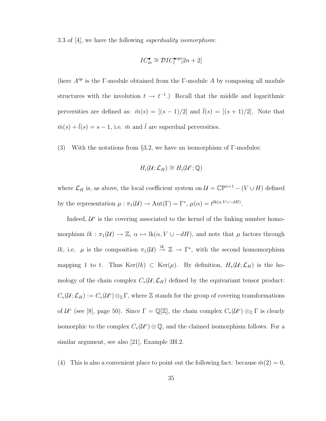3.3 of [4], we have the following superduality isomorphism:

$$
IC_{\bar{m}}^{\bullet} \cong \mathcal{D}IC_{\bar{l}}^{\bullet op}[2n+2]
$$

(here  $A^{op}$  is the Γ-module obtained from the Γ-module A by composing all module structures with the involution  $t \to t^{-1}$ .) Recall that the middle and logarithmic perversities are defined as:  $\bar{m}(s) = [(s-1)/2]$  and  $\bar{l}(s) = [(s+1)/2]$ . Note that  $\bar{m}(s) + \bar{l}(s) = s - 1$ , i.e.  $\bar{m}$  and  $\bar{l}$  are superdual perversities.

(3) With the notations from §3.2, we have an isomorphism of Γ-modules:

$$
H_i(\mathcal{U}; \mathcal{L}_H) \cong H_i(\mathcal{U}^c; \mathbb{Q})
$$

where  $\mathcal{L}_H$  is, as above, the local coefficient system on  $\mathcal{U} = \mathbb{CP}^{n+1} - (V \cup H)$  defined by the representation  $\mu : \pi_1(\mathcal{U}) \to \text{Aut}(\Gamma) = \Gamma^*, \mu(\alpha) = t^{\text{lk}(\alpha, V \cup -dH)}.$ 

Indeed,  $\mathcal{U}^c$  is the covering associated to the kernel of the linking number homomorphism  $lk : \pi_1(\mathcal{U}) \to \mathbb{Z}$ ,  $\alpha \mapsto \text{lk}(\alpha, V \cup -dH)$ , and note that  $\mu$  factors through lk, i.e.  $\mu$  is the composition  $\pi_1(\mathcal{U}) \stackrel{lk}{\rightarrow} \mathbb{Z} \rightarrow \Gamma^*$ , with the second homomorphism mapping 1 to t. Thus Ker(lk) ⊂ Ker( $\mu$ ). By definition,  $H_*(\mathcal{U}; \mathcal{L}_H)$  is the homology of the chain complex  $C_*(\mathcal{U}; \mathcal{L}_H)$  defined by the equivariant tensor product:  $C_*(\mathcal{U};\mathcal{L}_H):=C_*(\mathcal{U}^c)\otimes_{\mathbb{Z}}\Gamma,$  where  $\mathbb Z$  stands for the group of covering transformations of  $\mathcal{U}^c$  (see [8], page 50). Since  $\Gamma = \mathbb{Q}[\mathbb{Z}]$ , the chain complex  $C_*(\mathcal{U}^c) \otimes_{\mathbb{Z}} \Gamma$  is clearly isomorphic to the complex  $C_*(\mathcal{U}^c) \otimes \mathbb{Q}$ , and the claimed isomorphism follows. For a similar argument, see also [21], Example 3H.2.

(4) This is also a convenient place to point out the following fact: because  $\bar{m}(2) = 0$ ,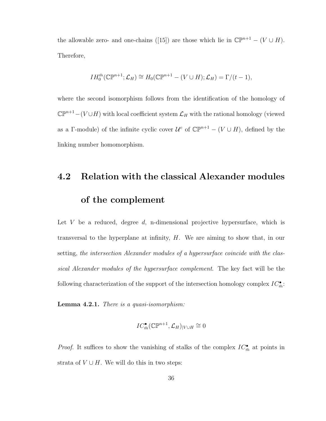the allowable zero- and one-chains ([15]) are those which lie in  $\mathbb{CP}^{n+1} - (V \cup H)$ . Therefore,

$$
IH_0^{\bar{m}}(\mathbb{C}\mathbb{P}^{n+1};\mathcal{L}_H)\cong H_0(\mathbb{C}\mathbb{P}^{n+1}-(V\cup H);\mathcal{L}_H)=\Gamma/(t-1),
$$

where the second isomorphism follows from the identification of the homology of  $\mathbb{CP}^{n+1}-(V \cup H)$  with local coefficient system  $\mathcal{L}_H$  with the rational homology (viewed as a Γ-module) of the infinite cyclic cover  $\mathcal{U}^c$  of  $\mathbb{CP}^{n+1} - (V \cup H)$ , defined by the linking number homomorphism.

### 4.2 Relation with the classical Alexander modules of the complement

Let V be a reduced, degree  $d$ , n-dimensional projective hypersurface, which is transversal to the hyperplane at infinity, H. We are aiming to show that, in our setting, the intersection Alexander modules of a hypersurface coincide with the classical Alexander modules of the hypersurface complement. The key fact will be the following characterization of the support of the intersection homology complex  $IC^{\bullet}_{\bar{m}}$ :

Lemma 4.2.1. There is a quasi-isomorphism:

$$
IC_{\bar{m}}^{\bullet}(\mathbb{C}\mathbb{P}^{n+1},\mathcal{L}_H)_{|V\cup H}\cong 0
$$

*Proof.* It suffices to show the vanishing of stalks of the complex  $IC^{\bullet}_{\bar{m}}$  at points in strata of  $V \cup H$ . We will do this in two steps: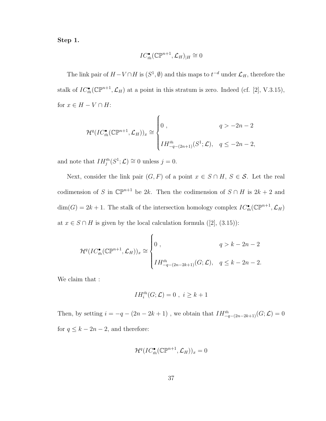Step 1.

$$
IC^{\bullet}_{\bar{m}}(\mathbb{C}\mathbb{P}^{n+1},\mathcal{L}_H)_{|H}\cong 0
$$

The link pair of  $H - V \cap H$  is  $(S^1, \emptyset)$  and this maps to  $t^{-d}$  under  $\mathcal{L}_H$ , therefore the stalk of  $IC^{\bullet}_{\bar{m}}(\mathbb{CP}^{n+1}, \mathcal{L}_H)$  at a point in this stratum is zero. Indeed (cf. [2], V.3.15), for  $x \in H - V \cap H$ :

$$
\mathcal{H}^q (IC^{\bullet}_{\bar{m}}(\mathbb{CP}^{n+1}, \mathcal{L}_H))_x \cong \begin{cases} 0, & q > -2n - 2 \\ II^{\bar{m}}_{-q - (2n+1)}(S^1; \mathcal{L}), & q \le -2n - 2, \end{cases}
$$

and note that  $IH_j^{\bar{m}}(S^1; \mathcal{L}) \cong 0$  unless  $j = 0$ .

Next, consider the link pair  $(G, F)$  of a point  $x \in S \cap H$ ,  $S \in S$ . Let the real codimension of S in  $\mathbb{CP}^{n+1}$  be 2k. Then the codimension of  $S \cap H$  is  $2k + 2$  and  $\dim(G) = 2k + 1$ . The stalk of the intersection homology complex  $IC^{\bullet}_{\bar{m}}(\mathbb{CP}^{n+1}, \mathcal{L}_H)$ at  $x \in S \cap H$  is given by the local calculation formula ([2], (3.15)):

$$
\mathcal{H}^q (IC_{\bar{m}}^{\bullet}(\mathbb{CP}^{n+1}, \mathcal{L}_H))_x \cong \begin{cases} 0, & q > k - 2n - 2 \\ II_{-q - (2n - 2k + 1)}^{\bar{m}}(G; \mathcal{L}), & q \leq k - 2n - 2. \end{cases}
$$

We claim that :

$$
IH_i^{\bar{m}}(G; \mathcal{L}) = 0 , i \ge k+1
$$

Then, by setting  $i = -q - (2n - 2k + 1)$ , we obtain that  $IH_{-q-(2n-2k+1)}^{\bar{m}}(G; \mathcal{L}) = 0$ for  $q \leq k - 2n - 2$ , and therefore:

$$
\mathcal{H}^q (IC^{\bullet}_{\bar{m}}(\mathbb{C}\mathbb{P}^{n+1},\mathcal{L}_H))_x=0
$$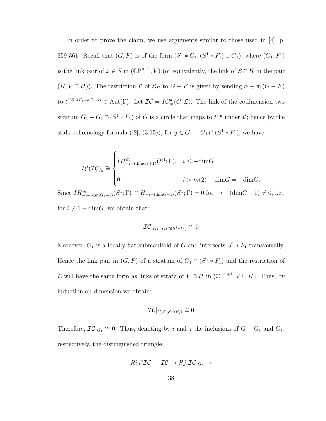In order to prove the claim, we use arguments similar to those used in [4], p. 359-361. Recall that  $(G, F)$  is of the form  $(S^1 * G_1, (S^1 * F_1) \cup G_1)$ , where  $(G_1, F_1)$ is the link pair of  $x \in S$  in  $(\mathbb{CP}^{n+1}, V)$  (or equivalently, the link of  $S \cap H$  in the pair  $(H, V \cap H)$ . The restriction  $\mathcal L$  of  $\mathcal L_H$  to  $G - F$  is given by sending  $\alpha \in \pi_1(G - F)$ to  $t^{\ell(S^1 * F_1 - dG_1, \alpha)} \in \text{Aut}(\Gamma)$ . Let  $\mathcal{IC} = IC_{\overline{n}}^{\bullet}(G, \mathcal{L})$ . The link of the codimension two stratum  $G_1 - G_1 \cap (S^1 * F_1)$  of G is a circle that maps to  $t^{-d}$  under  $\mathcal{L}$ ; hence by the stalk cohomology formula ([2], (3.15)), for  $y \in G_1 - G_1 \cap (S^1 * F_1)$ , we have:

$$
\mathcal{H}^{i}(\mathcal{IC})_{y} \cong \begin{cases} IH_{-i-(\dim G_{1}+1)}^{m}(S^{1};\Gamma), & i \leq -\dim G \\ 0, & i > \bar{m}(2) - \dim G = -\dim G.\end{cases}
$$

Since  $IH_{-i-(\dim G_1+1)}^{\bar{m}}(S^1;\Gamma) \cong H_{-i-(\dim G-1)}(S^1;\Gamma) = 0$  for  $-i-(\dim G-1) \neq 0$ , i.e., for  $i \neq 1 - \dim G$ , we obtain that:

$$
\mathcal{IC}|_{G_1 - G_1 \cap (S^1 * F_1)} \cong 0
$$

Moreover,  $G_1$  is a locally flat submanifold of G and intersects  $S^1 * F_1$  transversally. Hence the link pair in  $(G, F)$  of a stratum of  $G_1 \cap (S^1 * F_1)$  and the restriction of  $\mathcal L$  will have the same form as links of strata of  $V \cap H$  in ( $\mathbb{CP}^{n+1}, V \cup H$ ). Thus, by induction on dimension we obtain:

$$
\mathcal{IC}|_{G_1 \cap (S^1 * F_1)} \cong 0
$$

Therefore,  $\mathcal{IC}|_{G_1} \cong 0$ . Thus, denoting by i and j the inclusions of  $G - G_1$  and  $G_1$ , respectively, the distinguished triangle:

$$
Ri_!i^*{\mathcal{I}}{\mathcal{C}} \to {\mathcal{I}}{\mathcal{C}} \to Rj_*{\mathcal{I}}{\mathcal{C}}|_{G_1} \to
$$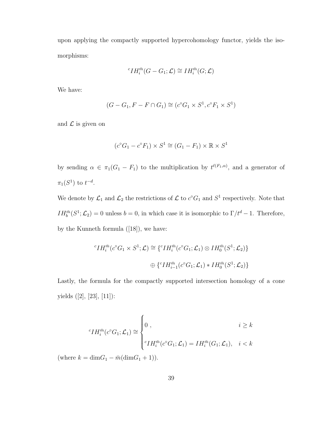upon applying the compactly supported hypercohomology functor, yields the isomorphisms:

$$
{}^{c}IH_{i}^{\bar{m}}(G-G_{1};\mathcal{L})\cong IH_{i}^{\bar{m}}(G;\mathcal{L})
$$

We have:

$$
(G - G_1, F - F \cap G_1) \cong (c^{\circ}G_1 \times S^1, c^{\circ}F_1 \times S^1)
$$

and  $\mathcal L$  is given on

$$
(c^{\circ}G_1 - c^{\circ}F_1) \times S^1 \cong (G_1 - F_1) \times \mathbb{R} \times S^1
$$

by sending  $\alpha \in \pi_1(G_1 - F_1)$  to the multiplication by  $t^{\ell(F_1,\alpha)}$ , and a generator of  $\pi_1(S^1)$  to  $t^{-d}$ .

We denote by  $\mathcal{L}_1$  and  $\mathcal{L}_2$  the restrictions of  $\mathcal{L}$  to  $c^{\circ}G_1$  and  $S^1$  respectively. Note that  $IH_b^{\bar{m}}(S^1; \mathcal{L}_2) = 0$  unless  $b = 0$ , in which case it is isomorphic to  $\Gamma/t^d - 1$ . Therefore, by the Kunneth formula  $([18])$ , we have:

$$
{}^{c}IH_{i}^{\bar{m}}(c^{\circ}G_{1} \times S^{1}; \mathcal{L}) \cong \{ {}^{c}IH_{i}^{\bar{m}}(c^{\circ}G_{1}; \mathcal{L}_{1}) \otimes IH_{0}^{\bar{m}}(S^{1}; \mathcal{L}_{2})\}
$$
  

$$
\oplus \{ {}^{c}IH_{i-1}^{\bar{m}}(c^{\circ}G_{1}; \mathcal{L}_{1}) * IH_{0}^{\bar{m}}(S^{1}; \mathcal{L}_{2})\}
$$

Lastly, the formula for the compactly supported intersection homology of a cone yields ([2], [23], [11]):

$$
{}^{c}IH_{i}^{\bar{m}}(c^{\circ}G_{1};\mathcal{L}_{1}) \cong \begin{cases} 0, & i \geq k \\ {}^{c}IH_{i}^{\bar{m}}(c^{\circ}G_{1};\mathcal{L}_{1}) = IH_{i}^{\bar{m}}(G_{1};\mathcal{L}_{1}), & i < k \end{cases}
$$

(where  $k = \dim G_1 - \bar{m}(\dim G_1 + 1)$ ).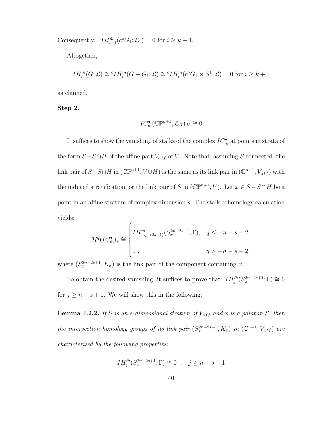Consequently:  ${}^{c}IH_{i-1}^{\bar{m}}(c^{\circ}G_1;\mathcal{L}_1)=0$  for  $i \geq k+1$ .

Altogether,

$$
IH_i^{\bar{m}}(G; \mathcal{L}) \cong {}^c IH_i^{\bar{m}}(G - G_1; \mathcal{L}) \cong {}^c IH_i^{\bar{m}}(c^{\circ}G_1 \times S^1; \mathcal{L}) = 0 \text{ for } i \geq k+1
$$

as claimed.

Step 2.

$$
IC_{\bar{m}}^{\bullet}({\mathbb C}{\mathbb P}^{n+1}, {\mathcal L}_H)_{|V} \cong 0
$$

It suffices to show the vanishing of stalks of the complex  $IC^{\bullet}_{\bar{m}}$  at points in strata of the form  $S-S\cap H$  of the affine part  $V_{aff}$  of V. Note that, assuming S connected, the link pair of  $S-S\cap H$  in  $(\mathbb{CP}^{n+1}, V\cup H)$  is the same as its link pair in  $(\mathbb{C}^{n+1}, V_{aff})$  with the induced stratification, or the link pair of S in  $(\mathbb{CP}^{n+1}, V)$ . Let  $x \in S - S \cap H$  be a point in an affine stratum of complex dimension s. The stalk cohomology calculation yields:

$$
\mathcal{H}^q (IC_{\bar{m}}^{\bullet})_x \cong \begin{cases} IH_{-q-(2s+1)}^{\bar{m}}(S_x^{2n-2s+1}; \Gamma), & q \leq -n-s-2\\0, & q > -n-s-2, \end{cases}
$$

where  $(S_x^{2n-2s+1}, K_x)$  is the link pair of the component containing x.

To obtain the desired vanishing, it suffices to prove that:  $IH_{j}^{\bar{m}}(S_{x}^{2n-2s+1};\Gamma) \cong 0$ for  $j \geq n - s + 1$ . We will show this in the following:

**Lemma 4.2.2.** If S is an s-dimensional stratum of  $V_{aff}$  and x is a point in S, then the intersection homology groups of its link pair  $(S_x^{2n-2s+1}, K_x)$  in  $(\mathbb{C}^{n+1}, V_{aff})$  are characterized by the following properties:

$$
IH_j^{\bar{m}}(S_x^{2n-2s+1};\Gamma) \cong 0 \quad , \quad j \ge n - s + 1
$$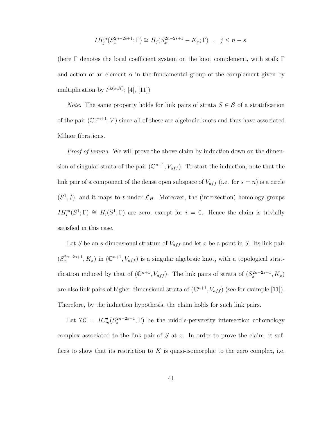$$
IH_j^{\bar{m}}(S_x^{2n-2s+1};\Gamma) \cong H_j(S_x^{2n-2s+1} - K_x;\Gamma) , \quad j \le n - s.
$$

(here  $\Gamma$  denotes the local coefficient system on the knot complement, with stalk  $\Gamma$ and action of an element  $\alpha$  in the fundamental group of the complement given by multiplication by  $t^{\text{lk}(\alpha,K)}$ ; [4], [11])

*Note.* The same property holds for link pairs of strata  $S \in \mathcal{S}$  of a stratification of the pair  $(\mathbb{CP}^{n+1}, V)$  since all of these are algebraic knots and thus have associated Milnor fibrations.

*Proof of lemma*. We will prove the above claim by induction down on the dimension of singular strata of the pair  $(\mathbb{C}^{n+1}, V_{aff})$ . To start the induction, note that the link pair of a component of the dense open subspace of  $V_{aff}$  (i.e. for  $s = n$ ) is a circle  $(S^1, \emptyset)$ , and it maps to t under  $\mathcal{L}_H$ . Moreover, the (intersection) homology groups  $IH_i^{\bar{m}}(S^1;\Gamma) \cong H_i(S^1;\Gamma)$  are zero, except for  $i=0$ . Hence the claim is trivially satisfied in this case.

Let S be an s-dimensional stratum of  $V_{aff}$  and let x be a point in S. Its link pair  $(S_x^{2n-2s+1}, K_x)$  in  $(\mathbb{C}^{n+1}, V_{aff})$  is a singular algebraic knot, with a topological stratification induced by that of  $(\mathbb{C}^{n+1}, V_{aff})$ . The link pairs of strata of  $(S_x^{2n-2s+1}, K_x)$ are also link pairs of higher dimensional strata of  $(\mathbb{C}^{n+1}, V_{aff})$  (see for example [11]). Therefore, by the induction hypothesis, the claim holds for such link pairs.

Let  $\mathcal{IC} = IC_{\bar{m}}^{\bullet}(S_x^{2n-2s+1}, \Gamma)$  be the middle-perversity intersection cohomology complex associated to the link pair of S at x. In order to prove the claim, it suffices to show that its restriction to K is quasi-isomorphic to the zero complex, i.e.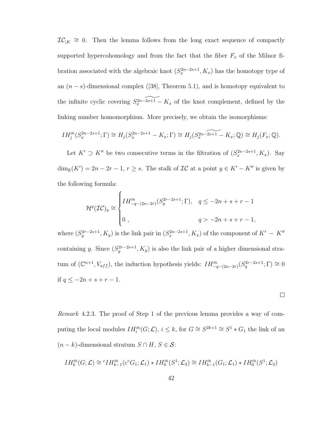$IC_{|K} \cong 0$ . Then the lemma follows from the long exact sequence of compactly supported hypercohomology and from the fact that the fiber  $F_x$  of the Milnor fibration associated with the algebraic knot  $(S_x^{2n-2s+1}, K_x)$  has the homotopy type of an  $(n - s)$ -dimensional complex ([38], Theorem 5.1), and is homotopy equivalent to the infinite cyclic covering  $S_x^{2n-\widetilde{2s+1}} - K_x$  of the knot complement, defined by the linking number homomorphism. More precisely, we obtain the isomorphisms:

$$
IH_j^{\bar{m}}(S_x^{2n-2s+1};\Gamma) \cong H_j(S_x^{2n-2s+1} - K_x;\Gamma) \cong H_j(S_x^{2n-2s+1} - K_x;\mathbb{Q}) \cong H_j(F_x;\mathbb{Q}).
$$

Let  $K' \supset K''$  be two consecutive terms in the filtration of  $(S_x^{2n-2s+1}, K_x)$ . Say  $\dim_{\mathbb{R}}(K') = 2n - 2r - 1, r \geq s$ . The stalk of  $\mathcal{IC}$  at a point  $y \in K' - K''$  is given by the following formula:

$$
\mathcal{H}^q(\mathcal{IC})_y \cong \begin{cases} IH_{-q-(2n-2r)}^{m}(S_y^{2r-2s+1};\Gamma), & q \le -2n+s+r-1\\0, & q > -2n+s+r-1, \end{cases}
$$

where  $(S_y^{2r-2s+1}, K_y)$  is the link pair in  $(S_x^{2n-2s+1}, K_x)$  of the component of  $K' - K''$ containing y. Since  $(S_y^{2r-2s+1}, K_y)$  is also the link pair of a higher dimensional stratum of  $(\mathbb{C}^{n+1}, V_{aff})$ , the induction hypothesis yields:  $IH_{-q-(2n-2r)}^{\bar{m}}(S_y^{2r-2s+1}; \Gamma) \cong 0$ if  $q$  ≤ −2n + s + r − 1.

 $\Box$ 

Remark 4.2.3. The proof of Step 1 of the previous lemma provides a way of computing the local modules  $IH_i^{\bar{m}}(G; \mathcal{L}), i \leq k$ , for  $G \cong S^{2k+1} \cong S^1 * G_1$  the link of an  $(n - k)$ -dimensional stratum  $S \cap H$ ,  $S \in \mathcal{S}$ :

$$
IH_k^{\bar{m}}(G; \mathcal{L}) \cong {}^c IH_{k-1}^{\bar{m}}(c^{\circ}G_1; \mathcal{L}_1) * IH_0^{\bar{m}}(S^1; \mathcal{L}_2) \cong IH_{k-1}^{\bar{m}}(G_1; \mathcal{L}_1) * IH_0^{\bar{m}}(S^1; \mathcal{L}_2)
$$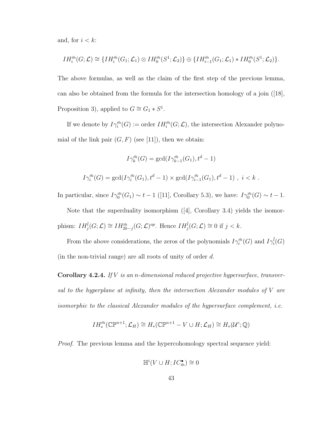and, for  $i < k$ :

$$
IH_i^{\bar{m}}(G; \mathcal{L}) \cong \{IH_i^{\bar{m}}(G_1; \mathcal{L}_1) \otimes IH_0^{\bar{m}}(S^1; \mathcal{L}_2)\} \oplus \{IH_{i-1}^{\bar{m}}(G_1; \mathcal{L}_1) * IH_0^{\bar{m}}(S^1; \mathcal{L}_2)\}.
$$

The above formulas, as well as the claim of the first step of the previous lemma, can also be obtained from the formula for the intersection homology of a join ([18], Proposition 3), applied to  $G \cong G_1 * S^1$ .

If we denote by  $I\gamma_i^{\bar{m}}(G) := \text{order }\, IH_i^{\bar{m}}(G;\mathcal{L}),$  the intersection Alexander polynomial of the link pair  $(G, F)$  (see [11]), then we obtain:

$$
I\gamma_k^{\bar{m}}(G) = \gcd(I\gamma_{k-1}^{\bar{m}}(G_1), t^d - 1)
$$
  

$$
I\gamma_i^{\bar{m}}(G) = \gcd(I\gamma_i^{\bar{m}}(G_1), t^d - 1) \times \gcd(I\gamma_{i-1}^{\bar{m}}(G_1), t^d - 1), i < k.
$$

In particular, since  $I\gamma_0^{\bar{m}}(G_1) \sim t-1$  ([11], Corollary 5.3), we have:  $I\gamma_0^{\bar{m}}(G) \sim t-1$ .

Note that the superduality isomorphism ([4], Corollary 3.4) yields the isomorphism:  $IH_{j}^{\overline{l}}(G;\mathcal{L}) \cong IH_{2k-j}^{\overline{m}}(G;\mathcal{L})^{op}$ . Hence  $IH_{j}^{\overline{l}}(G;\mathcal{L}) \cong 0$  if  $j < k$ .

From the above considerations, the zeros of the polynomials  $I\gamma_i^{\bar{m}}(G)$  and  $I\gamma_i^{\bar{l}}(G)$ (in the non-trivial range) are all roots of unity of order  $d$ .

**Corollary 4.2.4.** If  $V$  is an n-dimensional reduced projective hypersurface, transversal to the hyperplane at infinity, then the intersection Alexander modules of V are isomorphic to the classical Alexander modules of the hypersurface complement, i.e.

$$
IH_*^{\bar{m}}(\mathbb{C}\mathbb{P}^{n+1};\mathcal{L}_H)\cong H_*(\mathbb{C}\mathbb{P}^{n+1}-V\cup H;\mathcal{L}_H)\cong H_*(\mathcal{U}^c;\mathbb{Q})
$$

Proof. The previous lemma and the hypercohomology spectral sequence yield:

$$
\mathbb{H}^i(V\cup H; IC_{\bar{m}}^\bullet)\cong 0
$$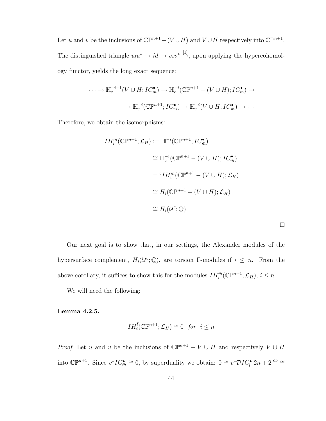Let u and v be the inclusions of  $\mathbb{CP}^{n+1} - (V \cup H)$  and  $V \cup H$  respectively into  $\mathbb{CP}^{n+1}$ . The distinguished triangle  $u_1u^* \to id \to v_*v^* \stackrel{[1]}{\to}$ , upon applying the hypercohomology functor, yields the long exact sequence:

$$
\cdots \to \mathbb{H}_c^{-i-1}(V \cup H; IC_m^{\bullet}) \to \mathbb{H}_c^{-i}(\mathbb{CP}^{n+1} - (V \cup H); IC_m^{\bullet}) \to
$$

$$
\to \mathbb{H}_c^{-i}(\mathbb{CP}^{n+1}; IC_m^{\bullet}) \to \mathbb{H}_c^{-i}(V \cup H; IC_m^{\bullet}) \to \cdots
$$

Therefore, we obtain the isomorphisms:

$$
IH_i^{\bar{m}}(\mathbb{CP}^{n+1}; \mathcal{L}_H) := \mathbb{H}^{-i}(\mathbb{CP}^{n+1}; IC_{\bar{m}}^{\bullet})
$$
  
\n
$$
\cong \mathbb{H}_c^{-i}(\mathbb{CP}^{n+1} - (V \cup H); IC_{\bar{m}}^{\bullet})
$$
  
\n
$$
= {}^c IH_i^{\bar{m}}(\mathbb{CP}^{n+1} - (V \cup H); \mathcal{L}_H)
$$
  
\n
$$
\cong H_i(\mathbb{CP}^{n+1} - (V \cup H); \mathcal{L}_H)
$$
  
\n
$$
\cong H_i(U^c; \mathbb{Q})
$$

Our next goal is to show that, in our settings, the Alexander modules of the hypersurface complement,  $H_i(\mathcal{U}^c;\mathbb{Q})$ , are torsion Γ-modules if  $i \leq n$ . From the above corollary, it suffices to show this for the modules  $IH_i^{\bar{m}}(\mathbb{CP}^{n+1}; \mathcal{L}_H)$ ,  $i \leq n$ .

We will need the following:

Lemma 4.2.5.

$$
IH_i^{\overline{l}}(\mathbb{C}\mathbb{P}^{n+1};\mathcal{L}_H)\cong 0 \ \ \text{for} \ \ i\leq n
$$

*Proof.* Let u and v be the inclusions of  $\mathbb{CP}^{n+1} - V \cup H$  and respectively  $V \cup H$ into  $\mathbb{CP}^{n+1}$ . Since  $v^*IC_{\overline{n}}^{\bullet} \cong 0$ , by superduality we obtain:  $0 \cong v^*DIC_{\overline{l}}^{\bullet}[2n+2]^{op} \cong$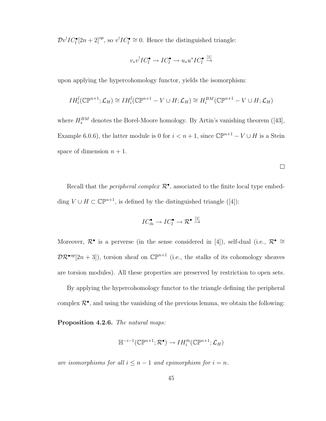$\mathcal{D}v^! IC_{\bar{l}}^{\bullet}[2n+2]^{\text{op}},$  so  $v^! IC_{\bar{l}}^{\bullet} \cong 0$ . Hence the distinguished triangle:

$$
v_*v^! IC_{\bar{l}}^{\bullet} \to IC_{\bar{l}}^{\bullet} \to u_*u^* IC_{\bar{l}}^{\bullet} \stackrel{[1]}{\to}
$$

upon applying the hypercohomology functor, yields the isomorphism:

$$
IH_i^{\overline{l}}(\mathbb{C}\mathbb{P}^{n+1};\mathcal{L}_H)\cong IH_i^{\overline{l}}(\mathbb{C}\mathbb{P}^{n+1}-V\cup H;\mathcal{L}_H)\cong H_i^{BM}(\mathbb{C}\mathbb{P}^{n+1}-V\cup H;\mathcal{L}_H)
$$

where  $H_*^{BM}$  denotes the Borel-Moore homology. By Artin's vanishing theorem ([43], Example 6.0.6), the latter module is 0 for  $i < n + 1$ , since  $\mathbb{CP}^{n+1} - V \cup H$  is a Stein space of dimension  $n + 1$ .

Recall that the *peripheral complex*  $\mathcal{R}^{\bullet}$ , associated to the finite local type embedding  $V \cup H \subset \mathbb{CP}^{n+1}$ , is defined by the distinguished triangle ([4]):

$$
IC^{\bullet}_{\bar{m}} \to IC^{\bullet}_{\bar{l}} \to \mathcal{R}^{\bullet} \stackrel{[1]}{\to}
$$

Moreover,  $\mathcal{R}^{\bullet}$  is a perverse (in the sense considered in [4]), self-dual (i.e.,  $\mathcal{R}^{\bullet} \cong$  $\mathcal{DR}^{\bullet op}[2n+3]$ , torsion sheaf on  $\mathbb{CP}^{n+1}$  (i.e., the stalks of its cohomology sheaves are torsion modules). All these properties are preserved by restriction to open sets.

By applying the hypercohomology functor to the triangle defining the peripheral complex  $\mathcal{R}^{\bullet}$ , and using the vanishing of the previous lemma, we obtain the following:

Proposition 4.2.6. The natural maps:

$$
\mathbb{H}^{-i-1}(\mathbb{C}\mathbb{P}^{n+1};\mathcal{R}^{\bullet})\to IH_{i}^{\bar{m}}(\mathbb{C}\mathbb{P}^{n+1};\mathcal{L}_{H})
$$

are isomorphisms for all  $i \leq n-1$  and epimorphism for  $i = n$ .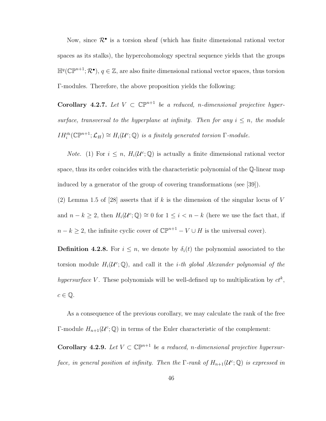Now, since  $\mathcal{R}^{\bullet}$  is a torsion sheaf (which has finite dimensional rational vector spaces as its stalks), the hypercohomology spectral sequence yields that the groups  $\mathbb{H}^q(\mathbb{CP}^{n+1};\mathcal{R}^{\bullet}), q \in \mathbb{Z}$ , are also finite dimensional rational vector spaces, thus torsion Γ-modules. Therefore, the above proposition yields the following:

Corollary 4.2.7. Let  $V \subset \mathbb{CP}^{n+1}$  be a reduced, n-dimensional projective hypersurface, transversal to the hyperplane at infinity. Then for any  $i \leq n$ , the module  $IH_i^{\bar{m}}(\mathbb{CP}^{n+1}; \mathcal{L}_H) \cong H_i(\mathcal{U}^c; \mathbb{Q})$  is a finitely generated torsion  $\Gamma$ -module.

*Note.* (1) For  $i \leq n$ ,  $H_i(\mathcal{U}^c; \mathbb{Q})$  is actually a finite dimensional rational vector space, thus its order coincides with the characteristic polynomial of the Q-linear map induced by a generator of the group of covering transformations (see [39]).

(2) Lemma 1.5 of [28] asserts that if k is the dimension of the singular locus of V and  $n - k \geq 2$ , then  $H_i(\mathcal{U}^c; \mathbb{Q}) \cong 0$  for  $1 \leq i < n - k$  (here we use the fact that, if  $n - k \geq 2$ , the infinite cyclic cover of  $\mathbb{CP}^{n+1} - V \cup H$  is the universal cover).

**Definition 4.2.8.** For  $i \leq n$ , we denote by  $\delta_i(t)$  the polynomial associated to the torsion module  $H_i(\mathcal{U}^c;\mathbb{Q})$ , and call it the *i-th global Alexander polynomial of the* hypersurface V. These polynomials will be well-defined up to multiplication by  $ct^k$ ,  $c \in \mathbb{Q}$ .

As a consequence of the previous corollary, we may calculate the rank of the free  $\Gamma$ -module  $H_{n+1}(\mathcal{U}^c;\mathbb{Q})$  in terms of the Euler characteristic of the complement:

Corollary 4.2.9. Let  $V \subset \mathbb{CP}^{n+1}$  be a reduced, n-dimensional projective hypersurface, in general position at infinity. Then the  $\Gamma$ -rank of  $H_{n+1}(\mathcal{U}^c;\mathbb{Q})$  is expressed in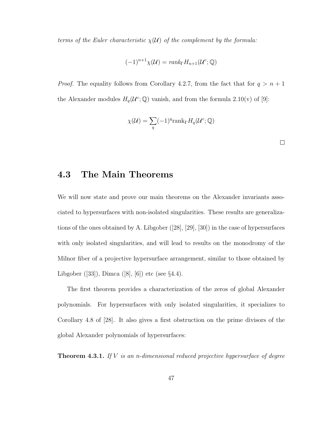terms of the Euler characteristic  $\chi(\mathcal{U})$  of the complement by the formula:

$$
(-1)^{n+1}\chi(\mathcal{U}) = rank_{\Gamma}H_{n+1}(\mathcal{U}^c;\mathbb{Q})
$$

*Proof.* The equality follows from Corollary 4.2.7, from the fact that for  $q > n + 1$ the Alexander modules  $H_q(\mathcal{U}^c;\mathbb{Q})$  vanish, and from the formula 2.10(v) of [9]:

$$
\chi(\mathcal{U}) = \sum_{q} (-1)^q \text{rank}_{\Gamma} H_q(\mathcal{U}^c; \mathbb{Q})
$$

### 4.3 The Main Theorems

We will now state and prove our main theorems on the Alexander invariants associated to hypersurfaces with non-isolated singularities. These results are generalizations of the ones obtained by A. Libgober ([28], [29], [30]) in the case of hypersurfaces with only isolated singularities, and will lead to results on the monodromy of the Milnor fiber of a projective hypersurface arrangement, similar to those obtained by Libgober ([33]), Dimca ([8], [6]) etc (see §4.4).

The first theorem provides a characterization of the zeros of global Alexander polynomials. For hypersurfaces with only isolated singularities, it specializes to Corollary 4.8 of [28]. It also gives a first obstruction on the prime divisors of the global Alexander polynomials of hypersurfaces:

**Theorem 4.3.1.** If  $V$  is an n-dimensional reduced projective hypersurface of degree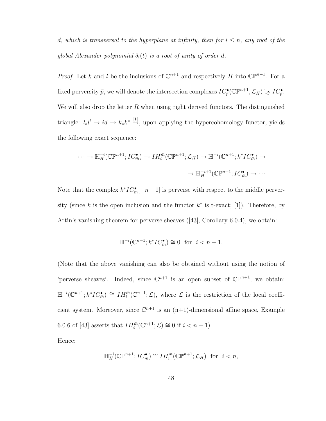d, which is transversal to the hyperplane at infinity, then for  $i \leq n$ , any root of the global Alexander polynomial  $\delta_i(t)$  is a root of unity of order d.

*Proof.* Let k and l be the inclusions of  $\mathbb{C}^{n+1}$  and respectively H into  $\mathbb{CP}^{n+1}$ . For a fixed perversity  $\bar{p}$ , we will denote the intersection complexes  $IC_{\bar{p}}^{\bullet}(\mathbb{CP}^{n+1}, \mathcal{L}_H)$  by  $IC_{\bar{p}}^{\bullet}$ . We will also drop the letter  $R$  when using right derived functors. The distinguished triangle:  $l_*l^! \to id \to k_*k^* \stackrel{[1]}{\to}$ , upon applying the hypercohomology functor, yields the following exact sequence:

$$
\cdots \to \mathbb{H}_H^{-i}(\mathbb{CP}^{n+1}; IC_{\bar{m}}^{\bullet}) \to IH_i^{\bar{m}}(\mathbb{CP}^{n+1}; \mathcal{L}_H) \to \mathbb{H}^{-i}(\mathbb{C}^{n+1}; k^* IC_{\bar{m}}^{\bullet}) \to
$$

$$
\to \mathbb{H}_H^{-i+1}(\mathbb{CP}^{n+1}; IC_{\bar{m}}^{\bullet}) \to \cdots
$$

Note that the complex  $k^*IC_{\overline{n}}^{\bullet}[-n-1]$  is perverse with respect to the middle perversity (since k is the open inclusion and the functor  $k^*$  is t-exact; [1]). Therefore, by Artin's vanishing theorem for perverse sheaves ([43], Corollary 6.0.4), we obtain:

$$
\mathbb{H}^{-i}(\mathbb{C}^{n+1}; k^* IC_{\bar{m}}^{\bullet}) \cong 0 \text{ for } i < n+1.
$$

(Note that the above vanishing can also be obtained without using the notion of 'perverse sheaves'. Indeed, since  $\mathbb{C}^{n+1}$  is an open subset of  $\mathbb{C}\mathbb{P}^{n+1}$ , we obtain:  $\mathbb{H}^{-i}(\mathbb{C}^{n+1};k^*IC_{\overline{n}}^{\bullet}) \cong IH_{i}^{\overline{n}}(\mathbb{C}^{n+1};\mathcal{L}),$  where  $\mathcal L$  is the restriction of the local coefficient system. Moreover, since  $\mathbb{C}^{n+1}$  is an  $(n+1)$ -dimensional affine space, Example 6.0.6 of [43] asserts that  $IH_i^{\bar{m}}(\mathbb{C}^{n+1};\mathcal{L}) \cong 0$  if  $i < n+1$ ).

Hence:

$$
\mathbb{H}_H^{-i}(\mathbb{CP}^{n+1}; IC_{\bar{m}}^{\bullet}) \cong IH_i^{\bar{m}}(\mathbb{CP}^{n+1}; \mathcal{L}_H) \text{ for } i < n,
$$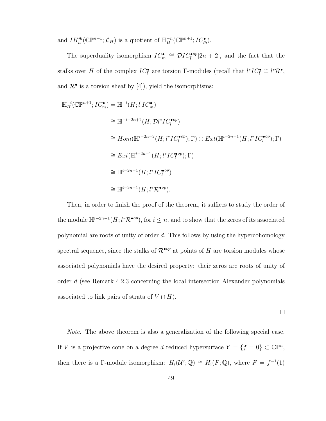and  $IH_n^{\bar{m}}(\mathbb{CP}^{n+1}; \mathcal{L}_H)$  is a quotient of  $\mathbb{H}_H^{-n}(\mathbb{CP}^{n+1}; IC_{\bar{m}}^{\bullet}).$ 

The superduality isomorphism  $IC_{\bar{m}}^{\bullet} \cong \mathcal{D}IC_{\bar{l}}^{\bullet op}[2n+2]$ , and the fact that the stalks over H of the complex  $IC_{\bar{l}}^{\bullet}$  are torsion Γ-modules (recall that  $l^*IC_{\bar{l}}^{\bullet} \cong l^* \mathcal{R}^{\bullet}$ , and  $\mathcal{R}^{\bullet}$  is a torsion sheaf by [4]), yield the isomorphisms:

$$
\mathbb{H}_{H}^{-i}(\mathbb{CP}^{n+1}; IC_{\overline{m}}^{\bullet}) = \mathbb{H}^{-i}(H; l^{!}IC_{\overline{m}}^{\bullet})
$$
\n
$$
\cong \mathbb{H}^{-i+2n+2}(H; \mathcal{D}l^{*}IC_{\overline{l}}^{\bullet op})
$$
\n
$$
\cong Hom(\mathbb{H}^{i-2n-2}(H; l^{*}IC_{\overline{l}}^{\bullet op}); \Gamma) \oplus Ext(\mathbb{H}^{i-2n-1}(H; l^{*}IC_{\overline{l}}^{\bullet op}); \Gamma)
$$
\n
$$
\cong Ext(\mathbb{H}^{i-2n-1}(H; l^{*}IC_{\overline{l}}^{\bullet op}); \Gamma)
$$
\n
$$
\cong \mathbb{H}^{i-2n-1}(H; l^{*}IC_{\overline{l}}^{\bullet op})
$$
\n
$$
\cong \mathbb{H}^{i-2n-1}(H; l^{*}R^{\bullet op}).
$$

Then, in order to finish the proof of the theorem, it suffices to study the order of the module  $\mathbb{H}^{i-2n-1}(H; l^*\mathcal{R}^{\bullet op})$ , for  $i \leq n$ , and to show that the zeros of its associated polynomial are roots of unity of order  $d$ . This follows by using the hypercohomology spectral sequence, since the stalks of  $\mathcal{R}^{\bullet op}$  at points of H are torsion modules whose associated polynomials have the desired property: their zeros are roots of unity of order d (see Remark 4.2.3 concerning the local intersection Alexander polynomials associated to link pairs of strata of  $V \cap H$ ).

$$
\qquad \qquad \Box
$$

Note. The above theorem is also a generalization of the following special case. If V is a projective cone on a degree d reduced hypersurface  $Y = \{f = 0\} \subset \mathbb{CP}^n$ , then there is a Γ-module isomorphism:  $H_i(\mathcal{U}^c; \mathbb{Q}) \cong H_i(F; \mathbb{Q})$ , where  $F = f^{-1}(1)$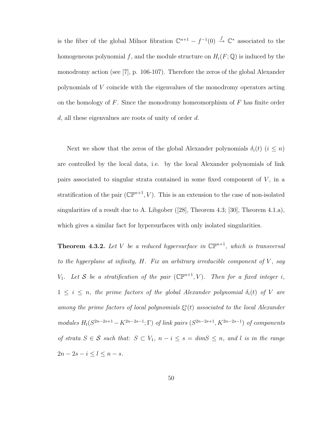is the fiber of the global Milnor fibration  $\mathbb{C}^{n+1} - f^{-1}(0) \stackrel{f}{\rightarrow} \mathbb{C}^*$  associated to the homogeneous polynomial f, and the module structure on  $H_i(F; \mathbb{Q})$  is induced by the monodromy action (see [7], p. 106-107). Therefore the zeros of the global Alexander polynomials of V coincide with the eigenvalues of the monodromy operators acting on the homology of  $F$ . Since the monodromy homeomorphism of  $F$  has finite order d, all these eigenvalues are roots of unity of order d.

Next we show that the zeros of the global Alexander polynomials  $\delta_i(t)$   $(i \leq n)$ are controlled by the local data, i.e. by the local Alexander polynomials of link pairs associated to singular strata contained in some fixed component of  $V$ , in a stratification of the pair  $(\mathbb{CP}^{n+1}, V)$ . This is an extension to the case of non-isolated singularities of a result due to A. Libgober ([28], Theorem 4.3; [30], Theorem 4.1.a), which gives a similar fact for hypersurfaces with only isolated singularities.

**Theorem 4.3.2.** Let V be a reduced hypersurface in  $\mathbb{CP}^{n+1}$ , which is transversal to the hyperplane at infinity,  $H$ . Fix an arbitrary irreducible component of  $V$ , say  $V_1$ . Let S be a stratification of the pair  $(\mathbb{CP}^{n+1}, V)$ . Then for a fixed integer i,  $1 \leq i \leq n$ , the prime factors of the global Alexander polynomial  $\delta_i(t)$  of V are among the prime factors of local polynomials  $\xi_l^s(t)$  associated to the local Alexander modules  $H_l(S^{2n-2s+1}-K^{2n-2s-1};\Gamma)$  of link pairs  $(S^{2n-2s+1}, K^{2n-2s-1})$  of components of strata  $S \in \mathcal{S}$  such that:  $S \subset V_1$ ,  $n - i \leq s = \dim S \leq n$ , and l is in the range  $2n - 2s - i \leq l \leq n - s.$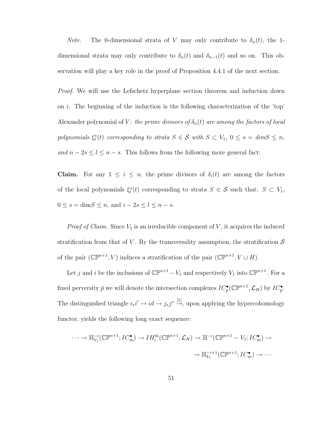*Note.* The 0-dimensional strata of V may only contribute to  $\delta_n(t)$ , the 1dimensional strata may only contribute to  $\delta_n(t)$  and  $\delta_{n-1}(t)$  and so on. This observation will play a key role in the proof of Proposition 4.4.1 of the next section.

Proof. We will use the Lefschetz hyperplane section theorem and induction down on i. The beginning of the induction is the following characterization of the 'top' Alexander polynomial of V: the prime divisors of  $\delta_n(t)$  are among the factors of local polynomials  $\xi_i^s(t)$  corresponding to strata  $S \in \mathcal{S}$  with  $S \subset V_1$ ,  $0 \leq s = \dim S \leq n$ , and  $n - 2s \le l \le n - s$ . This follows from the following more general fact:

**Claim.** For any  $1 \leq i \leq n$ , the prime divisors of  $\delta_i(t)$  are among the factors of the local polynomials  $\xi_l^s(t)$  corresponding to strata  $S \in \mathcal{S}$  such that:  $S \subset V_1$ ,  $0 \leq s = \text{dim}S \leq n$ , and  $i - 2s \leq l \leq n - s$ .

*Proof of Claim.* Since  $V_1$  is an irreducible component of V, it acquires the induced stratification from that of V. By the transversality assumption, the stratification  $\mathcal S$ of the pair  $(\mathbb{CP}^{n+1}, V)$  induces a stratification of the pair  $(\mathbb{CP}^{n+1}, V \cup H)$ .

Let j and i be the inclusions of  $\mathbb{CP}^{n+1} - V_1$  and respectively  $V_1$  into  $\mathbb{CP}^{n+1}$ . For a fixed perversity  $\bar{p}$  we will denote the intersection complexes  $IC_{\bar{p}}^{\bullet}(\mathbb{CP}^{n+1}, \mathcal{L}_H)$  by  $IC_{\bar{p}}^{\bullet}$ . The distinguished triangle  $i_*i^! \to id \to j_*j^* \stackrel{[1]}{\to}$ , upon applying the hypercohomology functor, yields the following long exact sequence:

$$
\cdots \to \mathbb{H}_{V_1}^{-i}(\mathbb{CP}^{n+1}; IC_{\bar{m}}^{\bullet}) \to IH_i^{\bar{m}}(\mathbb{CP}^{n+1}; \mathcal{L}_H) \to \mathbb{H}^{-i}(\mathbb{CP}^{n+1} - V_1; IC_{\bar{m}}^{\bullet}) \to
$$

$$
\to \mathbb{H}_{V_1}^{-i+1}(\mathbb{CP}^{n+1}; IC_{\bar{m}}^{\bullet}) \to \cdots
$$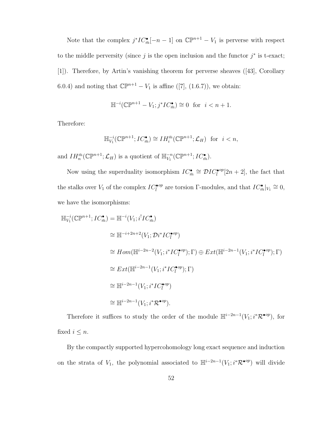Note that the complex  $j^*IC_{\bar{m}}^{\bullet}[-n-1]$  on  $\mathbb{CP}^{n+1} - V_1$  is perverse with respect to the middle perversity (since  $j$  is the open inclusion and the functor  $j^*$  is t-exact; [1]). Therefore, by Artin's vanishing theorem for perverse sheaves ([43], Corollary 6.0.4) and noting that  $\mathbb{CP}^{n+1} - V_1$  is affine ([7], (1.6.7)), we obtain:

$$
\mathbb{H}^{-i}(\mathbb{CP}^{n+1} - V_1; j^* IC_{\bar{m}}^{\bullet}) \cong 0 \text{ for } i < n+1.
$$

Therefore:

$$
\mathbb{H}_{V_1}^{-i}(\mathbb{C}\mathbb{P}^{n+1}; IC_{\bar{m}}^{\bullet}) \cong IH_i^{\bar{m}}(\mathbb{C}\mathbb{P}^{n+1}; \mathcal{L}_H) \text{ for } i < n,
$$

and  $IH_{n}^{\bar{m}}(\mathbb{C}\mathbb{P}^{n+1};\mathcal{L}_{H})$  is a quotient of  $\mathbb{H}_{V_{1}}^{-n}(\mathbb{C}\mathbb{P}^{n+1};IC_{\bar{m}}^{\bullet}).$ 

Now using the superduality isomorphism  $IC_{\bar{m}}^{\bullet} \cong \mathcal{D}IC_{\bar{l}}^{\bullet op}[2n+2]$ , the fact that the stalks over  $V_1$  of the complex  $IC_{\overline{l}}^{\bullet op}$  are torsion Γ-modules, and that  $IC_{\overline{m}}^{\bullet}|_{V_1} \cong 0$ , we have the isomorphisms:

$$
\begin{split}\n\mathbb{H}_{V_1}^{-i}(\mathbb{CP}^{n+1}; IC_{\bar{m}}^{\bullet}) &= \mathbb{H}^{-i}(V_1; i^! IC_{\bar{m}}^{\bullet}) \\
&\cong \mathbb{H}^{-i+2n+2}(V_1; \mathcal{D}i^* IC_{\bar{l}}^{\bullet op}) \\
&\cong Hom(\mathbb{H}^{i-2n-2}(V_1; i^* IC_{\bar{l}}^{\bullet op}); \Gamma) \oplus Ext(\mathbb{H}^{i-2n-1}(V_1; i^* IC_{\bar{l}}^{\bullet op}); \Gamma) \\
&\cong Ext(\mathbb{H}^{i-2n-1}(V_1; i^* IC_{\bar{l}}^{\bullet op}); \Gamma) \\
&\cong \mathbb{H}^{i-2n-1}(V_1; i^* IC_{\bar{l}}^{\bullet op}) \\
&\cong \mathbb{H}^{i-2n-1}(V_1; i^* R^{\bullet op}).\n\end{split}
$$

Therefore it suffices to study the order of the module  $\mathbb{H}^{i-2n-1}(V_1; i^*\mathcal{R}^{\bullet op})$ , for fixed  $i \leq n$ .

By the compactly supported hypercohomology long exact sequence and induction on the strata of  $V_1$ , the polynomial associated to  $\mathbb{H}^{i-2n-1}(V_1; i^*\mathcal{R}^{\bullet op})$  will divide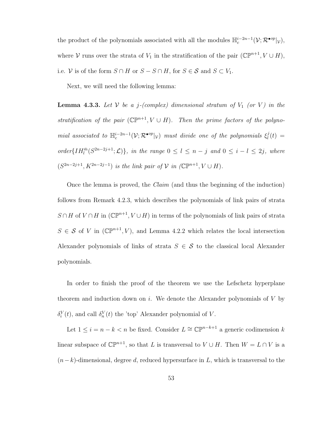the product of the polynomials associated with all the modules  $\mathbb{H}^{i-2n-1}_c(\mathcal{V}; \mathcal{R}^{\bullet op}|_{\mathcal{V}})$ , where V runs over the strata of  $V_1$  in the stratification of the pair  $(\mathbb{CP}^{n+1}, V \cup H)$ , i.e. V is of the form  $S \cap H$  or  $S - S \cap H$ , for  $S \in \mathcal{S}$  and  $S \subset V_1$ .

Next, we will need the following lemma:

**Lemma 4.3.3.** Let  $V$  be a j-(complex) dimensional stratum of  $V_1$  (or  $V$ ) in the stratification of the pair  $(\mathbb{CP}^{n+1}, V \cup H)$ . Then the prime factors of the polynomial associated to  $\mathbb{H}^{i-2n-1}_c(\mathcal{V}; \mathcal{R}^{\bullet op}|_{\mathcal{V}})$  must divide one of the polynomials  $\xi^j_l$  $\frac{\partial}{\partial t}(t) =$ order $\{IH_l^{\bar{m}}(S^{2n-2j+1};\mathcal{L})\}$ , in the range  $0 \leq l \leq n-j$  and  $0 \leq i-l \leq 2j$ , where  $(S^{2n-2j+1}, K^{2n-2j-1})$  is the link pair of  $\mathcal V$  in  $(\mathbb{CP}^{n+1}, V \cup H)$ .

Once the lemma is proved, the Claim (and thus the beginning of the induction) follows from Remark 4.2.3, which describes the polynomials of link pairs of strata  $S \cap H$  of  $V \cap H$  in  $(\mathbb{CP}^{n+1}, V \cup H)$  in terms of the polynomials of link pairs of strata  $S \in \mathcal{S}$  of V in  $(\mathbb{CP}^{n+1}, V)$ , and Lemma 4.2.2 which relates the local intersection Alexander polynomials of links of strata  $S \in \mathcal{S}$  to the classical local Alexander polynomials.

In order to finish the proof of the theorem we use the Lefschetz hyperplane theorem and induction down on i. We denote the Alexander polynomials of  $V$  by  $\delta_i^V(t)$ , and call  $\delta_n^V(t)$  the 'top' Alexander polynomial of V.

Let  $1 \leq i = n - k < n$  be fixed. Consider  $L \cong \mathbb{CP}^{n-k+1}$  a generic codimension k linear subspace of  $\mathbb{CP}^{n+1}$ , so that L is transversal to  $V \cup H$ . Then  $W = L \cap V$  is a  $(n-k)$ -dimensional, degree d, reduced hypersurface in L, which is transversal to the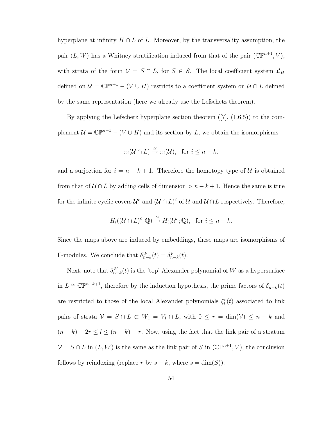hyperplane at infinity  $H \cap L$  of L. Moreover, by the transversality assumption, the pair  $(L, W)$  has a Whitney stratification induced from that of the pair  $(\mathbb{CP}^{n+1}, V)$ , with strata of the form  $\mathcal{V} = S \cap L$ , for  $S \in \mathcal{S}$ . The local coefficient system  $\mathcal{L}_H$ defined on  $\mathcal{U} = \mathbb{C}\mathbb{P}^{n+1} - (V \cup H)$  restricts to a coefficient system on  $\mathcal{U} \cap L$  defined by the same representation (here we already use the Lefschetz theorem).

By applying the Lefschetz hyperplane section theorem  $([7], (1.6.5))$  to the complement  $\mathcal{U} = \mathbb{CP}^{n+1} - (V \cup H)$  and its section by L, we obtain the isomorphisms:

$$
\pi_i(\mathcal{U} \cap L) \stackrel{\cong}{\to} \pi_i(\mathcal{U}), \text{ for } i \leq n - k.
$$

and a surjection for  $i = n - k + 1$ . Therefore the homotopy type of U is obtained from that of  $U \cap L$  by adding cells of dimension  $\geq n - k + 1$ . Hence the same is true for the infinite cyclic covers  $\mathcal{U}^c$  and  $(\mathcal{U} \cap L)^c$  of  $\mathcal{U}$  and  $\mathcal{U} \cap L$  respectively. Therefore,

$$
H_i((\mathcal{U} \cap L)^c; \mathbb{Q}) \stackrel{\cong}{\to} H_i(\mathcal{U}^c; \mathbb{Q}), \text{ for } i \leq n - k.
$$

Since the maps above are induced by embeddings, these maps are isomorphisms of Γ-modules. We conclude that  $\delta_{n-k}^W(t) = \delta_{n-k}^V(t)$ .

Next, note that  $\delta_{n-k}^W(t)$  is the 'top' Alexander polynomial of W as a hypersurface in  $L \cong \mathbb{CP}^{n-k+1}$ , therefore by the induction hypothesis, the prime factors of  $\delta_{n-k}(t)$ are restricted to those of the local Alexander polynomials  $\xi_l^r(t)$  associated to link pairs of strata  $V = S \cap L \subset W_1 = V_1 \cap L$ , with  $0 \le r = \dim(V) \le n - k$  and  $(n - k) - 2r \leq l \leq (n - k) - r$ . Now, using the fact that the link pair of a stratum  $V = S \cap L$  in  $(L, W)$  is the same as the link pair of S in  $(\mathbb{CP}^{n+1}, V)$ , the conclusion follows by reindexing (replace r by  $s - k$ , where  $s = \dim(S)$ ).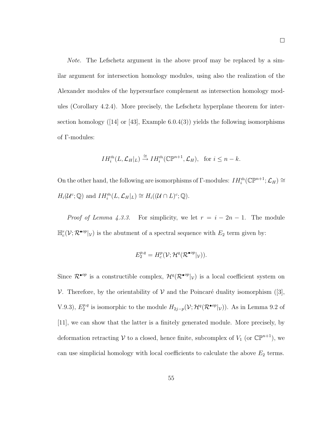Note. The Lefschetz argument in the above proof may be replaced by a similar argument for intersection homology modules, using also the realization of the Alexander modules of the hypersurface complement as intersection homology modules (Corollary 4.2.4). More precisely, the Lefschetz hyperplane theorem for intersection homology ([14] or [43], Example  $6.0.4(3)$ ) yields the following isomorphisms of Γ-modules:

$$
IH_{i}^{\bar{m}}(L,\mathcal{L}_{H}|_{L}) \stackrel{\cong}{\to} IH_{i}^{\bar{m}}(\mathbb{C}\mathbb{P}^{n+1},\mathcal{L}_{H}), \text{ for } i \leq n-k.
$$

On the other hand, the following are isomorphisms of  $\Gamma$ -modules:  $IH_i^{\bar{m}}(\mathbb{CP}^{n+1};\mathcal{L}_H)\cong$  $H_i(\mathcal{U}^c;\mathbb{Q})$  and  $IH_i^{\bar{m}}(L,\mathcal{L}_H|_L) \cong H_i((\mathcal{U} \cap L)^c;\mathbb{Q}).$ 

*Proof of Lemma 4.3.3.* For simplicity, we let  $r = i - 2n - 1$ . The module  $\mathbb{H}_{c}^{r}(\mathcal{V}; \mathcal{R}^{\bullet op}|_{\mathcal{V}})$  is the abutment of a spectral sequence with  $E_2$  term given by:

$$
E_2^{p,q} = H_c^p(\mathcal{V}; \mathcal{H}^q(\mathcal{R}^{\bullet op}|_{\mathcal{V}})).
$$

Since  $\mathcal{R}^{\bullet op}$  is a constructible complex,  $\mathcal{H}^q(\mathcal{R}^{\bullet op}|\mathcal{V})$  is a local coefficient system on V. Therefore, by the orientability of V and the Poincaré duality isomorphism ([3],  $V.9.3)$ ,  $E_2^{p,q}$ <sup>p,q</sup> is isomorphic to the module  $H_{2j-p}(\mathcal{V};\mathcal{H}^q(\mathcal{R}^{\bullet op}|\mathcal{V}))$ . As in Lemma 9.2 of [11], we can show that the latter is a finitely generated module. More precisely, by deformation retracting  $V$  to a closed, hence finite, subcomplex of  $V_1$  (or  $\mathbb{CP}^{n+1}$ ), we can use simplicial homology with local coefficients to calculate the above  $E_2$  terms.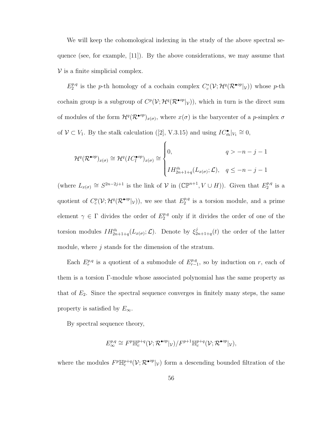We will keep the cohomological indexing in the study of the above spectral sequence (see, for example, [11]). By the above considerations, we may assume that  $\nu$  is a finite simplicial complex.

 $E_2^{p,q}$  $2^{p,q}$  is the p-th homology of a cochain complex  $C_c^*(\mathcal{V}; \mathcal{H}^q(\mathcal{R}^{\bullet \circ p}|_{\mathcal{V}}))$  whose p-th cochain group is a subgroup of  $C^p(V; H^q(\mathcal{R}^{\bullet op}|\mathcal{V}))$ , which in turn is the direct sum of modules of the form  $\mathcal{H}^q(\mathcal{R}^{\bullet op})_{x(\sigma)}$ , where  $x(\sigma)$  is the barycenter of a p-simplex  $\sigma$ of  $V \subset V_1$ . By the stalk calculation ([2], V.3.15) and using  $IC_{\bar{m}}^{\bullet}|_{V_1} \cong 0$ ,

$$
\mathcal{H}^q(\mathcal{R}^{\bullet op})_{x(\sigma)} \cong \mathcal{H}^q(LC_l^{\bullet op})_{x(\sigma)} \cong \begin{cases} 0, & q > -n - j - 1 \\ & \\ IH_{2n+1+q}^{\bar{m}}(L_{x(\sigma)}; \mathcal{L}), & q \le -n - j - 1 \end{cases}
$$

(where  $L_{x(\sigma)} \cong S^{2n-2j+1}$  is the link of  $\mathcal V$  in  $(\mathbb{CP}^{n+1}, V \cup H)$ ). Given that  $E_2^{p,q}$  $_2^{p,q}$  is a quotient of  $C_c^p(\mathcal{V};\mathcal{H}^q(\mathcal{R}^{\bullet op}|\mathcal{V}))$ , we see that  $E_2^{p,q}$  $2^{p,q}$  is a torsion module, and a prime element  $\gamma \in \Gamma$  divides the order of  $E_2^{p,q}$  only if it divides the order of one of the torsion modules  $IH_{2n+1+q}^{\bar{m}}(L_{x(\sigma)};\mathcal{L})$ . Denote by  $\xi_2^j$  $2n+1+q(t)$  the order of the latter module, where  $j$  stands for the dimension of the stratum.

Each  $E_r^{p,q}$  is a quotient of a submodule of  $E_{r-}^{p,q}$  $r_{r-1}^{p,q}$ , so by induction on r, each of them is a torsion Γ-module whose associated polynomial has the same property as that of  $E_2$ . Since the spectral sequence converges in finitely many steps, the same property is satisfied by  $E_{\infty}$ .

By spectral sequence theory,

$$
E^{p,q}_{\infty} \cong F^p \mathbb{H}^{p+q}_c(\mathcal{V}; \mathcal{R}^{\bullet op}|_{\mathcal{V}})/F^{p+1} \mathbb{H}^{p+q}_c(\mathcal{V}; \mathcal{R}^{\bullet op}|_{\mathcal{V}}),
$$

where the modules  $F^p{\mathbb H}^{p+q}_c({\cal V};{\cal R}^{\bullet op}|_{\cal V})$  form a descending bounded filtration of the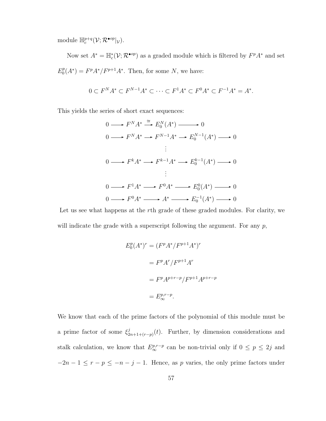module  $\mathbb{H}^{p+q}_{c}(\mathcal{V}; \mathcal{R}^{\bullet op}|_{\mathcal{V}}).$ 

Now set  $A^* = \mathbb{H}_c^*(\mathcal{V}; \mathcal{R}^{\bullet op})$  as a graded module which is filtered by  $F^p A^*$  and set  $E_0^p$  $P_0^p(A^*) = F^p A^* / F^{p+1} A^*$ . Then, for some N, we have:

$$
0 \subset F^{N}A^{*} \subset F^{N-1}A^{*} \subset \cdots \subset F^{1}A^{*} \subset F^{0}A^{*} \subset F^{-1}A^{*} = A^{*}.
$$

This yields the series of short exact sequences:

$$
0 \longrightarrow F^{N}A^{*} \stackrel{\cong}{\longrightarrow} E_{0}^{N}(A^{*}) \longrightarrow 0
$$
  
\n
$$
0 \longrightarrow F^{N}A^{*} \longrightarrow F^{N-1}A^{*} \longrightarrow E_{0}^{N-1}(A^{*}) \longrightarrow 0
$$
  
\n
$$
\vdots
$$
  
\n
$$
0 \longrightarrow F^{k}A^{*} \longrightarrow F^{k-1}A^{*} \longrightarrow E_{0}^{k-1}(A^{*}) \longrightarrow 0
$$
  
\n
$$
\vdots
$$
  
\n
$$
0 \longrightarrow F^{1}A^{*} \longrightarrow F^{0}A^{*} \longrightarrow E_{0}^{0}(A^{*}) \longrightarrow 0
$$
  
\n
$$
0 \longrightarrow F^{0}A^{*} \longrightarrow A^{*} \longrightarrow E_{0}^{-1}(A^{*}) \longrightarrow 0
$$

Let us see what happens at the rth grade of these graded modules. For clarity, we will indicate the grade with a superscript following the argument. For any  $p$ ,

$$
E_0^p (A^*)^r = (F^p A^*/F^{p+1} A^*)^r
$$

$$
= F^p A^r / F^{p+1} A^r
$$

$$
= F^p A^{p+r-p} / F^{p+1} A^{p+r-p}
$$

$$
= E_{\infty}^{p,r-p}.
$$

We know that each of the prime factors of the polynomial of this module must be a prime factor of some  $\xi_2^j$  $2n+1+(r-p)(t)$ . Further, by dimension considerations and stalk calculation, we know that  $E_{\infty}^{p,r-p}$  can be non-trivial only if  $0 \le p \le 2j$  and  $-2n-1 \le r-p \le -n-j-1$ . Hence, as p varies, the only prime factors under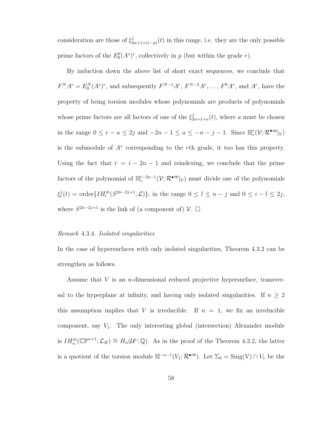consideration are those of  $\xi_2^j$  $\sum_{2n+1+(r-p)}^{j}(t)$  in this range, i.e. they are the only possible prime factors of the  $E_0^p$  $p_0^p(A^*)^r$ , collectively in p (but within the grade r).

By induction down the above list of short exact sequences, we conclude that  $F^{N}A^{r} = E_{0}^{N}(A^{*})^{r}$ , and subsequently  $F^{N-1}A^{r}$ ,  $F^{N-2}A^{r}$ , ...,  $F^{0}A^{r}$ , and  $A^{r}$ , have the property of being torsion modules whose polynomials are products of polynomials whose prime factors are all factors of one of the  $\xi_2^j$  $a_{2n+1+a}(t)$ , where a must be chosen in the range  $0 \le r - a \le 2j$  and  $-2n - 1 \le a \le -n - j - 1$ . Since  $\mathbb{H}_c^r(\mathcal{V}; \mathcal{R}^{\bullet \text{op}}|_{\mathcal{V}})$ is the submodule of A<sup>∗</sup> corresponding to the rth grade, it too has this property. Using the fact that  $r = i - 2n - 1$  and reindexing, we conclude that the prime factors of the polynomial of  $\mathbb{H}_c^{i-2n-1}(\mathcal{V}; \mathcal{R}^{\bullet op}|_{\mathcal{V}})$  must divide one of the polynomials ξ j  $\ell_l^j(t) = \text{order}\lbrace IH_l^{\bar{m}}(S^{2n-2j+1};\mathcal{L})\rbrace$ , in the range  $0 \leq l \leq n-j$  and  $0 \leq i-l \leq 2j$ , where  $S^{2n-2j+1}$  is the link of (a component of)  $\mathcal{V}$ .  $\Box$ 

#### Remark 4.3.4. Isolated singularities

In the case of hypersurfaces with only isolated singularities, Theorem 4.3.2 can be strengthen as follows.

Assume that V is an n-dimensional reduced projective hypersurface, transversal to the hyperplane at infinity, and having only isolated singularities. If  $n \geq 2$ this assumption implies that V is irreducible. If  $n = 1$ , we fix an irreducible component, say  $V_1$ . The only interesting global (intersection) Alexander module is  $IH_{n}^{\bar{m}}(\mathbb{C}\mathbb{P}^{n+1};\mathcal{L}_{H})\cong H_{n}(\mathcal{U}^{c};\mathbb{Q})$ . As in the proof of the Theorem 4.3.2, the latter is a quotient of the torsion module  $\mathbb{H}^{-n-1}(V_1; \mathcal{R}^{\bullet op})$ . Let  $\Sigma_0 = \text{Sing}(V) \cap V_1$  be the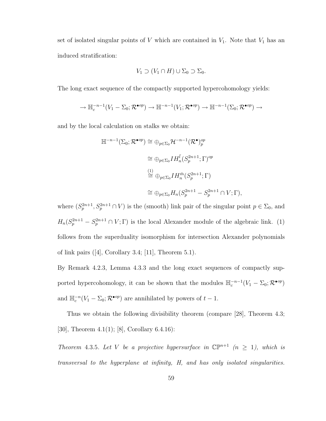set of isolated singular points of  $V$  which are contained in  $V_1$ . Note that  $V_1$  has an induced stratification:

$$
V_1 \supset (V_1 \cap H) \cup \Sigma_0 \supset \Sigma_0.
$$

The long exact sequence of the compactly supported hypercohomology yields:

$$
\to \mathbb{H}_c^{-n-1}(V_1 - \Sigma_0; \mathcal{R}^{\bullet op}) \to \mathbb{H}^{-n-1}(V_1; \mathcal{R}^{\bullet op}) \to \mathbb{H}^{-n-1}(\Sigma_0; \mathcal{R}^{\bullet op}) \to
$$

and by the local calculation on stalks we obtain:

$$
\mathbb{H}^{-n-1}(\Sigma_0; \mathcal{R}^{\bullet op}) \cong \oplus_{p \in \Sigma_0} \mathcal{H}^{-n-1}(\mathcal{R}^{\bullet})_p^{op}
$$
  
\n
$$
\cong \oplus_{p \in \Sigma_0} IH_n^{\overline{l}}(S_p^{2n+1}; \Gamma)^{op}
$$
  
\n
$$
\cong \oplus_{p \in \Sigma_0} IH_n^{\overline{n}}(S_p^{2n+1}; \Gamma)
$$
  
\n
$$
\cong \oplus_{p \in \Sigma_0} H_n(S_p^{2n+1} - S_p^{2n+1} \cap V; \Gamma),
$$

where  $(S_p^{2n+1}, S_p^{2n+1} \cap V)$  is the (smooth) link pair of the singular point  $p \in \Sigma_0$ , and  $H_n(S_p^{2n+1} - S_p^{2n+1} \cap V; \Gamma)$  is the local Alexander module of the algebraic link. (1) follows from the superduality isomorphism for intersection Alexander polynomials of link pairs  $([4],$  Corollary 3.4; [11], Theorem 5.1).

By Remark 4.2.3, Lemma 4.3.3 and the long exact sequences of compactly supported hypercohomology, it can be shown that the modules  $\mathbb{H}_c^{-n-1}(V_1 - \Sigma_0; \mathcal{R}^{\bullet op})$ and  $\mathbb{H}_c^{-n}(V_1 - \Sigma_0; \mathcal{R}^{\bullet op})$  are annihilated by powers of  $t - 1$ .

Thus we obtain the following divisibility theorem (compare [28], Theorem 4.3; [30], Theorem 4.1(1); [8], Corollary 6.4.16):

Theorem 4.3.5. Let V be a projective hypersurface in  $\mathbb{CP}^{n+1}$  ( $n \geq 1$ ), which is transversal to the hyperplane at infinity, H, and has only isolated singularities.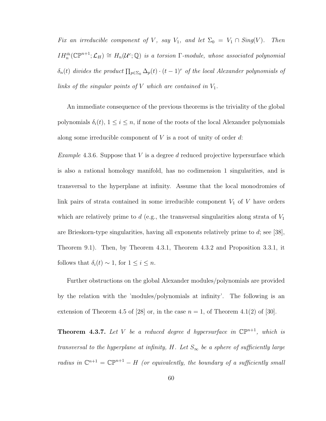Fix an irreducible component of V, say  $V_1$ , and let  $\Sigma_0 = V_1 \cap Sing(V)$ .  $IH_{n}^{\bar{m}}(\mathbb{CP}^{n+1};\mathcal{L}_{H})\cong H_{n}(\mathcal{U}^{c};\mathbb{Q})$  is a torsion  $\Gamma$ -module, whose associated polynomial  $\delta_n(t)$  divides the product  $\prod_{p\in\Sigma_0}\Delta_p(t)\cdot (t-1)^r$  of the local Alexander polynomials of links of the singular points of  $V$  which are contained in  $V_1$ .

An immediate consequence of the previous theorems is the triviality of the global polynomials  $\delta_i(t)$ ,  $1 \leq i \leq n$ , if none of the roots of the local Alexander polynomials along some irreducible component of  $V$  is a root of unity of order  $d$ :

*Example* 4.3.6. Suppose that V is a degree d reduced projective hypersurface which is also a rational homology manifold, has no codimension 1 singularities, and is transversal to the hyperplane at infinity. Assume that the local monodromies of link pairs of strata contained in some irreducible component  $V_1$  of V have orders which are relatively prime to d (e.g., the transversal singularities along strata of  $V_1$ are Brieskorn-type singularities, having all exponents relatively prime to  $d$ ; see [38], Theorem 9.1). Then, by Theorem 4.3.1, Theorem 4.3.2 and Proposition 3.3.1, it follows that  $\delta_i(t) \sim 1$ , for  $1 \leq i \leq n$ .

Further obstructions on the global Alexander modules/polynomials are provided by the relation with the 'modules/polynomials at infinity'. The following is an extension of Theorem 4.5 of [28] or, in the case  $n = 1$ , of Theorem 4.1(2) of [30].

**Theorem 4.3.7.** Let V be a reduced degree d hypersurface in  $\mathbb{CP}^{n+1}$ , which is transversal to the hyperplane at infinity, H. Let  $S_{\infty}$  be a sphere of sufficiently large radius in  $\mathbb{C}^{n+1} = \mathbb{C} \mathbb{P}^{n+1} - H$  (or equivalently, the boundary of a sufficiently small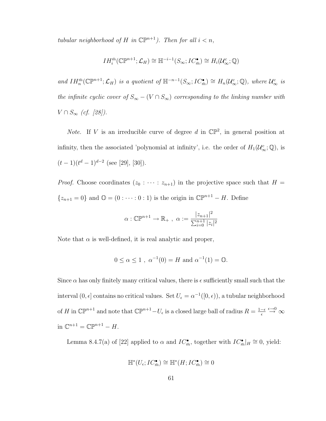tubular neighborhood of H in  $\mathbb{CP}^{n+1}$ ). Then for all  $i < n$ ,

$$
IH_{i}^{\bar{m}}(\mathbb{C}\mathbb{P}^{n+1};\mathcal{L}_{H})\cong \mathbb{H}^{-i-1}(S_{\infty}; IC_{\bar{m}}^{\bullet})\cong H_{i}(\mathcal{U}_{\infty}^{c};\mathbb{Q})
$$

and  $IH_n^{\bar{m}}(\mathbb{CP}^{n+1}; \mathcal{L}_H)$  is a quotient of  $\mathbb{H}^{-n-1}(S_{\infty}; IC_{\bar{m}}^{\bullet}) \cong H_n(\mathcal{U}_{\infty}^c; \mathbb{Q})$ , where  $\mathcal{U}_{\infty}^c$  is the infinite cyclic cover of  $S_{\infty} - (V \cap S_{\infty})$  corresponding to the linking number with  $V \cap S_{\infty}$  (cf. [28]).

*Note*. If V is an irreducible curve of degree d in  $\mathbb{CP}^2$ , in general position at infinity, then the associated 'polynomial at infinity', i.e. the order of  $H_1(\mathcal{U}^c_{\infty};\mathbb{Q})$ , is  $(t-1)(t^d-1)^{d-2}$  (see [29], [30]).

*Proof.* Choose coordinates  $(z_0 : \cdots : z_{n+1})$  in the projective space such that  $H =$  ${z_{n+1} = 0}$  and  $\mathbb{O} = (0 : \cdots : 0 : 1)$  is the origin in  $\mathbb{CP}^{n+1} - H$ . Define

$$
\alpha: \mathbb{CP}^{n+1} \to \mathbb{R}_+, \ \alpha := \frac{|z_{n+1}|^2}{\sum_{i=0}^{n+1} |z_i|^2}
$$

Note that  $\alpha$  is well-defined, it is real analytic and proper,

$$
0 \le \alpha \le 1
$$
,  $\alpha^{-1}(0) = H$  and  $\alpha^{-1}(1) = 0$ .

Since  $\alpha$  has only finitely many critical values, there is  $\epsilon$  sufficiently small such that the interval  $(0, \epsilon]$  contains no critical values. Set  $U_{\epsilon} = \alpha^{-1}([0, \epsilon))$ , a tubular neighborhood of H in  $\mathbb{CP}^{n+1}$  and note that  $\mathbb{CP}^{n+1} - U_{\epsilon}$  is a closed large ball of radius  $R = \frac{1-\epsilon}{\epsilon}$  $\epsilon$  $\stackrel{\epsilon \rightarrow 0}{\rightarrow} \infty$ in  $\mathbb{C}^{n+1} = \mathbb{C}\mathbb{P}^{n+1} - H$ .

Lemma 8.4.7(a) of [22] applied to  $\alpha$  and  $IC_{\overline{n}}^{\bullet}$ , together with  $IC_{\overline{n}}^{\bullet}|_H \cong 0$ , yield:

$$
\mathbb{H}^*(U_{\epsilon}; IC_{\bar{m}}^{\bullet}) \cong \mathbb{H}^*(H; IC_{\bar{m}}^{\bullet}) \cong 0
$$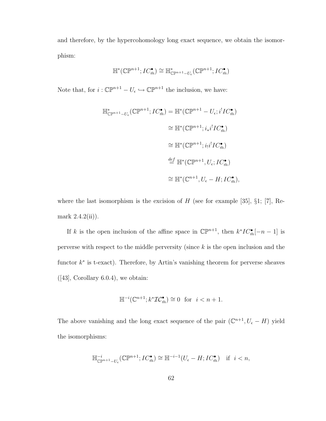and therefore, by the hypercohomology long exact sequence, we obtain the isomorphism:

$$
\mathbb{H}^*(\mathbb{CP}^{n+1}; IC_{\bar{m}}^\bullet) \cong \mathbb{H}^*_{\mathbb{CP}^{n+1}-U_{\epsilon}}(\mathbb{CP}^{n+1}; IC_{\bar{m}}^\bullet)
$$

Note that, for  $i: \mathbb{CP}^{n+1} - U_{\epsilon} \hookrightarrow \mathbb{CP}^{n+1}$  the inclusion, we have:

$$
\mathbb{H}_{\mathbb{CP}^{n+1}-U_{\epsilon}}^*(\mathbb{CP}^{n+1}; IC_{\bar{m}}^{\bullet}) = \mathbb{H}^*(\mathbb{CP}^{n+1} - U_{\epsilon}; i^! IC_{\bar{m}}^{\bullet})
$$
  
\n
$$
\cong \mathbb{H}^*(\mathbb{CP}^{n+1}; i_* i^! IC_{\bar{m}}^{\bullet})
$$
  
\n
$$
\cong \mathbb{H}^*(\mathbb{CP}^{n+1}; i_! i^! IC_{\bar{m}}^{\bullet})
$$
  
\n
$$
\stackrel{def}{=} \mathbb{H}^*(\mathbb{CP}^{n+1}, U_{\epsilon}; IC_{\bar{m}}^{\bullet})
$$
  
\n
$$
\cong \mathbb{H}^*(\mathbb{CP}^{n+1}, U_{\epsilon} - H; IC_{\bar{m}}^{\bullet}),
$$

where the last isomorphism is the excision of  $H$  (see for example [35], §1; [7], Remark 2.4.2(ii)).

If k is the open inclusion of the affine space in  $\mathbb{CP}^{n+1}$ , then  $k^*IC^{\bullet}_{\overline{n}}[-n-1]$  is perverse with respect to the middle perversity (since  $k$  is the open inclusion and the functor  $k^*$  is t-exact). Therefore, by Artin's vanishing theorem for perverse sheaves  $([43], Corollary 6.0.4),$  we obtain:

$$
\mathbb{H}^{-i}(\mathbb{C}^{n+1}; k^* \mathcal{IC}_{\bar{m}}^{\bullet}) \cong 0 \text{ for } i < n+1.
$$

The above vanishing and the long exact sequence of the pair  $(\mathbb{C}^{n+1}, U_{\epsilon} - H)$  yield the isomorphisms:

$$
\mathbb{H}^{-i}_{\mathbb{CP}^{n+1}-U_{\epsilon}}(\mathbb{CP}^{n+1}; IC_{\bar{m}}^{\bullet}) \cong \mathbb{H}^{-i-1}(U_{\epsilon}-H; IC_{\bar{m}}^{\bullet}) \quad \text{if} \quad i < n,
$$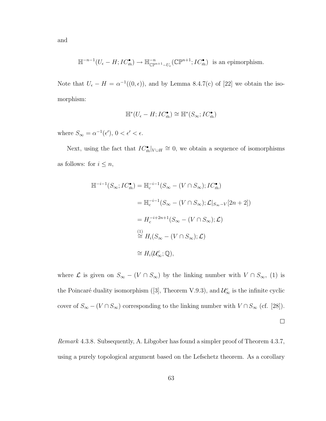and

$$
\mathbb{H}^{-n-1}(U_{\epsilon}-H; IC_{\bar{m}}^{\bullet}) \to \mathbb{H}^{-n}_{\mathbb{CP}^{n+1}-U_{\epsilon}}(\mathbb{CP}^{n+1}; IC_{\bar{m}}^{\bullet}) \text{ is an epimorphism.}
$$

Note that  $U_{\epsilon} - H = \alpha^{-1}((0, \epsilon))$ , and by Lemma 8.4.7(c) of [22] we obtain the isomorphism:

$$
\mathbb H^*(U_{\epsilon} - H; IC^{\bullet}_{\bar m}) \cong \mathbb H^*(S_{\infty}; IC^{\bullet}_{\bar m})
$$

where  $S_{\infty} = \alpha^{-1}(\epsilon'), 0 < \epsilon' < \epsilon$ .

Next, using the fact that  $IC_{\bar{m}}^{\bullet}|_{V \cup H} \cong 0$ , we obtain a sequence of isomorphisms as follows: for  $i \leq n$ ,

$$
\mathbb{H}^{-i-1}(S_{\infty}; IC_{\bar{m}}^{\bullet}) = \mathbb{H}_{c}^{-i-1}(S_{\infty} - (V \cap S_{\infty}); IC_{\bar{m}}^{\bullet})
$$
  
\n
$$
= \mathbb{H}_{c}^{-i-1}(S_{\infty} - (V \cap S_{\infty}); \mathcal{L}|_{S_{\infty}-V}[2n+2])
$$
  
\n
$$
= H_{c}^{-i+2n+1}(S_{\infty} - (V \cap S_{\infty}); \mathcal{L})
$$
  
\n
$$
\stackrel{(1)}{\cong} H_{i}(S_{\infty} - (V \cap S_{\infty}); \mathcal{L})
$$
  
\n
$$
\cong H_{i}(U_{\infty}^{c}; \mathbb{Q}),
$$

where  $\mathcal L$  is given on  $S_{\infty}$  –  $(V \cap S_{\infty})$  by the linking number with  $V \cap S_{\infty}$ , (1) is the Poincaré duality isomorphism ([3], Theorem V.9.3), and  $\mathcal{U}_{\infty}^c$  is the infinite cyclic cover of  $S_{\infty} - (V \cap S_{\infty})$  corresponding to the linking number with  $V \cap S_{\infty}$  (cf. [28]).

 $\Box$ 

Remark 4.3.8. Subsequently, A. Libgober has found a simpler proof of Theorem 4.3.7, using a purely topological argument based on the Lefschetz theorem. As a corollary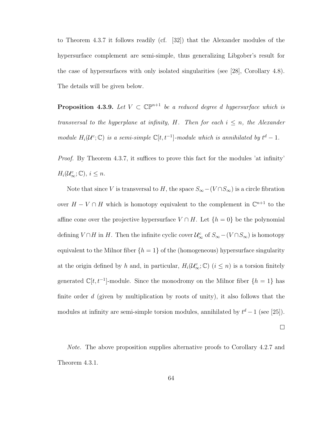to Theorem 4.3.7 it follows readily (cf. [32]) that the Alexander modules of the hypersurface complement are semi-simple, thus generalizing Libgober's result for the case of hypersurfaces with only isolated singularities (see [28], Corollary 4.8). The details will be given below.

**Proposition 4.3.9.** Let  $V \subset \mathbb{CP}^{n+1}$  be a reduced degree d hypersurface which is transversal to the hyperplane at infinity, H. Then for each  $i \leq n$ , the Alexander module  $H_i(\mathcal{U}^c;\mathbb{C})$  is a semi-simple  $\mathbb{C}[t,t^{-1}]$ -module which is annihilated by  $t^d-1$ .

Proof. By Theorem 4.3.7, it suffices to prove this fact for the modules 'at infinity'  $H_i(\mathcal{U}^c_\infty;\mathbb{C}), i \leq n.$ 

Note that since V is transversal to H, the space  $S_{\infty}$  –(V∩ $S_{\infty}$ ) is a circle fibration over  $H - V \cap H$  which is homotopy equivalent to the complement in  $\mathbb{C}^{n+1}$  to the affine cone over the projective hypersurface  $V \cap H$ . Let  $\{h = 0\}$  be the polynomial defining  $V \cap H$  in H. Then the infinite cyclic cover  $\mathcal{U}^c_\infty$  of  $S_\infty - (V \cap S_\infty)$  is homotopy equivalent to the Milnor fiber  $\{h = 1\}$  of the (homogeneous) hypersurface singularity at the origin defined by h and, in particular,  $H_i(\mathcal{U}^c_{\infty}; \mathbb{C})$   $(i \leq n)$  is a torsion finitely generated  $\mathbb{C}[t, t^{-1}]$ -module. Since the monodromy on the Milnor fiber  $\{h = 1\}$  has finite order  $d$  (given by multiplication by roots of unity), it also follows that the modules at infinity are semi-simple torsion modules, annihilated by  $t^d - 1$  (see [25]).

 $\Box$ 

Note. The above proposition supplies alternative proofs to Corollary 4.2.7 and Theorem 4.3.1.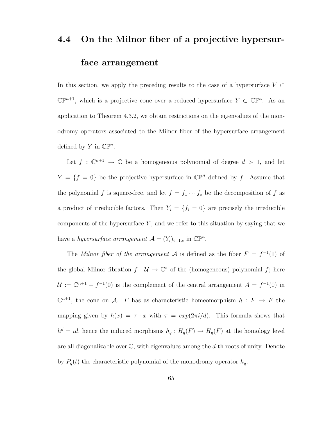## 4.4 On the Milnor fiber of a projective hypersurface arrangement

In this section, we apply the preceding results to the case of a hypersurface  $V \subset$  $\mathbb{CP}^{n+1}$ , which is a projective cone over a reduced hypersurface  $Y \subset \mathbb{CP}^n$ . As an application to Theorem 4.3.2, we obtain restrictions on the eigenvalues of the monodromy operators associated to the Milnor fiber of the hypersurface arrangement defined by Y in  $\mathbb{CP}^n$ .

Let  $f: \mathbb{C}^{n+1} \to \mathbb{C}$  be a homogeneous polynomial of degree  $d > 1$ , and let  $Y = \{f = 0\}$  be the projective hypersurface in  $\mathbb{CP}^n$  defined by f. Assume that the polynomial f is square-free, and let  $f = f_1 \cdots f_s$  be the decomposition of f as a product of irreducible factors. Then  $Y_i = \{f_i = 0\}$  are precisely the irreducible components of the hypersurface  $Y$ , and we refer to this situation by saying that we have a hypersurface arrangement  $\mathcal{A} = (Y_i)_{i=1,s}$  in  $\mathbb{CP}^n$ .

The Milnor fiber of the arrangement A is defined as the fiber  $F = f^{-1}(1)$  of the global Milnor fibration  $f: U \to \mathbb{C}^*$  of the (homogeneous) polynomial f; here  $\mathcal{U} := \mathbb{C}^{n+1} - f^{-1}(0)$  is the complement of the central arrangement  $A = f^{-1}(0)$  in  $\mathbb{C}^{n+1}$ , the cone on A. F has as characteristic homeomorphism  $h : F \to F$  the mapping given by  $h(x) = \tau \cdot x$  with  $\tau = exp(2\pi i/d)$ . This formula shows that  $h^d = id$ , hence the induced morphisms  $h_q : H_q(F) \to H_q(F)$  at the homology level are all diagonalizable over  $\mathbb{C}$ , with eigenvalues among the d-th roots of unity. Denote by  $P_q(t)$  the characteristic polynomial of the monodromy operator  $h_q$ .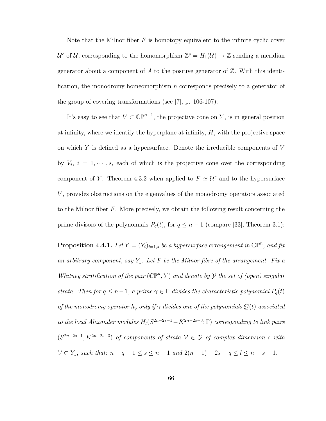Note that the Milnor fiber  $F$  is homotopy equivalent to the infinite cyclic cover  $\mathcal{U}^c$  of U, corresponding to the homomorphism  $\mathbb{Z}^s = H_1(\mathcal{U}) \to \mathbb{Z}$  sending a meridian generator about a component of A to the positive generator of  $\mathbb{Z}$ . With this identification, the monodromy homeomorphism h corresponds precisely to a generator of the group of covering transformations (see [7], p. 106-107).

It's easy to see that  $V \subset \mathbb{CP}^{n+1}$ , the projective cone on Y, is in general position at infinity, where we identify the hyperplane at infinity,  $H$ , with the projective space on which  $Y$  is defined as a hypersurface. Denote the irreducible components of  $V$ by  $V_i$ ,  $i = 1, \dots, s$ , each of which is the projective cone over the corresponding component of Y. Theorem 4.3.2 when applied to  $F \simeq U^c$  and to the hypersurface V, provides obstructions on the eigenvalues of the monodromy operators associated to the Milnor fiber  $F$ . More precisely, we obtain the following result concerning the prime divisors of the polynomials  $P_q(t)$ , for  $q \leq n-1$  (compare [33], Theorem 3.1):

**Proposition 4.4.1.** Let  $Y = (Y_i)_{i=1,s}$  be a hypersurface arrangement in  $\mathbb{CP}^n$ , and fix an arbitrary component, say  $Y_1$ . Let F be the Milnor fibre of the arrangement. Fix a Whitney stratification of the pair  $(\mathbb{CP}^n, Y)$  and denote by  $\mathcal Y$  the set of (open) singular strata. Then for  $q \leq n-1$ , a prime  $\gamma \in \Gamma$  divides the characteristic polynomial  $P_q(t)$ of the monodromy operator  $h_q$  only if  $\gamma$  divides one of the polynomials  $\xi_l^s(t)$  associated to the local Alexander modules  $H_l(S^{2n-2s-1}-K^{2n-2s-3};\Gamma)$  corresponding to link pairs  $(S^{2n-2s-1}, K^{2n-2s-3})$  of components of strata  $\mathcal{V} \in \mathcal{Y}$  of complex dimension s with  $V \subset Y_1$ , such that:  $n - q - 1 \le s \le n - 1$  and  $2(n - 1) - 2s - q \le l \le n - s - 1$ .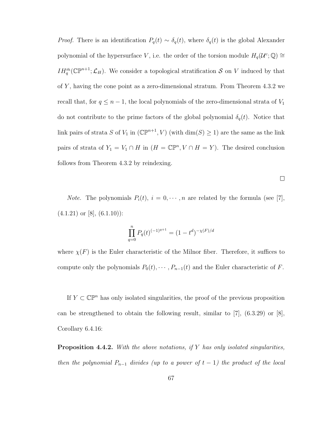*Proof.* There is an identification  $P_q(t) \sim \delta_q(t)$ , where  $\delta_q(t)$  is the global Alexander polynomial of the hypersurface V, i.e. the order of the torsion module  $H_q(\mathcal{U}^c;\mathbb{Q}) \cong$  $IH_q^{\bar{m}}(\mathbb{CP}^{n+1};\mathcal{L}_H)$ . We consider a topological stratification S on V induced by that of Y, having the cone point as a zero-dimensional stratum. From Theorem  $4.3.2$  we recall that, for  $q \leq n-1$ , the local polynomials of the zero-dimensional strata of  $V_1$ do not contribute to the prime factors of the global polynomial  $\delta_q(t)$ . Notice that link pairs of strata S of  $V_1$  in  $(\mathbb{CP}^{n+1}, V)$  (with  $\dim(S) \geq 1$ ) are the same as the link pairs of strata of  $Y_1 = V_1 \cap H$  in  $(H = \mathbb{CP}^n, V \cap H = Y)$ . The desired conclusion follows from Theorem 4.3.2 by reindexing.

 $\Box$ 

*Note.* The polynomials  $P_i(t)$ ,  $i = 0, \dots, n$  are related by the formula (see [7],  $(4.1.21)$  or [8],  $(6.1.10)$ :

$$
\prod_{q=0}^{n} P_q(t)^{(-1)^{q+1}} = (1 - t^d)^{-\chi(F)/d}
$$

where  $\chi(F)$  is the Euler characteristic of the Milnor fiber. Therefore, it suffices to compute only the polynomials  $P_0(t), \cdots, P_{n-1}(t)$  and the Euler characteristic of F.

If  $Y \subset \mathbb{CP}^n$  has only isolated singularities, the proof of the previous proposition can be strengthened to obtain the following result, similar to [7],  $(6.3.29)$  or [8], Corollary 6.4.16:

**Proposition 4.4.2.** With the above notations, if Y has only isolated singularities, then the polynomial  $P_{n-1}$  divides (up to a power of  $t-1$ ) the product of the local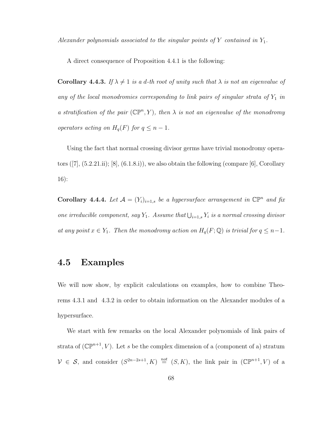Alexander polynomials associated to the singular points of Y contained in  $Y_1$ .

A direct consequence of Proposition 4.4.1 is the following:

**Corollary 4.4.3.** If  $\lambda \neq 1$  is a d-th root of unity such that  $\lambda$  is not an eigenvalue of any of the local monodromies corresponding to link pairs of singular strata of  $Y_1$  in a stratification of the pair  $(\mathbb{CP}^n, Y)$ , then  $\lambda$  is not an eigenvalue of the monodromy operators acting on  $H_q(F)$  for  $q \leq n-1$ .

Using the fact that normal crossing divisor germs have trivial monodromy operators  $([7], (5.2.21.ii); [8], (6.1.8.ii)$ , we also obtain the following (compare [6], Corollary 16):

**Corollary 4.4.4.** Let  $\mathcal{A} = (Y_i)_{i=1,s}$  be a hypersurface arrangement in  $\mathbb{CP}^n$  and fix one irreducible component, say  $Y_1$ . Assume that  $\bigcup_{i=1,s} Y_i$  is a normal crossing divisor at any point  $x \in Y_1$ . Then the monodromy action on  $H_q(F; \mathbb{Q})$  is trivial for  $q \leq n-1$ .

### 4.5 Examples

We will now show, by explicit calculations on examples, how to combine Theorems 4.3.1 and 4.3.2 in order to obtain information on the Alexander modules of a hypersurface.

We start with few remarks on the local Alexander polynomials of link pairs of strata of  $(\mathbb{CP}^{n+1}, V)$ . Let s be the complex dimension of a (component of a) stratum  $V \in S$ , and consider  $(S^{2n-2s+1}, K) \stackrel{\textit{not}}{=} (S, K)$ , the link pair in  $(\mathbb{CP}^{n+1}, V)$  of a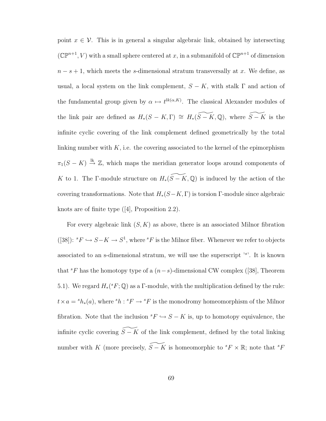point  $x \in V$ . This is in general a singular algebraic link, obtained by intersecting  $(\mathbb{CP}^{n+1}, V)$  with a small sphere centered at x, in a submanifold of  $\mathbb{CP}^{n+1}$  of dimension  $n - s + 1$ , which meets the s-dimensional stratum transversally at x. We define, as usual, a local system on the link complement,  $S - K$ , with stalk  $\Gamma$  and action of the fundamental group given by  $\alpha \mapsto t^{lk(\alpha,K)}$ . The classical Alexander modules of the link pair are defined as  $H_*(S - K, \Gamma) \cong H_*(\widetilde{S - K}, \mathbb{Q})$ , where  $\widetilde{S - K}$  is the infinite cyclic covering of the link complement defined geometrically by the total linking number with  $K$ , i.e. the covering associated to the kernel of the epimorphism  $\pi_1(S - K) \stackrel{\text{lk}}{\rightarrow} \mathbb{Z}$ , which maps the meridian generator loops around components of K to 1. The Γ-module structure on  $H_*(\widetilde{S-K}, \mathbb{Q})$  is induced by the action of the covering transformations. Note that  $H_*(S-K,\Gamma)$  is torsion Γ-module since algebraic knots are of finite type ([4], Proposition 2.2).

For every algebraic link  $(S, K)$  as above, there is an associated Milnor fibration ([38]):  ${}^{s}F \hookrightarrow S-K \to S^{1}$ , where  ${}^{s}F$  is the Milnor fiber. Whenever we refer to objects associated to an s-dimensional stratum, we will use the superscript '<sup>s</sup> '. It is known that  ${}^{s}F$  has the homotopy type of a  $(n-s)$ -dimensional CW complex ([38], Theorem 5.1). We regard  $H_*(^sF; \mathbb{Q})$  as a  $\Gamma$ -module, with the multiplication defined by the rule:  $t \times a = h_*(a)$ , where  ${}^s h : {}^s F \to {}^s F$  is the monodromy homeomorphism of the Milnor fibration. Note that the inclusion  ${}^sF \hookrightarrow S - K$  is, up to homotopy equivalence, the infinite cyclic covering  $\widetilde{S - K}$  of the link complement, defined by the total linking number with K (more precisely,  $\widetilde{S - K}$  is homeomorphic to  ${}^{s}F \times \mathbb{R}$ ; note that  ${}^{s}F$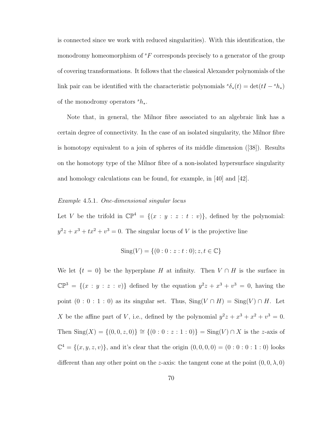is connected since we work with reduced singularities). With this identification, the monodromy homeomorphism of  ${}^sF$  corresponds precisely to a generator of the group of covering transformations. It follows that the classical Alexander polynomials of the link pair can be identified with the characteristic polynomials  $\delta_*(t) = \det(tI - \delta h_*)$ of the monodromy operators  $s_{h_*}$ .

Note that, in general, the Milnor fibre associated to an algebraic link has a certain degree of connectivity. In the case of an isolated singularity, the Milnor fibre is homotopy equivalent to a join of spheres of its middle dimension ([38]). Results on the homotopy type of the Milnor fibre of a non-isolated hypersurface singularity and homology calculations can be found, for example, in [40] and [42].

#### Example 4.5.1. One-dimensional singular locus

Let V be the trifold in  $\mathbb{CP}^4 = \{(x : y : z : t : v)\}\$ , defined by the polynomial:  $y^2z + x^3 + tx^2 + v^3 = 0$ . The singular locus of V is the projective line

Sing(V) = {
$$
(0:0:z:t:0); z,t \in \mathbb{C}
$$
}

We let  $\{t = 0\}$  be the hyperplane H at infinity. Then  $V \cap H$  is the surface in  $\mathbb{CP}^3 = \{(x : y : z : v)\}\$ defined by the equation  $y^2z + x^3 + v^3 = 0$ , having the point  $(0 : 0 : 1 : 0)$  as its singular set. Thus,  $\text{Sing}(V \cap H) = \text{Sing}(V) \cap H$ . Let X be the affine part of V, i.e., defined by the polynomial  $y^2z + x^3 + x^2 + y^3 = 0$ . Then Sing(X) = {(0, 0, z, 0)}  $\cong$  {(0 : 0 : z : 1 : 0)} = Sing(V) ∩ X is the z-axis of  $\mathbb{C}^4 = \{(x, y, z, v)\}\$ , and it's clear that the origin  $(0, 0, 0, 0) = (0 : 0 : 0 : 1 : 0)$  looks different than any other point on the z-axis: the tangent cone at the point  $(0, 0, \lambda, 0)$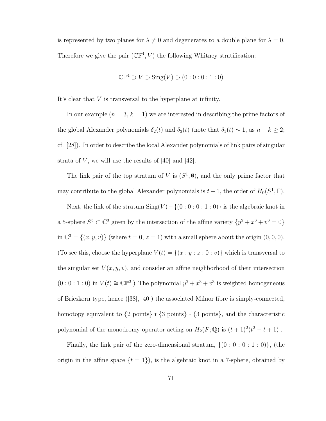is represented by two planes for  $\lambda \neq 0$  and degenerates to a double plane for  $\lambda = 0$ . Therefore we give the pair  $(\mathbb{CP}^4, V)$  the following Whitney stratification:

$$
\mathbb{CP}^4 \supset V \supset \text{Sing}(V) \supset (0:0:0:1:0)
$$

It's clear that V is transversal to the hyperplane at infinity.

In our example  $(n = 3, k = 1)$  we are interested in describing the prime factors of the global Alexander polynomials  $\delta_2(t)$  and  $\delta_3(t)$  (note that  $\delta_1(t) \sim 1$ , as  $n - k \geq 2$ ; cf. [28]). In order to describe the local Alexander polynomials of link pairs of singular strata of  $V$ , we will use the results of [40] and [42].

The link pair of the top stratum of V is  $(S^1, \emptyset)$ , and the only prime factor that may contribute to the global Alexander polynomials is  $t-1$ , the order of  $H_0(S^1, \Gamma)$ .

Next, the link of the stratum  $Sing(V) - \{(0:0:0:1:0)\}\)$  is the algebraic knot in a 5-sphere  $S^5 \subset \mathbb{C}^3$  given by the intersection of the affine variety  $\{y^2 + x^3 + y^3 = 0\}$ in  $\mathbb{C}^3 = \{(x, y, v)\}$  (where  $t = 0, z = 1$ ) with a small sphere about the origin  $(0, 0, 0)$ . (To see this, choose the hyperplane  $V(t) = \{(x : y : z : 0 : v)\}\$  which is transversal to the singular set  $V(x, y, v)$ , and consider an affine neighborhood of their intersection  $(0:0:1:0)$  in  $V(t) \cong \mathbb{CP}^3$ .) The polynomial  $y^2 + x^3 + v^3$  is weighted homogeneous of Brieskorn type, hence ([38], [40]) the associated Milnor fibre is simply-connected, homotopy equivalent to  $\{2 \text{ points}\}\times\{3 \text{ points}\}\times\{3 \text{ points}\}\$ , and the characteristic polynomial of the monodromy operator acting on  $H_2(F; \mathbb{Q})$  is  $(t+1)^2(t^2-t+1)$ .

Finally, the link pair of the zero-dimensional stratum,  $\{(0:0:0:1:0)\}$ , (the origin in the affine space  $\{t = 1\}$ , is the algebraic knot in a 7-sphere, obtained by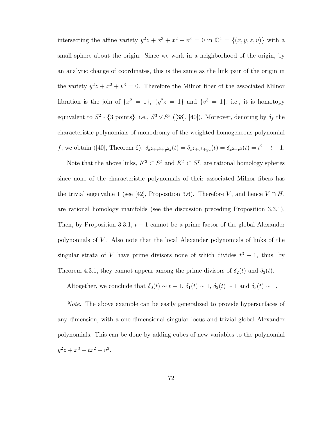intersecting the affine variety  $y^2z + x^3 + x^2 + y^3 = 0$  in  $\mathbb{C}^4 = \{(x, y, z, v)\}\$  with a small sphere about the origin. Since we work in a neighborhood of the origin, by an analytic change of coordinates, this is the same as the link pair of the origin in the variety  $y^2z + x^2 + y^3 = 0$ . Therefore the Milnor fiber of the associated Milnor fibration is the join of  $\{x^2 = 1\}$ ,  $\{y^2z = 1\}$  and  $\{v^3 = 1\}$ , i.e., it is homotopy equivalent to  $S^2 * \{3 \text{ points}\}, \text{ i.e., } S^3 \vee S^3$  ([38], [40]). Moreover, denoting by  $\delta_f$  the characteristic polynomials of monodromy of the weighted homogeneous polynomial f, we obtain ([40], Theorem 6):  $\delta_{x^2+v^3+y^2z}(t) = \delta_{x^2+v^3+yz}(t) = \delta_{x^2+v^3}(t) = t^2 - t + 1$ .

Note that the above links,  $K^3 \subset S^5$  and  $K^5 \subset S^7$ , are rational homology spheres since none of the characteristic polynomials of their associated Milnor fibers has the trivial eigenvalue 1 (see [42], Proposition 3.6). Therefore V, and hence  $V \cap H$ , are rational homology manifolds (see the discussion preceding Proposition 3.3.1). Then, by Proposition 3.3.1,  $t - 1$  cannot be a prime factor of the global Alexander polynomials of V . Also note that the local Alexander polynomials of links of the singular strata of V have prime divisors none of which divides  $t^3 - 1$ , thus, by Theorem 4.3.1, they cannot appear among the prime divisors of  $\delta_2(t)$  and  $\delta_3(t)$ .

Altogether, we conclude that  $\delta_0(t) \sim t - 1$ ,  $\delta_1(t) \sim 1$ ,  $\delta_2(t) \sim 1$  and  $\delta_3(t) \sim 1$ .

Note. The above example can be easily generalized to provide hypersurfaces of any dimension, with a one-dimensional singular locus and trivial global Alexander polynomials. This can be done by adding cubes of new variables to the polynomial  $y^2z + x^3 + tx^2 + v^3$ .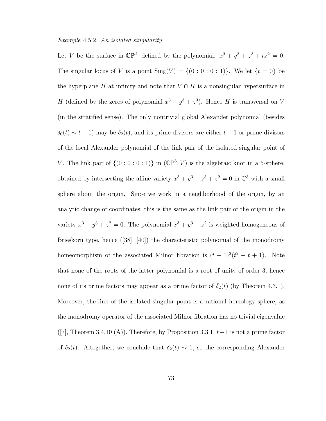#### Example 4.5.2. An isolated singularity

Let V be the surface in  $\mathbb{CP}^3$ , defined by the polynomial:  $x^3 + y^3 + z^3 + tz^2 = 0$ . The singular locus of V is a point  $\text{Sing}(V) = \{(0:0:0:1)\}\)$ . We let  $\{t = 0\}$  be the hyperplane H at infinity and note that  $V \cap H$  is a nonsingular hypersurface in H (defined by the zeros of polynomial  $x^3 + y^3 + z^3$ ). Hence H is transversal on V (in the stratified sense). The only nontrivial global Alexander polynomial (besides  $\delta_0(t) \sim t - 1$ ) may be  $\delta_2(t)$ , and its prime divisors are either  $t - 1$  or prime divisors of the local Alexander polynomial of the link pair of the isolated singular point of V. The link pair of  $\{(0:0:0:1)\}$  in  $(\mathbb{CP}^3, V)$  is the algebraic knot in a 5-sphere, obtained by intersecting the affine variety  $x^3 + y^3 + z^3 + z^2 = 0$  in  $\mathbb{C}^3$  with a small sphere about the origin. Since we work in a neighborhood of the origin, by an analytic change of coordinates, this is the same as the link pair of the origin in the variety  $x^3 + y^3 + z^2 = 0$ . The polynomial  $x^3 + y^3 + z^2$  is weighted homogeneous of Brieskorn type, hence ([38], [40]) the characteristic polynomial of the monodromy homeomorphism of the associated Milnor fibration is  $(t + 1)^2(t^2 - t + 1)$ . Note that none of the roots of the latter polynomial is a root of unity of order 3, hence none of its prime factors may appear as a prime factor of  $\delta_2(t)$  (by Theorem 4.3.1). Moreover, the link of the isolated singular point is a rational homology sphere, as the monodromy operator of the associated Milnor fibration has no trivial eigenvalue  $(|7|,$  Theorem 3.4.10 (A)). Therefore, by Proposition 3.3.1,  $t-1$  is not a prime factor of  $\delta_2(t)$ . Altogether, we conclude that  $\delta_2(t) \sim 1$ , so the corresponding Alexander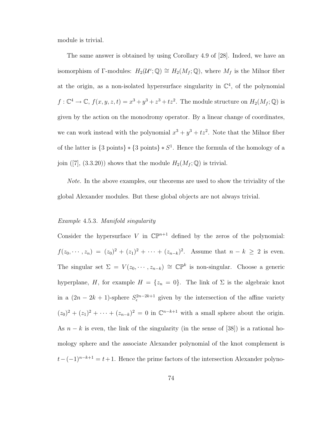module is trivial.

The same answer is obtained by using Corollary 4.9 of [28]. Indeed, we have an isomorphism of Γ-modules:  $H_2(\mathcal{U}^c; \mathbb{Q}) \cong H_2(M_f; \mathbb{Q})$ , where  $M_f$  is the Milnor fiber at the origin, as a non-isolated hypersurface singularity in  $\mathbb{C}^4$ , of the polynomial  $f: \mathbb{C}^4 \to \mathbb{C}, f(x, y, z, t) = x^3 + y^3 + z^3 + tz^2$ . The module structure on  $H_2(M_f; \mathbb{Q})$  is given by the action on the monodromy operator. By a linear change of coordinates, we can work instead with the polynomial  $x^3 + y^3 + tz^2$ . Note that the Milnor fiber of the latter is  $\{3 \text{ points}\}\times \{3 \text{ points}\}\times S^1$ . Hence the formula of the homology of a join ([7], (3.3.20)) shows that the module  $H_2(M_f; \mathbb{Q})$  is trivial.

Note. In the above examples, our theorems are used to show the triviality of the global Alexander modules. But these global objects are not always trivial.

### Example 4.5.3. Manifold singularity

Consider the hypersurface V in  $\mathbb{CP}^{n+1}$  defined by the zeros of the polynomial:  $f(z_0, \dots, z_n) = (z_0)^2 + (z_1)^2 + \dots + (z_{n-k})^2$ . Assume that  $n-k \geq 2$  is even. The singular set  $\Sigma = V(z_0, \dots, z_{n-k}) \cong \mathbb{CP}^k$  is non-singular. Choose a generic hyperplane, H, for example  $H = \{z_n = 0\}$ . The link of  $\Sigma$  is the algebraic knot in a  $(2n-2k+1)$ -sphere  $S_{\epsilon}^{2n-2k+1}$  given by the intersection of the affine variety  $(z_0)^2 + (z_1)^2 + \cdots + (z_{n-k})^2 = 0$  in  $\mathbb{C}^{n-k+1}$  with a small sphere about the origin. As  $n - k$  is even, the link of the singularity (in the sense of [38]) is a rational homology sphere and the associate Alexander polynomial of the knot complement is  $t-(-1)^{n-k+1} = t+1$ . Hence the prime factors of the intersection Alexander polyno-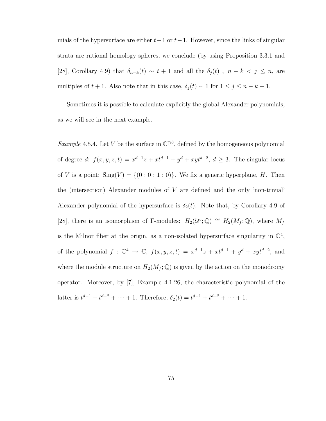mials of the hypersurface are either  $t+1$  or  $t-1$ . However, since the links of singular strata are rational homology spheres, we conclude (by using Proposition 3.3.1 and [28], Corollary 4.9) that  $\delta_{n-k}(t) \sim t+1$  and all the  $\delta_j(t)$ ,  $n-k < j \le n$ , are multiples of  $t + 1$ . Also note that in this case,  $\delta_j(t) \sim 1$  for  $1 \le j \le n - k - 1$ .

Sometimes it is possible to calculate explicitly the global Alexander polynomials, as we will see in the next example.

*Example* 4.5.4. Let V be the surface in  $\mathbb{CP}^3$ , defined by the homogeneous polynomial of degree d:  $f(x, y, z, t) = x^{d-1}z + xt^{d-1} + y^d + xyt^{d-2}, d \geq 3$ . The singular locus of V is a point:  $\text{Sing}(V) = \{(0:0:1:0)\}\$ . We fix a generic hyperplane, H. Then the (intersection) Alexander modules of V are defined and the only 'non-trivial' Alexander polynomial of the hypersurface is  $\delta_2(t)$ . Note that, by Corollary 4.9 of [28], there is an isomorphism of Γ-modules:  $H_2(\mathcal{U}^c; \mathbb{Q}) \cong H_2(M_f; \mathbb{Q})$ , where  $M_f$ is the Milnor fiber at the origin, as a non-isolated hypersurface singularity in  $\mathbb{C}^4$ , of the polynomial  $f: \mathbb{C}^4 \to \mathbb{C}$ ,  $f(x, y, z, t) = x^{d-1}z + xt^{d-1} + y^d + xyt^{d-2}$ , and where the module structure on  $H_2(M_f; \mathbb{Q})$  is given by the action on the monodromy operator. Moreover, by [7], Example 4.1.26, the characteristic polynomial of the latter is  $t^{d-1} + t^{d-2} + \cdots + 1$ . Therefore,  $\delta_2(t) = t^{d-1} + t^{d-2} + \cdots + 1$ .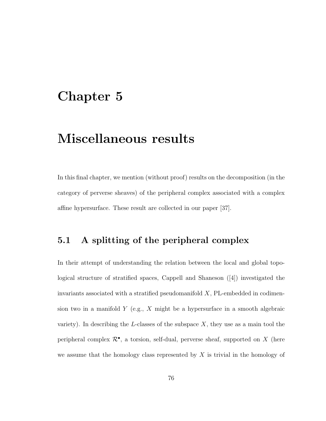## Chapter 5

## Miscellaneous results

In this final chapter, we mention (without proof) results on the decomposition (in the category of perverse sheaves) of the peripheral complex associated with a complex affine hypersurface. These result are collected in our paper [37].

## 5.1 A splitting of the peripheral complex

In their attempt of understanding the relation between the local and global topological structure of stratified spaces, Cappell and Shaneson ([4]) investigated the invariants associated with a stratified pseudomanifold  $X$ , PL-embedded in codimension two in a manifold  $Y$  (e.g.,  $X$  might be a hypersurface in a smooth algebraic variety). In describing the L-classes of the subspace  $X$ , they use as a main tool the peripheral complex  $\mathcal{R}^{\bullet}$ , a torsion, self-dual, perverse sheaf, supported on X (here we assume that the homology class represented by  $X$  is trivial in the homology of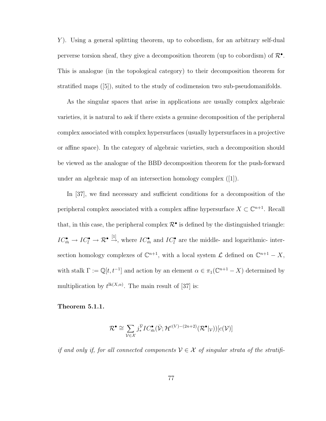Y ). Using a general splitting theorem, up to cobordism, for an arbitrary self-dual perverse torsion sheaf, they give a decomposition theorem (up to cobordism) of  $\mathcal{R}^{\bullet}$ . This is analogue (in the topological category) to their decomposition theorem for stratified maps ([5]), suited to the study of codimension two sub-pseudomanifolds.

As the singular spaces that arise in applications are usually complex algebraic varieties, it is natural to ask if there exists a genuine decomposition of the peripheral complex associated with complex hypersurfaces (usually hypersurfaces in a projective or affine space). In the category of algebraic varieties, such a decomposition should be viewed as the analogue of the BBD decomposition theorem for the push-forward under an algebraic map of an intersection homology complex ([1]).

In [37], we find necessary and sufficient conditions for a decomposition of the peripheral complex associated with a complex affine hypersurface  $X \subset \mathbb{C}^{n+1}$ . Recall that, in this case, the peripheral complex  $\mathcal{R}^{\bullet}$  is defined by the distinguished triangle:  $IC_{\bar{m}}^{\bullet} \to IC_{\bar{l}}^{\bullet} \to \mathcal{R}^{\bullet} \stackrel{[1]}{\to}$ , where  $IC_{\bar{m}}^{\bullet}$  and  $IC_{\bar{l}}^{\bullet}$  are the middle- and logarithmic- intersection homology complexes of  $\mathbb{C}^{n+1}$ , with a local system  $\mathcal L$  defined on  $\mathbb{C}^{n+1} - X$ , with stalk  $\Gamma := \mathbb{Q}[t, t^{-1}]$  and action by an element  $\alpha \in \pi_1(\mathbb{C}^{n+1} - X)$  determined by multiplication by  $t^{\text{lk}(X,\alpha)}$ . The main result of [37] is:

### Theorem 5.1.1.

$$
\mathcal{R}^{\bullet} \cong \sum_{\mathcal{V} \in \mathcal{X}} j^{\bar{\mathcal{V}}}_{*} IC^{\bullet}_{\bar{m}}(\bar{\mathcal{V}}; \mathcal{H}^{c(V) - (2n+2)}(\mathcal{R}^{\bullet}|_{\mathcal{V}}))[c(\mathcal{V})]
$$

if and only if, for all connected components  $V \in \mathcal{X}$  of singular strata of the stratifi-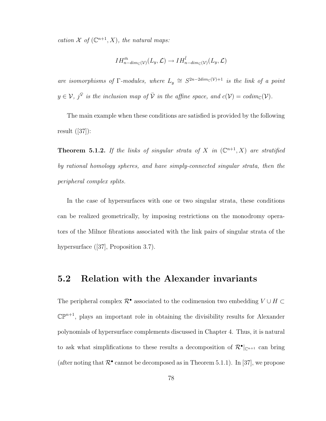cation  $\mathcal X$  of  $(\mathbb C^{n+1}, X)$ , the natural maps:

$$
IH_{n-dim_{\mathbb{C}}(\mathcal{V})}^{\bar{m}}(L_y,\mathcal{L})\to IH_{n-dim_{\mathbb{C}}(\mathcal{V})}^{\bar{l}}(L_y,\mathcal{L})
$$

are isomorphisms of  $\Gamma$ -modules, where  $L_y \cong S^{2n-2dim_{\mathbb{C}}(\mathcal{V})+1}$  is the link of a point  $y \in V$ ,  $j^{\bar{V}}$  is the inclusion map of  $\bar{V}$  in the affine space, and  $c(V) = codim_{\mathbb{C}}(V)$ .

The main example when these conditions are satisfied is provided by the following result ([37]):

**Theorem 5.1.2.** If the links of singular strata of X in  $(\mathbb{C}^{n+1}, X)$  are stratified by rational homology spheres, and have simply-connected singular strata, then the peripheral complex splits.

In the case of hypersurfaces with one or two singular strata, these conditions can be realized geometrically, by imposing restrictions on the monodromy operators of the Milnor fibrations associated with the link pairs of singular strata of the hypersurface ([37], Proposition 3.7).

### 5.2 Relation with the Alexander invariants

The peripheral complex  $\mathcal{R}^{\bullet}$  associated to the codimension two embedding  $V \cup H \subset$  $\mathbb{CP}^{n+1}$ , plays an important role in obtaining the divisibility results for Alexander polynomials of hypersurface complements discussed in Chapter 4. Thus, it is natural to ask what simplifications to these results a decomposition of  $\mathcal{R}^{\bullet}|_{\mathbb{C}^{n+1}}$  can bring (after noting that  $\mathcal{R}^{\bullet}$  cannot be decomposed as in Theorem 5.1.1). In [37], we propose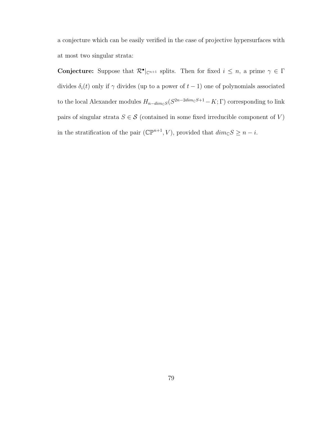a conjecture which can be easily verified in the case of projective hypersurfaces with at most two singular strata:

**Conjecture:** Suppose that  $\mathcal{R}^{\bullet}|_{\mathbb{C}^{n+1}}$  splits. Then for fixed  $i \leq n$ , a prime  $\gamma \in \Gamma$ divides  $\delta_i(t)$  only if  $\gamma$  divides (up to a power of  $t-1$ ) one of polynomials associated to the local Alexander modules  $H_{n-dim_{\mathbb{C}}S}(S^{2n-2dim_{\mathbb{C}}S+1}-K;\Gamma)$  corresponding to link pairs of singular strata  $S \in \mathcal{S}$  (contained in some fixed irreducible component of V) in the stratification of the pair  $(\mathbb{CP}^{n+1}, V)$ , provided that  $dim_{\mathbb{C}}S \geq n - i$ .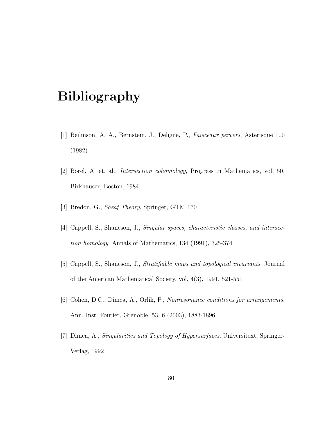# Bibliography

- [1] Beilinson, A. A., Bernstein, J., Deligne, P., Faisceaux pervers, Asterisque 100 (1982)
- [2] Borel, A. et. al., Intersection cohomology, Progress in Mathematics, vol. 50, Birkhauser, Boston, 1984
- [3] Bredon, G., Sheaf Theory, Springer, GTM 170
- [4] Cappell, S., Shaneson, J., Singular spaces, characteristic classes, and intersection homology, Annals of Mathematics, 134 (1991), 325-374
- [5] Cappell, S., Shaneson, J., Stratifiable maps and topological invariants, Journal of the American Mathematical Society, vol. 4(3), 1991, 521-551
- [6] Cohen, D.C., Dimca, A., Orlik, P., Nonresonance conditions for arrangements, Ann. Inst. Fourier, Grenoble, 53, 6 (2003), 1883-1896
- [7] Dimca, A., Singularities and Topology of Hypersurfaces, Universitext, Springer-Verlag, 1992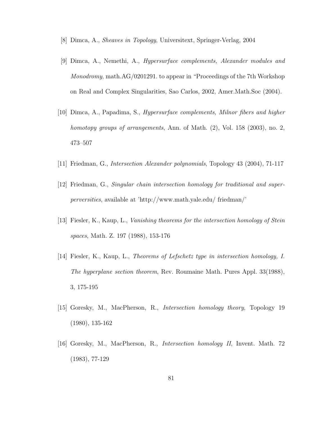- [8] Dimca, A., Sheaves in Topology, Universitext, Springer-Verlag, 2004
- [9] Dimca, A., Nemethi, A., Hypersurface complements, Alexander modules and Monodromy, math.AG/0201291. to appear in "Proceedings of the 7th Workshop on Real and Complex Singularities, Sao Carlos, 2002, Amer.Math.Soc (2004).
- [10] Dimca, A., Papadima, S., Hypersurface complements, Milnor fibers and higher homotopy groups of arrangements, Ann. of Math.  $(2)$ , Vol. 158  $(2003)$ , no. 2, 473–507
- [11] Friedman, G., Intersection Alexander polynomials, Topology 43 (2004), 71-117
- [12] Friedman, G., Singular chain intersection homology for traditional and superperversities, available at 'http://www.math.yale.edu/ friedman/'
- [13] Fiesler, K., Kaup, L., Vanishing theorems for the intersection homology of Stein spaces, Math. Z. 197 (1988), 153-176
- [14] Fiesler, K., Kaup, L., Theorems of Lefschetz type in intersection homology, I. The hyperplane section theorem, Rev. Roumaine Math. Pures Appl. 33(1988), 3, 175-195
- [15] Goresky, M., MacPherson, R., Intersection homology theory, Topology 19 (1980), 135-162
- [16] Goresky, M., MacPherson, R., Intersection homology II, Invent. Math. 72 (1983), 77-129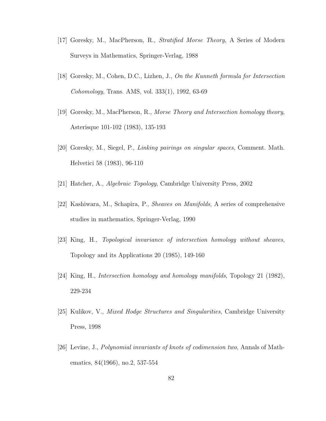- [17] Goresky, M., MacPherson, R., Stratified Morse Theory, A Series of Modern Surveys in Mathematics, Springer-Verlag, 1988
- [18] Goresky, M., Cohen, D.C., Lizhen, J., On the Kunneth formula for Intersection Cohomology, Trans. AMS, vol. 333(1), 1992, 63-69
- [19] Goresky, M., MacPherson, R., Morse Theory and Intersection homology theory, Asterisque 101-102 (1983), 135-193
- [20] Goresky, M., Siegel, P., Linking pairings on singular spaces, Comment. Math. Helvetici 58 (1983), 96-110
- [21] Hatcher, A., Algebraic Topology, Cambridge University Press, 2002
- [22] Kashiwara, M., Schapira, P., Sheaves on Manifolds, A series of comprehensive studies in mathematics, Springer-Verlag, 1990
- [23] King, H., Topological invariance of intersection homology without sheaves, Topology and its Applications 20 (1985), 149-160
- [24] King, H., Intersection homology and homology manifolds, Topology 21 (1982), 229-234
- [25] Kulikov, V., Mixed Hodge Structures and Singularities, Cambridge University Press, 1998
- [26] Levine, J., Polynomial invariants of knots of codimension two, Annals of Mathematics, 84(1966), no.2, 537-554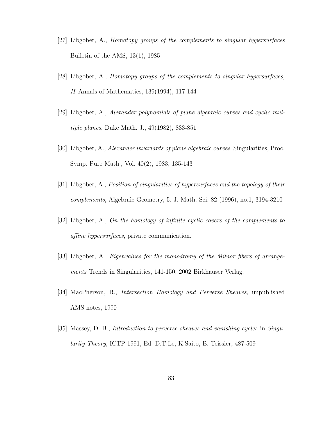- [27] Libgober, A., Homotopy groups of the complements to singular hypersurfaces Bulletin of the AMS, 13(1), 1985
- [28] Libgober, A., Homotopy groups of the complements to singular hypersurfaces, II Annals of Mathematics, 139(1994), 117-144
- [29] Libgober, A., Alexander polynomials of plane algebraic curves and cyclic multiple planes, Duke Math. J., 49(1982), 833-851
- [30] Libgober, A., Alexander invariants of plane algebraic curves, Singularities, Proc. Symp. Pure Math., Vol. 40(2), 1983, 135-143
- [31] Libgober, A., Position of singularities of hypersurfaces and the topology of their complements, Algebraic Geometry, 5. J. Math. Sci. 82 (1996), no.1, 3194-3210
- [32] Libgober, A., On the homology of infinite cyclic covers of the complements to affine hypersurfaces, private communication.
- [33] Libgober, A., Eigenvalues for the monodromy of the Milnor fibers of arrangements Trends in Singularities, 141-150, 2002 Birkhauser Verlag.
- [34] MacPherson, R., Intersection Homology and Perverse Sheaves, unpublished AMS notes, 1990
- [35] Massey, D. B., Introduction to perverse sheaves and vanishing cycles in Singularity Theory, ICTP 1991, Ed. D.T.Le, K.Saito, B. Teissier, 487-509